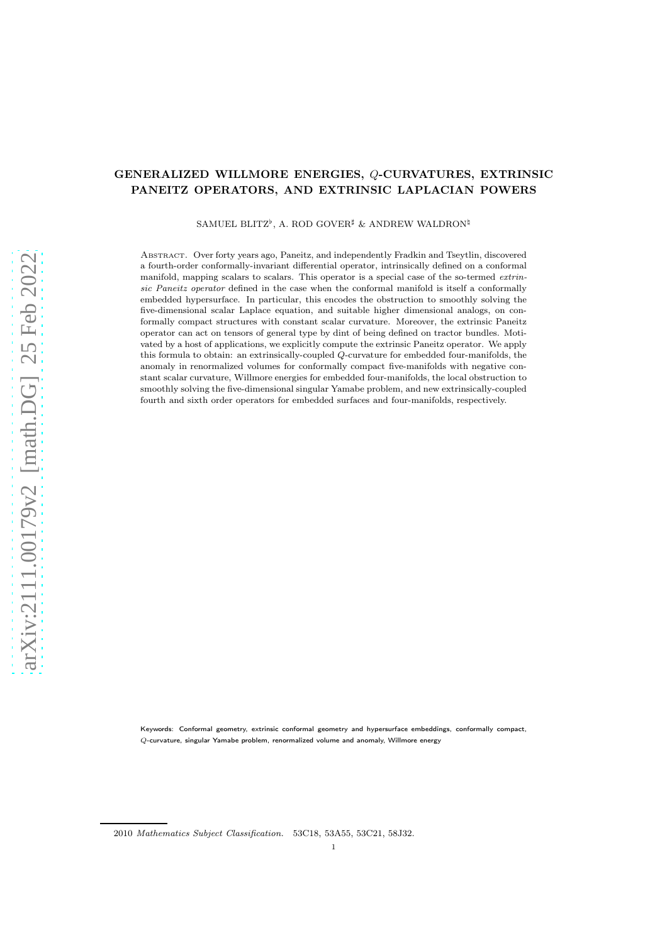# GENERALIZED WILLMORE ENERGIES, Q-CURVATURES, EXTRINSIC PANEITZ OPERATORS, AND EXTRINSIC LAPLACIAN POWERS

SAMUEL BLITZ<sup>b</sup>, A. ROD GOVER<sup>#</sup> & ANDREW WALDRON<sup>‡</sup>

Abstract. Over forty years ago, Paneitz, and independently Fradkin and Tseytlin, discovered a fourth-order conformally-invariant differential operator, intrinsically defined on a conformal manifold, mapping scalars to scalars. This operator is a special case of the so-termed extrinsic Paneitz operator defined in the case when the conformal manifold is itself a conformally embedded hypersurface. In particular, this encodes the obstruction to smoothly solving the five-dimensional scalar Laplace equation, and suitable higher dimensional analogs, on conformally compact structures with constant scalar curvature. Moreover, the extrinsic Paneitz operator can act on tensors of general type by dint of being defined on tractor bundles. Motivated by a host of applications, we explicitly compute the extrinsic Paneitz operator. We apply this formula to obtain: an extrinsically-coupled Q-curvature for embedded four-manifolds, the anomaly in renormalized volumes for conformally compact five-manifolds with negative constant scalar curvature, Willmore energies for embedded four-manifolds, the local obstruction to smoothly solving the five-dimensional singular Yamabe problem, and new extrinsically-coupled fourth and sixth order operators for embedded surfaces and four-manifolds, respectively.

Keywords: Conformal geometry, extrinsic conformal geometry and hypersurface embeddings, conformally compact, Q-curvature, singular Yamabe problem, renormalized volume and anomaly, Willmore energy

<sup>2010</sup> Mathematics Subject Classification. 53C18, 53A55, 53C21, 58J32.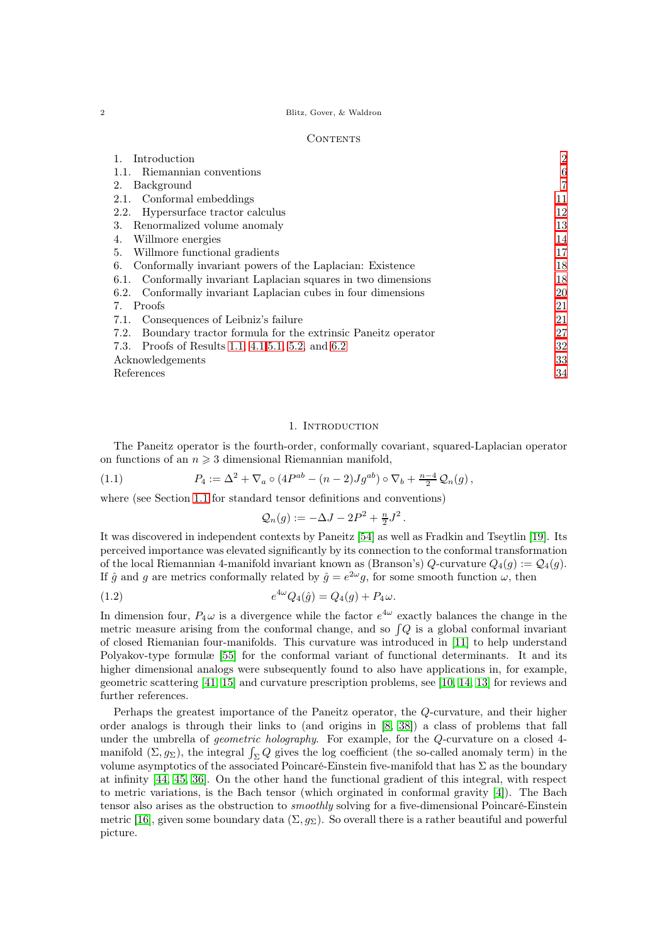#### 2 Blitz, Gover, & Waldron

#### CONTENTS

| Introduction                                                        | $\overline{2}$ |
|---------------------------------------------------------------------|----------------|
| Riemannian conventions                                              | 6              |
| Background<br>2.                                                    | $\overline{7}$ |
| Conformal embeddings<br>2.1.                                        | 11             |
| Hypersurface tractor calculus<br>2.2.                               | 12             |
| Renormalized volume anomaly<br>3.                                   | 13             |
| Willmore energies<br>4.                                             | 14             |
| Willmore functional gradients<br>5.                                 | 17             |
| Conformally invariant powers of the Laplacian: Existence<br>6.      | 18             |
| 6.1. Conformally invariant Laplacian squares in two dimensions      | 18             |
| 6.2. Conformally invariant Laplacian cubes in four dimensions       | 20             |
| Proofs<br>7.                                                        | 21             |
| 7.1. Consequences of Leibniz's failure                              | 21             |
| Boundary tractor formula for the extrinsic Paneitz operator<br>7.2. | 27             |
| 7.3. Proofs of Results 1.1, 4.1, 5.1, 5.2, and 6.2                  | 32             |
| Acknowledgements                                                    | 33             |
| References                                                          | 34             |

## 1. Introduction

<span id="page-1-0"></span>The Paneitz operator is the fourth-order, conformally covariant, squared-Laplacian operator on functions of an  $n \geqslant 3$  dimensional Riemannian manifold,

(1.1) 
$$
P_4 := \Delta^2 + \nabla_a \circ (4P^{ab} - (n-2)Jg^{ab}) \circ \nabla_b + \frac{n-4}{2} \mathcal{Q}_n(g) ,
$$

where (see Section [1.1](#page-5-0) for standard tensor definitions and conventions)

<span id="page-1-1"></span>
$$
\mathcal{Q}_n(g) := -\Delta J - 2P^2 + \frac{n}{2}J^2.
$$

It was discovered in independent contexts by Paneitz [\[54\]](#page-34-0) as well as Fradkin and Tseytlin [\[19\]](#page-33-1). Its perceived importance was elevated significantly by its connection to the conformal transformation of the local Riemannian 4-manifold invariant known as (Branson's) Q-curvature  $Q_4(g) := Q_4(g)$ . If  $\hat{g}$  and g are metrics conformally related by  $\hat{g} = e^{2\omega}g$ , for some smooth function  $\omega$ , then

(1.2) 
$$
e^{4\omega}Q_4(\hat{g}) = Q_4(g) + P_4\omega.
$$

In dimension four,  $P_4\omega$  is a divergence while the factor  $e^{4\omega}$  exactly balances the change in the metric measure arising from the conformal change, and so  $\int Q$  is a global conformal invariant of closed Riemanian four-manifolds. This curvature was introduced in [\[11\]](#page-33-2) to help understand Polyakov-type formulæ [\[55\]](#page-34-1) for the conformal variant of functional determinants. It and its higher dimensional analogs were subsequently found to also have applications in, for example, geometric scattering [\[41,](#page-34-2) [15\]](#page-33-3) and curvature prescription problems, see [\[10,](#page-33-4) [14,](#page-33-5) [13\]](#page-33-6) for reviews and further references.

Perhaps the greatest importance of the Paneitz operator, the Q-curvature, and their higher order analogs is through their links to (and origins in [\[8,](#page-33-7) [38\]](#page-34-3)) a class of problems that fall under the umbrella of geometric holography. For example, for the Q-curvature on a closed 4 manifold  $(\Sigma, g_{\Sigma})$ , the integral  $\int_{\Sigma} Q$  gives the log coefficient (the so-called anomaly term) in the volume asymptotics of the associated Poincaré-Einstein five-manifold that has  $\Sigma$  as the boundary at infinity [\[44,](#page-34-4) [45,](#page-34-5) [36\]](#page-34-6). On the other hand the functional gradient of this integral, with respect to metric variations, is the Bach tensor (which orginated in conformal gravity [\[4\]](#page-33-8)). The Bach tensor also arises as the obstruction to smoothly solving for a five-dimensional Poincaré-Einstein metric [\[16\]](#page-33-9), given some boundary data  $(\Sigma, g_{\Sigma})$ . So overall there is a rather beautiful and powerful picture.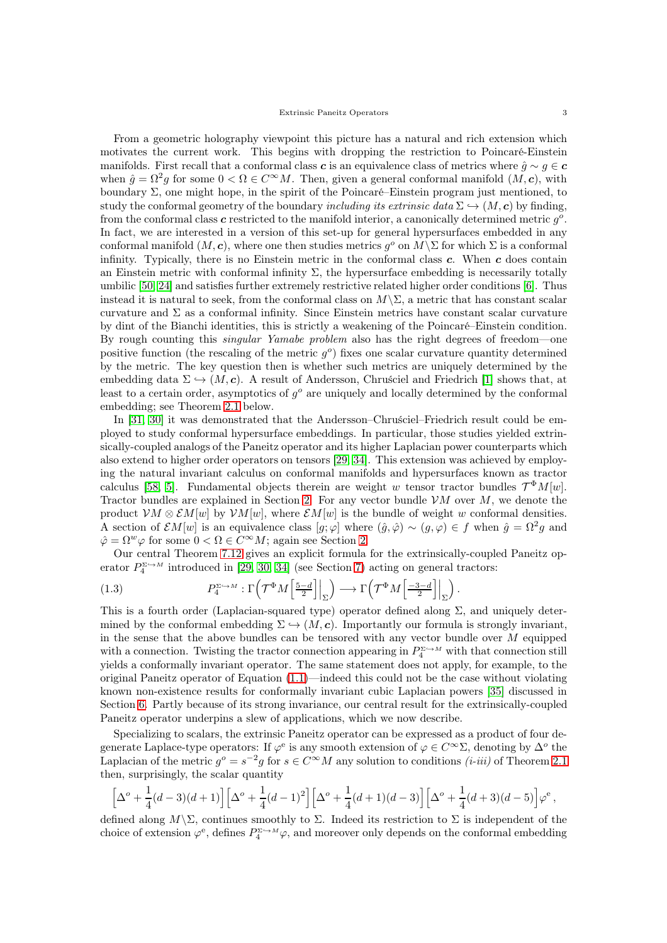From a geometric holography viewpoint this picture has a natural and rich extension which motivates the current work. This begins with dropping the restriction to Poincaré-Einstein manifolds. First recall that a conformal class c is an equivalence class of metrics where  $\hat{g} \sim g \in \mathbf{c}$ when  $\hat{g} = \Omega^2 g$  for some  $0 < \Omega \in C^{\infty}M$ . Then, given a general conformal manifold  $(M, c)$ , with boundary  $\Sigma$ , one might hope, in the spirit of the Poincaré–Einstein program just mentioned, to study the conformal geometry of the boundary including its extrinsic data  $\Sigma \hookrightarrow (M, c)$  by finding, from the conformal class  $c$  restricted to the manifold interior, a canonically determined metric  $g^o$ . In fact, we are interested in a version of this set-up for general hypersurfaces embedded in any conformal manifold  $(M, c)$ , where one then studies metrics  $g^o$  on  $M\backslash\Sigma$  for which  $\Sigma$  is a conformal infinity. Typically, there is no Einstein metric in the conformal class  $c$ . When  $c$  does contain an Einstein metric with conformal infinity  $\Sigma$ , the hypersurface embedding is necessarily totally umbilic [\[50,](#page-34-7) [24\]](#page-33-10) and satisfies further extremely restrictive related higher order conditions [\[6\]](#page-33-11). Thus instead it is natural to seek, from the conformal class on  $M\$  \Sigma, a metric that has constant scalar curvature and  $\Sigma$  as a conformal infinity. Since Einstein metrics have constant scalar curvature by dint of the Bianchi identities, this is strictly a weakening of the Poincaré–Einstein condition. By rough counting this singular Yamabe problem also has the right degrees of freedom—one positive function (the rescaling of the metric  $g^o$ ) fixes one scalar curvature quantity determined by the metric. The key question then is whether such metrics are uniquely determined by the embedding data  $\Sigma \hookrightarrow (M, c)$ . A result of Andersson, Chruściel and Friedrich [\[1\]](#page-33-12) shows that, at least to a certain order, asymptotics of  $g^o$  are uniquely and locally determined by the conformal embedding; see Theorem [2.1](#page-6-1) below.

In [\[31,](#page-33-13) [30\]](#page-33-14) it was demonstrated that the Andersson–Chruściel–Friedrich result could be employed to study conformal hypersurface embeddings. In particular, those studies yielded extrinsically-coupled analogs of the Paneitz operator and its higher Laplacian power counterparts which also extend to higher order operators on tensors [\[29,](#page-33-15) [34\]](#page-34-8). This extension was achieved by employing the natural invariant calculus on conformal manifolds and hypersurfaces known as tractor calculus [\[58,](#page-34-9) [5\]](#page-33-16). Fundamental objects therein are weight w tensor tractor bundles  $\mathcal{T}^{\Phi}M[w]$ . Tractor bundles are explained in Section [2.](#page-6-0) For any vector bundle  $VM$  over  $M$ , we denote the product  $VM \otimes \mathcal{E}M[w]$  by  $VM[w]$ , where  $\mathcal{E}M[w]$  is the bundle of weight w conformal densities. A section of  $\mathcal{E}M[w]$  is an equivalence class  $[g; \varphi]$  where  $(\hat{g}, \hat{\varphi}) \sim (g, \varphi) \in f$  when  $\hat{g} = \Omega^2 g$  and  $\hat{\varphi} = \Omega^w \varphi$  for some  $0 < \Omega \in C^{\infty}M$ ; again see Section [2.](#page-6-0)

Our central Theorem [7.12](#page-26-1) gives an explicit formula for the extrinsically-coupled Paneitz operator  $P_4^{\Sigma \hookrightarrow M}$  introduced in [\[29,](#page-33-15) [30,](#page-33-14) [34\]](#page-34-8) (see Section [7\)](#page-20-0) acting on general tractors:

<span id="page-2-0"></span>(1.3) 
$$
P_4^{\Sigma \hookrightarrow M} : \Gamma\left(\mathcal{T}^{\Phi} M\left[\frac{5-d}{2}\right]\Big|_{\Sigma}\right) \longrightarrow \Gamma\left(\mathcal{T}^{\Phi} M\left[\frac{-3-d}{2}\right]\Big|_{\Sigma}\right).
$$

This is a fourth order (Laplacian-squared type) operator defined along  $\Sigma$ , and uniquely determined by the conformal embedding  $\Sigma \hookrightarrow (M, c)$ . Importantly our formula is strongly invariant, in the sense that the above bundles can be tensored with any vector bundle over  $M$  equipped with a connection. Twisting the tractor connection appearing in  $P_4^{\Sigma \hookrightarrow M}$  with that connection still yields a conformally invariant operator. The same statement does not apply, for example, to the original Paneitz operator of Equation [\(1.1\)](#page-1-1)—indeed this could not be the case without violating known non-existence results for conformally invariant cubic Laplacian powers [\[35\]](#page-34-10) discussed in Section [6.](#page-17-0) Partly because of its strong invariance, our central result for the extrinsically-coupled Paneitz operator underpins a slew of applications, which we now describe.

Specializing to scalars, the extrinsic Paneitz operator can be expressed as a product of four degenerate Laplace-type operators: If  $\varphi^e$  is any smooth extension of  $\varphi \in C^{\infty} \Sigma$ , denoting by  $\Delta^o$  the Laplacian of the metric  $g^o = s^{-2}g$  for  $s \in C^{\infty}M$  any solution to conditions  $(i-iii)$  of Theorem [2.1](#page-6-1) then, surprisingly, the scalar quantity

$$
\left[\Delta^o + \frac{1}{4}(d-3)(d+1)\right] \left[\Delta^o + \frac{1}{4}(d-1)^2\right] \left[\Delta^o + \frac{1}{4}(d+1)(d-3)\right] \left[\Delta^o + \frac{1}{4}(d+3)(d-5)\right] \varphi^e,
$$

defined along  $M\setminus\Sigma$ , continues smoothly to  $\Sigma$ . Indeed its restriction to  $\Sigma$  is independent of the choice of extension  $\varphi^e$ , defines  $P_4^{\Sigma \hookrightarrow M} \varphi$ , and moreover only depends on the conformal embedding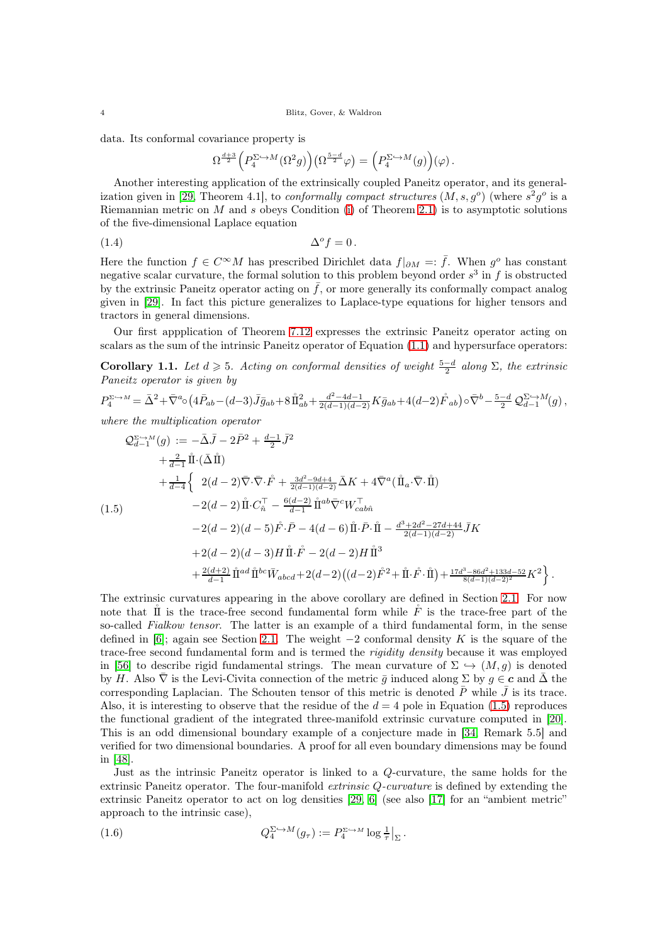#### 4 Blitz, Gover, & Waldron

data. Its conformal covariance property is

<span id="page-3-2"></span>
$$
\Omega^{\frac{d+3}{2}}\Big(P_4^{\Sigma\hookrightarrow M}(\Omega^2g)\Big)\big(\Omega^{\frac{5-d}{2}}\varphi\big)=\Big(P_4^{\Sigma\hookrightarrow M}(g)\Big)(\varphi)\,.
$$

Another interesting application of the extrinsically coupled Paneitz operator, and its general-ization given in [\[29,](#page-33-15) Theorem 4.1], to *conformally compact structures*  $(M, s, g^o)$  (where  $s^2g^o$  is a Riemannian metric on M and s obeys Condition [\(i\)](#page-6-2) of Theorem [2.1\)](#page-6-1) is to asymptotic solutions of the five-dimensional Laplace equation

$$
\Delta^o f = 0 \, .
$$

Here the function  $f \in C^{\infty}M$  has prescribed Dirichlet data  $f|_{\partial M} =: \overline{f}$ . When  $g^o$  has constant negative scalar curvature, the formal solution to this problem beyond order  $s^3$  in f is obstructed by the extrinsic Paneitz operator acting on  $\bar{f}$ , or more generally its conformally compact analog given in [\[29\]](#page-33-15). In fact this picture generalizes to Laplace-type equations for higher tensors and tractors in general dimensions.

Our first appplication of Theorem [7.12](#page-26-1) expresses the extrinsic Paneitz operator acting on scalars as the sum of the intrinsic Paneitz operator of Equation [\(1.1\)](#page-1-1) and hypersurface operators:

<span id="page-3-0"></span>Corollary 1.1. Let  $d \geq 5$ . Acting on conformal densities of weight  $\frac{5-d}{2}$  along  $\Sigma$ , the extrinsic Paneitz operator is given by

$$
P_4^{\Sigma \hookrightarrow M} = \bar{\Delta}^2 + \bar{\nabla}^a \circ (4\bar{P}_{ab} - (d-3)\bar{J}\bar{g}_{ab} + 8\mathring{\rm{1}}_{ab}^2 + \frac{d^2 - 4d - 1}{2(d-1)(d-2)} K\bar{g}_{ab} + 4(d-2)\mathring{F}_{ab}) \circ \bar{\nabla}^b - \frac{5-d}{2} \mathcal{Q}_{d-1}^{\Sigma \hookrightarrow M}(g) ,
$$

where the multiplication operator

<span id="page-3-1"></span>
$$
\mathcal{Q}_{d-1}^{\Sigma \hookrightarrow M}(g) := -\bar{\Delta}\bar{J} - 2\bar{P}^{2} + \frac{d-1}{2}\bar{J}^{2} \n+ \frac{2}{d-1}\mathring{\mathrm{II}} \cdot (\bar{\Delta}\mathring{\mathrm{II}}) \n+ \frac{1}{d-4}\left\{ 2(d-2)\bar{\nabla}\cdot\bar{\nabla}\cdot\mathring{F} + \frac{3d^{2}-9d+4}{2(d-1)(d-2)}\bar{\Delta}K + 4\bar{\nabla}^{a}(\mathring{\mathrm{II}}_{a}\cdot\bar{\nabla}\cdot\mathring{\mathrm{II}}) \right.\n(1.5) \qquad -2(d-2)\mathring{\mathrm{II}}\cdot C_{n}^{\top} - \frac{6(d-2)}{d-1}\mathring{\mathrm{II}}^{ab}\bar{\nabla}^{c}W_{cab\hat{n}}^{\top} \n- 2(d-2)(d-5)\mathring{F}\cdot\bar{P} - 4(d-6)\mathring{\mathrm{II}}\cdot\bar{P}\cdot\mathring{\mathrm{II}} - \frac{d^{3}+2d^{2}-27d+44}{2(d-1)(d-2)}\bar{J}K \n+ 2(d-2)(d-3)H\mathring{\mathrm{II}}\cdot\mathring{F} - 2(d-2)H\mathring{\mathrm{II}}^{3} \n+ \frac{2(d+2)}{d-1}\mathring{\mathrm{II}}^{ad}\mathring{\mathrm{II}}^{bc}\bar{W}_{abcd} + 2(d-2)((d-2)\mathring{F}^{2} + \mathring{\mathrm{II}}\cdot\mathring{F}\cdot\mathring{\mathrm{II}}) + \frac{17d^{3}-86d^{2}+133d-52}{8(d-1)(d-2)^{2}}K^{2} \right\}.
$$

The extrinsic curvatures appearing in the above corollary are defined in Section [2.1.](#page-10-0) For now note that  $\tilde{\mathbf{I}}$  is the trace-free second fundamental form while  $\tilde{F}$  is the trace-free part of the so-called Fialkow tensor. The latter is an example of a third fundamental form, in the sense defined in [\[6\]](#page-33-11); again see Section [2.1.](#page-10-0) The weight  $-2$  conformal density K is the square of the trace-free second fundamental form and is termed the rigidity density because it was employed in [\[56\]](#page-34-11) to describe rigid fundamental strings. The mean curvature of  $\Sigma \hookrightarrow (M, g)$  is denoted by H. Also  $\overline{\nabla}$  is the Levi-Civita connection of the metric  $\overline{g}$  induced along  $\Sigma$  by  $g \in \mathbf{c}$  and  $\overline{\Delta}$  the corresponding Laplacian. The Schouten tensor of this metric is denoted  $\bar{P}$  while  $\bar{J}$  is its trace. Also, it is interesting to observe that the residue of the  $d = 4$  pole in Equation [\(1.5\)](#page-3-1) reproduces the functional gradient of the integrated three-manifold extrinsic curvature computed in [\[20\]](#page-33-17). This is an odd dimensional boundary example of a conjecture made in [\[34,](#page-34-8) Remark 5.5] and verified for two dimensional boundaries. A proof for all even boundary dimensions may be found in [\[48\]](#page-34-12).

Just as the intrinsic Paneitz operator is linked to a Q-curvature, the same holds for the extrinsic Paneitz operator. The four-manifold extrinsic Q-curvature is defined by extending the extrinsic Paneitz operator to act on log densities [\[29,](#page-33-15) [6\]](#page-33-11) (see also [\[17\]](#page-33-18) for an "ambient metric" approach to the intrinsic case),

<span id="page-3-3"></span>(1.6) 
$$
Q_4^{\Sigma \hookrightarrow M}(g_\tau) := P_4^{\Sigma \hookrightarrow M} \log \frac{1}{\tau} \Big|_{\Sigma}.
$$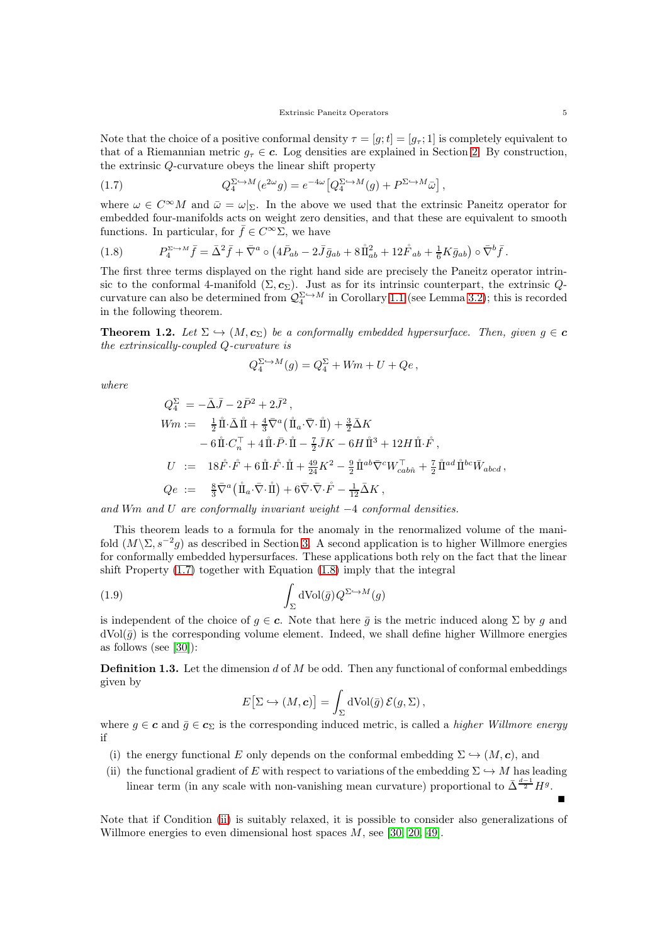Note that the choice of a positive conformal density  $\tau = [g; t] = [g_\tau; 1]$  is completely equivalent to that of a Riemannian metric  $g_{\tau} \in \mathbf{c}$ . Log densities are explained in Section [2.](#page-6-0) By construction, the extrinsic Q-curvature obeys the linear shift property

<span id="page-4-0"></span>(1.7) 
$$
Q_4^{\Sigma \hookrightarrow M}(e^{2\omega}g) = e^{-4\omega} \left[Q_4^{\Sigma \hookrightarrow M}(g) + P^{\Sigma \hookrightarrow M}\bar{\omega}\right],
$$

where  $\omega \in C^{\infty}M$  and  $\bar{\omega} = \omega|_{\Sigma}$ . In the above we used that the extrinsic Paneitz operator for embedded four-manifolds acts on weight zero densities, and that these are equivalent to smooth functions. In particular, for  $\bar{f}\in C^\infty \Sigma,$  we have

<span id="page-4-1"></span>(1.8) 
$$
P_4^{\Sigma \to M} \bar{f} = \bar{\Delta}^2 \bar{f} + \bar{\nabla}^a \circ (4\bar{P}_{ab} - 2\bar{J}\bar{g}_{ab} + 8\mathring{\rm{1}}_{ab}^2 + 12\mathring{F}_{ab} + \frac{1}{6}K\bar{g}_{ab}) \circ \bar{\nabla}^b \bar{f}.
$$

The first three terms displayed on the right hand side are precisely the Paneitz operator intrinsic to the conformal 4-manifold  $(\Sigma, c_{\Sigma})$ . Just as for its intrinsic counterpart, the extrinsic  $Q$ curvature can also be determined from  $\mathcal{Q}_4^{\Sigma\hookrightarrow M}$  in Corollary [1.1](#page-3-0) (see Lemma [3.2\)](#page-12-1); this is recorded in the following theorem.

<span id="page-4-3"></span>**Theorem 1.2.** Let  $\Sigma \hookrightarrow (M, c_{\Sigma})$  be a conformally embedded hypersurface. Then, given  $g \in \mathbf{c}$ the extrinsically-coupled Q-curvature is

$$
Q_4^{\Sigma\hookrightarrow M}(g)=Q_4^{\Sigma}+Wm+U+Qe\,,
$$

where

$$
Q_4^{\Sigma} = -\bar{\Delta}\bar{J} - 2\bar{P}^2 + 2\bar{J}^2 ,
$$
  
\n
$$
Wm := \frac{1}{2}\mathring{\rm I}\mathring{\rm I}\cdot\bar{\Delta}\mathring{\rm I}\mathring{\rm I} + \frac{4}{3}\bar{\nabla}^a(\mathring{\rm I}\!{\rm I}_a \cdot \bar{\nabla} \cdot \mathring{\rm I}\!{\rm I}) + \frac{3}{2}\bar{\Delta}K
$$
  
\n
$$
-6\mathring{\rm I}\mathring{\rm I}\cdot C_n^{\top} + 4\mathring{\rm I}\!{\rm I}\cdot\bar{P} \cdot \mathring{\rm I}\!{\rm I} - \frac{7}{2}\bar{J}K - 6H\mathring{\rm I}\!{\rm I}^3 + 12H\mathring{\rm I}\!{\rm I}\cdot\mathring{F}^{\check{}} ,
$$
  
\n
$$
U := 18\mathring{F} \cdot \mathring{F} + 6\mathring{\rm I}\!{\rm I}\cdot\mathring{F} \cdot \mathring{\rm I}\!{\rm I} + \frac{49}{24}K^2 - \frac{9}{2}\mathring{\rm I}\!{\rm I}^{ab}\bar{\nabla}^cW_{cab\hat{n}}^{\top} + \frac{7}{2}\mathring{\rm I}\!{\rm I}^{ad}\mathring{\rm I}\!{\rm I}^{bc}\bar{W}_{abcd} ,
$$
  
\n
$$
Qe := \frac{8}{3}\bar{\nabla}^a(\mathring{\rm I}\!{\rm I}_a \cdot \bar{\nabla} \cdot \mathring{\rm I}\!{\rm I}) + 6\bar{\nabla} \cdot \bar{\nabla} \cdot \mathring{F} - \frac{1}{12}\bar{\Delta}K ,
$$

and Wm and U are conformally invariant weight  $-4$  conformal densities.

This theorem leads to a formula for the anomaly in the renormalized volume of the manifold  $(M\backslash\Sigma, s^{-2}g)$  as described in Section [3.](#page-12-0) A second application is to higher Willmore energies for conformally embedded hypersurfaces. These applications both rely on the fact that the linear shift Property [\(1.7\)](#page-4-0) together with Equation [\(1.8\)](#page-4-1) imply that the integral

(1.9) 
$$
\int_{\Sigma} dVol(\bar{g}) Q^{\Sigma \hookrightarrow M}(g)
$$

is independent of the choice of  $q \in \mathbf{c}$ . Note that here  $\bar{q}$  is the metric induced along  $\Sigma$  by q and  $d\text{Vol}(\bar{q})$  is the corresponding volume element. Indeed, we shall define higher Willmore energies as follows (see [\[30\]](#page-33-14)):

<span id="page-4-5"></span>**Definition 1.3.** Let the dimension  $d$  of  $M$  be odd. Then any functional of conformal embeddings given by

<span id="page-4-4"></span>
$$
E[\Sigma \hookrightarrow (M,\mathbf{c})] = \int_{\Sigma} d\mathrm{Vol}(\bar{g}) \, \mathcal{E}(g,\Sigma) \,,
$$

where  $g \in \mathbf{c}$  and  $\bar{g} \in \mathbf{c}_{\Sigma}$  is the corresponding induced metric, is called a *higher Willmore energy* if

- <span id="page-4-2"></span>(i) the energy functional E only depends on the conformal embedding  $\Sigma \hookrightarrow (M, c)$ , and
- (ii) the functional gradient of E with respect to variations of the embedding  $\Sigma \hookrightarrow M$  has leading linear term (in any scale with non-vanishing mean curvature) proportional to  $\bar{\Delta}^{\frac{d-1}{2}}H^g$ .

Note that if Condition [\(ii\)](#page-4-2) is suitably relaxed, it is possible to consider also generalizations of Willmore energies to even dimensional host spaces M, see [\[30,](#page-33-14) [20,](#page-33-17) [49\]](#page-34-13).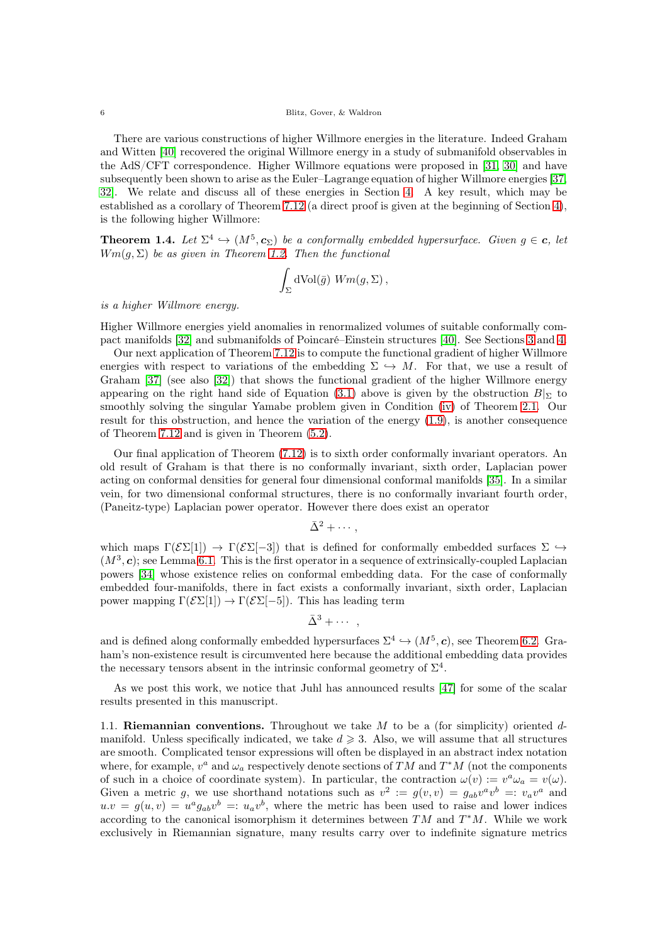There are various constructions of higher Willmore energies in the literature. Indeed Graham and Witten [\[40\]](#page-34-14) recovered the original Willmore energy in a study of submanifold observables in the AdS/CFT correspondence. Higher Willmore equations were proposed in [\[31,](#page-33-13) [30\]](#page-33-14) and have subsequently been shown to arise as the Euler–Lagrange equation of higher Willmore energies [\[37,](#page-34-15) [32\]](#page-34-16). We relate and discuss all of these energies in Section [4.](#page-13-0) A key result, which may be established as a corollary of Theorem [7.12](#page-26-1) (a direct proof is given at the beginning of Section [4\)](#page-13-0), is the following higher Willmore:

<span id="page-5-1"></span>**Theorem 1.4.** Let  $\Sigma^4 \hookrightarrow (M^5, c_{\Sigma})$  be a conformally embedded hypersurface. Given  $g \in \mathbf{c}$ , let  $Wm(q, \Sigma)$  be as given in Theorem [1.2.](#page-4-3) Then the functional

$$
\int_{\Sigma} dVol(\bar{g}) Wm(g, \Sigma),
$$

is a higher Willmore energy.

Higher Willmore energies yield anomalies in renormalized volumes of suitable conformally compact manifolds [\[32\]](#page-34-16) and submanifolds of Poincaré–Einstein structures [\[40\]](#page-34-14). See Sections [3](#page-12-0) and [4.](#page-13-0)

Our next application of Theorem [7.12](#page-26-1) is to compute the functional gradient of higher Willmore energies with respect to variations of the embedding  $\Sigma \hookrightarrow M$ . For that, we use a result of Graham [\[37\]](#page-34-15) (see also [\[32\]](#page-34-16)) that shows the functional gradient of the higher Willmore energy appearing on the right hand side of Equation [\(3.1\)](#page-12-2) above is given by the obstruction  $B|_{\Sigma}$  to smoothly solving the singular Yamabe problem given in Condition [\(iv\)](#page-6-3) of Theorem [2.1.](#page-6-1) Our result for this obstruction, and hence the variation of the energy [\(1.9\)](#page-4-4), is another consequence of Theorem [7.12](#page-26-1) and is given in Theorem [\(5.2\)](#page-17-3).

Our final application of Theorem [\(7.12\)](#page-26-1) is to sixth order conformally invariant operators. An old result of Graham is that there is no conformally invariant, sixth order, Laplacian power acting on conformal densities for general four dimensional conformal manifolds [\[35\]](#page-34-10). In a similar vein, for two dimensional conformal structures, there is no conformally invariant fourth order, (Paneitz-type) Laplacian power operator. However there does exist an operator

$$
\bar{\Delta}^2 + \cdots,
$$

which maps  $\Gamma(\mathcal{E}\Sigma[1]) \to \Gamma(\mathcal{E}\Sigma[-3])$  that is defined for conformally embedded surfaces  $\Sigma \to$  $(M^3, c)$ ; see Lemma [6.1.](#page-18-0) This is the first operator in a sequence of extrinsically-coupled Laplacian powers [\[34\]](#page-34-8) whose existence relies on conformal embedding data. For the case of conformally embedded four-manifolds, there in fact exists a conformally invariant, sixth order, Laplacian power mapping  $\Gamma(\mathcal{E}\Sigma[1]) \to \Gamma(\mathcal{E}\Sigma[-5])$ . This has leading term

$$
\bar{\Delta}^3 + \cdots ,
$$

and is defined along conformally embedded hypersurfaces  $\Sigma^4 \hookrightarrow (M^5, c)$ , see Theorem [6.2.](#page-19-1) Graham's non-existence result is circumvented here because the additional embedding data provides the necessary tensors absent in the intrinsic conformal geometry of  $\Sigma^4$ .

As we post this work, we notice that Juhl has announced results [\[47\]](#page-34-17) for some of the scalar results presented in this manuscript.

<span id="page-5-0"></span>1.1. Riemannian conventions. Throughout we take  $M$  to be a (for simplicity) oriented  $d$ manifold. Unless specifically indicated, we take  $d \geqslant 3$ . Also, we will assume that all structures are smooth. Complicated tensor expressions will often be displayed in an abstract index notation where, for example,  $v^a$  and  $\omega_a$  respectively denote sections of TM and T<sup>\*</sup>M (not the components of such in a choice of coordinate system). In particular, the contraction  $\omega(v) := v^a \omega_a = v(\omega)$ . Given a metric g, we use shorthand notations such as  $v^2 := g(v, v) = g_{ab}v^av^b =: v_av^a$  and  $u.v = g(u,v) = u^a g_{ab}v^b =: u_a v^b$ , where the metric has been used to raise and lower indices according to the canonical isomorphism it determines between  $TM$  and  $T^*M$ . While we work exclusively in Riemannian signature, many results carry over to indefinite signature metrics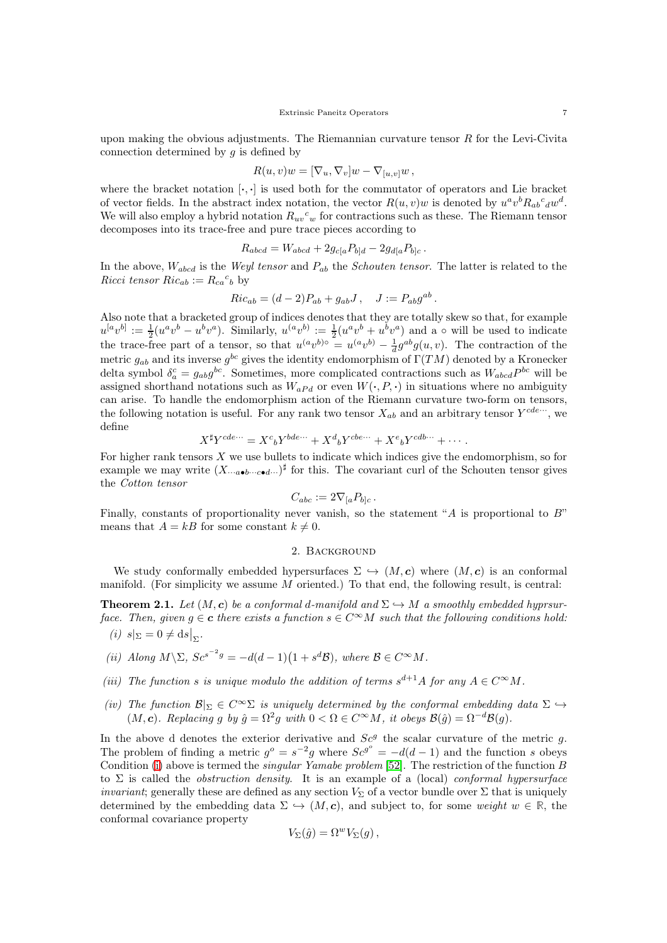upon making the obvious adjustments. The Riemannian curvature tensor  $R$  for the Levi-Civita connection determined by  $q$  is defined by

$$
R(u, v)w = [\nabla_u, \nabla_v]w - \nabla_{[u, v]}w,
$$

where the bracket notation  $[\cdot, \cdot]$  is used both for the commutator of operators and Lie bracket of vector fields. In the abstract index notation, the vector  $R(u, v)w$  is denoted by  $u^av^bR_{ab}c_dw^d$ . We will also employ a hybrid notation  $R_{uv}{}^c{}_w$  for contractions such as these. The Riemann tensor decomposes into its trace-free and pure trace pieces according to

$$
R_{abcd} = W_{abcd} + 2g_{c[a}P_{b]d} - 2g_{d[a}P_{b]c}.
$$

In the above,  $W_{abcd}$  is the *Weyl tensor* and  $P_{ab}$  the *Schouten tensor*. The latter is related to the Ricci tensor  $Ric_{ab} := R_{ca}{}^c{}_b$  by

$$
Ric_{ab} = (d-2)P_{ab} + g_{ab}J, \quad J := P_{ab}g^{ab}.
$$

Also note that a bracketed group of indices denotes that they are totally skew so that, for example  $u^{[a}v^{b]} := \frac{1}{2}(u^av^b - u^bv^a)$ . Similarly,  $u^{(a}v^{b)} := \frac{1}{2}(u^av^b + u^bv^a)$  and a  $\circ$  will be used to indicate the trace-free part of a tensor, so that  $u^{(a}v^{b)} = u^{(a}v^{b)} - \frac{1}{d}g^{ab}g(u, v)$ . The contraction of the metric  $g_{ab}$  and its inverse  $g^{bc}$  gives the identity endomorphism of  $\Gamma(TM)$  denoted by a Kronecker delta symbol  $\delta_a^c = g_{ab}g^{bc}$ . Sometimes, more complicated contractions such as  $W_{abcd}P^{bc}$  will be assigned shorthand notations such as  $W_{aPd}$  or even  $W(\cdot, P, \cdot)$  in situations where no ambiguity can arise. To handle the endomorphism action of the Riemann curvature two-form on tensors, the following notation is useful. For any rank two tensor  $X_{ab}$  and an arbitrary tensor  $Y^{cde\cdots}$ , we define

$$
X^{\sharp}Y^{cde\cdots} = X^{c}{}_{b}Y^{bde\cdots} + X^{d}{}_{b}Y^{cbe\cdots} + X^{e}{}_{b}Y^{cdb\cdots} + \cdots
$$

For higher rank tensors  $X$  we use bullets to indicate which indices give the endomorphism, so for example we may write  $(X_{\cdots a\bullet b\cdots c\bullet d\cdots})^{\sharp}$  for this. The covariant curl of the Schouten tensor gives the Cotton tensor

$$
C_{abc} := 2\nabla_{[a} P_{b]c} \, .
$$

<span id="page-6-0"></span>Finally, constants of proportionality never vanish, so the statement "A is proportional to  $B$ " means that  $A = kB$  for some constant  $k \neq 0$ .

#### 2. Background

We study conformally embedded hypersurfaces  $\Sigma \hookrightarrow (M, c)$  where  $(M, c)$  is an conformal manifold. (For simplicity we assume  $M$  oriented.) To that end, the following result, is central:

<span id="page-6-2"></span><span id="page-6-1"></span>**Theorem 2.1.** Let  $(M, c)$  be a conformal d-manifold and  $\Sigma \hookrightarrow M$  a smoothly embedded hyprsurface. Then, given  $g \in \mathbf{c}$  there exists a function  $s \in C^{\infty}M$  such that the following conditions hold: (i)  $s|_{\Sigma} = 0 \neq ds|_{\Sigma}$ .

- (ii) Along  $M \backslash \Sigma$ ,  $Sc^{s^{-2}g} = -d(d-1)(1 + s^d \mathcal{B})$ , where  $\mathcal{B} \in C^{\infty}M$ .
- <span id="page-6-3"></span>(iii) The function s is unique modulo the addition of terms  $s^{d+1}A$  for any  $A \in C^{\infty}M$ .
- (iv) The function  $\mathcal{B}|_{\Sigma} \in C^{\infty} \Sigma$  is uniquely determined by the conformal embedding data  $\Sigma \hookrightarrow$  $(M, c)$ . Replacing g by  $\hat{g} = \Omega^2 g$  with  $0 < \Omega \in C^{\infty}M$ , it obeys  $\mathcal{B}(\hat{g}) = \Omega^{-d} \mathcal{B}(g)$ .

In the above d denotes the exterior derivative and  $Sc<sup>g</sup>$  the scalar curvature of the metric g. The problem of finding a metric  $g^{\circ} = s^{-2}g$  where  $Sc^{g^{\circ}} = -d(d-1)$  and the function s obeys Condition [\(i\)](#page-6-2) above is termed the singular Yamabe problem [\[52\]](#page-34-18). The restriction of the function B to  $\Sigma$  is called the *obstruction density*. It is an example of a (local) *conformal hypersurface invariant*; generally these are defined as any section  $V_{\Sigma}$  of a vector bundle over  $\Sigma$  that is uniquely determined by the embedding data  $\Sigma \hookrightarrow (M, c)$ , and subject to, for some weight  $w \in \mathbb{R}$ , the conformal covariance property

$$
V_{\Sigma}(\hat{g}) = \Omega^w V_{\Sigma}(g) ,
$$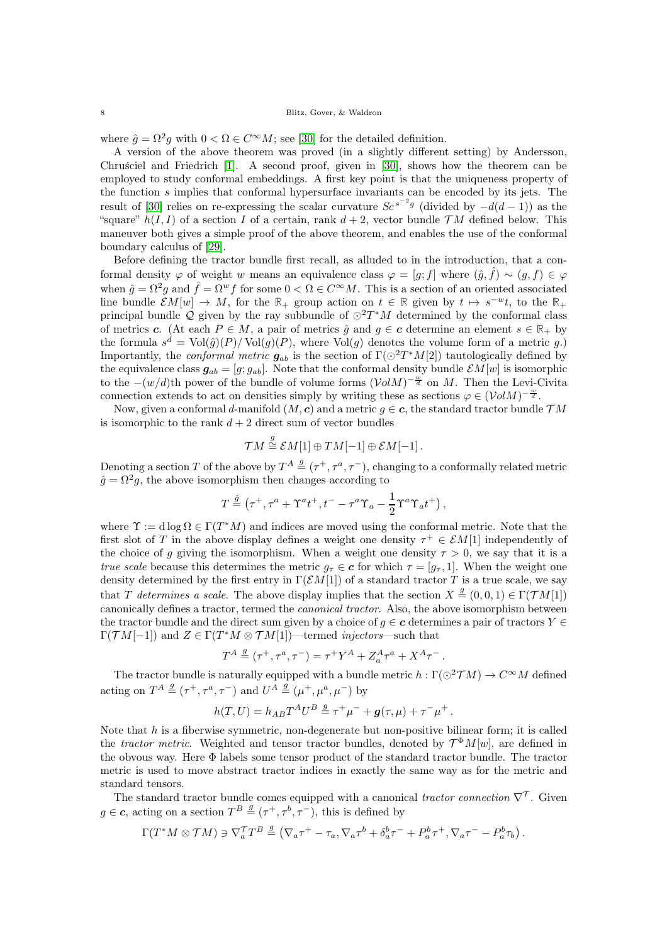where  $\hat{g} = \Omega^2 g$  with  $0 < \Omega \in C^{\infty}M$ ; see [\[30\]](#page-33-14) for the detailed definition.

A version of the above theorem was proved (in a slightly different setting) by Andersson, Chruściel and Friedrich [\[1\]](#page-33-12). A second proof, given in [\[30\]](#page-33-14), shows how the theorem can be employed to study conformal embeddings. A first key point is that the uniqueness property of the function s implies that conformal hypersurface invariants can be encoded by its jets. The result of [\[30\]](#page-33-14) relies on re-expressing the scalar curvature  $Se^{s^{-2}g}$  (divided by  $-d(d-1)$ ) as the "square"  $h(I, I)$  of a section I of a certain, rank  $d + 2$ , vector bundle  $TM$  defined below. This maneuver both gives a simple proof of the above theorem, and enables the use of the conformal boundary calculus of [\[29\]](#page-33-15).

Before defining the tractor bundle first recall, as alluded to in the introduction, that a conformal density  $\varphi$  of weight w means an equivalence class  $\varphi = [g; f]$  where  $(\hat{g}, \hat{f}) \sim (g, f) \in \varphi$ when  $\hat{g} = \Omega^2 g$  and  $\hat{f} = \Omega^w f$  for some  $0 < \Omega \in C^{\infty}M$ . This is a section of an oriented associated line bundle  $\mathcal{E}M[w] \to M$ , for the  $\mathbb{R}_+$  group action on  $t \in \mathbb{R}$  given by  $t \mapsto s^{-w}t$ , to the  $\mathbb{R}_+$ principal bundle Q given by the ray subbundle of  $\odot^2 T^*M$  determined by the conformal class of metrics c. (At each  $P \in M$ , a pair of metrics  $\hat{q}$  and  $q \in \mathbf{c}$  determine an element  $s \in \mathbb{R}_+$  by the formula  $s^d = Vol(\hat{g})(P) / Vol(g)(P)$ , where  $Vol(g)$  denotes the volume form of a metric g.) Importantly, the *conformal metric*  $g_{ab}$  is the section of  $\Gamma(\bigcirc^2 T^*M[2])$  tautologically defined by the equivalence class  $g_{ab} = [g; g_{ab}]$ . Note that the conformal density bundle  $\mathcal{E}M[w]$  is isomorphic to the  $-(w/d)$ th power of the bundle of volume forms  $(\mathcal{V}olM)^{-\frac{w}{d}}$  on M. Then the Levi-Civita connection extends to act on densities simply by writing these as sections  $\varphi \in (\mathcal{V}olM)^{-\frac{w}{d}}$ .

Now, given a conformal d-manifold  $(M, c)$  and a metric  $g \in c$ , the standard tractor bundle  $TM$ is isomorphic to the rank  $d + 2$  direct sum of vector bundles

$$
\mathcal{T}M\stackrel{g}{\cong}\mathcal{E}M[1]\oplus TM[-1]\oplus\mathcal{E}M[-1]\,.
$$

Denoting a section T of the above by  $T^A \stackrel{g}{=} (\tau^+, \tau^a, \tau^-)$ , changing to a conformally related metric  $\hat{g} = \Omega^2 g$ , the above isomorphism then changes according to

$$
T \stackrel{\hat{g}}{=} (\tau^+, \tau^a + \Upsilon^a t^+, t^- - \tau^a \Upsilon_a - \frac{1}{2} \Upsilon^a \Upsilon_a t^+),
$$

where  $\Upsilon := d \log \Omega \in \Gamma(T^*M)$  and indices are moved using the conformal metric. Note that the first slot of T in the above display defines a weight one density  $\tau^+ \in \mathcal{E}M[1]$  independently of the choice of g giving the isomorphism. When a weight one density  $\tau > 0$ , we say that it is a *true scale* because this determines the metric  $g_{\tau} \in \mathbf{c}$  for which  $\tau = [g_{\tau}, 1]$ . When the weight one density determined by the first entry in  $\Gamma(\mathcal{E}M[1])$  of a standard tractor T is a true scale, we say that T determines a scale. The above display implies that the section  $X \stackrel{g}{=} (0,0,1) \in \Gamma(\mathcal{T} M[1])$ canonically defines a tractor, termed the canonical tractor. Also, the above isomorphism between the tractor bundle and the direct sum given by a choice of  $q \in \mathbf{c}$  determines a pair of tractors  $Y \in$  $\Gamma(\mathcal{T} M[-1])$  and  $Z \in \Gamma(T^*M \otimes \mathcal{T} M[1])$ —termed *injectors*—such that

$$
T^A\stackrel{g}{=}(\tau^+,\tau^a,\tau^-)=\tau^+Y^A+Z^A_a\tau^a+X^A\tau^- \,.
$$

The tractor bundle is naturally equipped with a bundle metric  $h : \Gamma(\odot^2 \mathcal{T}M) \to C^\infty M$  defined acting on  $T^A \stackrel{g}{=} (\tau^+, \tau^a, \tau^-)$  and  $U^A \stackrel{g}{=} (\mu^+, \mu^a, \mu^-)$  by

$$
h(T, U) = h_{AB}T^{A}U^{B} \stackrel{g}{=} \tau^{+}\mu^{-} + g(\tau, \mu) + \tau^{-}\mu^{+}.
$$

Note that  $h$  is a fiberwise symmetric, non-degenerate but non-positive bilinear form; it is called the tractor metric. Weighted and tensor tractor bundles, denoted by  $\mathcal{T}^{\Phi}M[w]$ , are defined in the obvous way. Here Φ labels some tensor product of the standard tractor bundle. The tractor metric is used to move abstract tractor indices in exactly the same way as for the metric and standard tensors.

The standard tractor bundle comes equipped with a canonical tractor connection  $\nabla^{\mathcal{T}}$ . Given  $g \in \mathbf{c}$ , acting on a section  $T^B \stackrel{g}{=} (\tau^+, \tau^b, \tau^-)$ , this is defined by

$$
\Gamma(T^*M\otimes {\mathcal T} M)\ni \nabla_a^{\mathcal T} T^B\stackrel{g}{=} \left(\nabla_a\tau^+-\tau_a,\nabla_a\tau^b+\delta_a^b\tau^-+P_a^b\tau^+,\nabla_a\tau^- -P_a^b\tau_b\right).
$$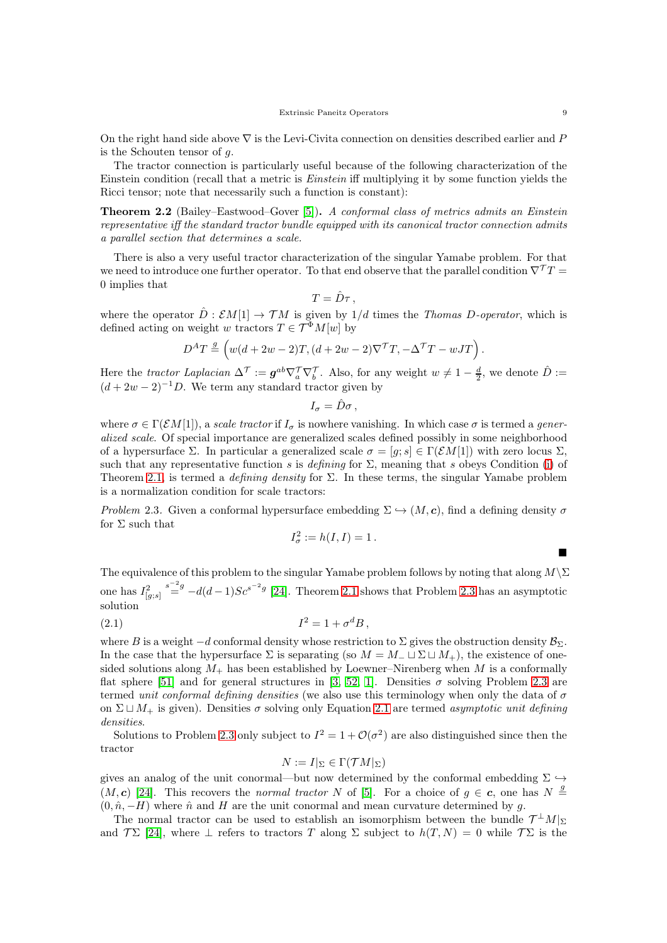On the right hand side above  $\nabla$  is the Levi-Civita connection on densities described earlier and P is the Schouten tensor of  $q$ .

The tractor connection is particularly useful because of the following characterization of the Einstein condition (recall that a metric is Einstein iff multiplying it by some function yields the Ricci tensor; note that necessarily such a function is constant):

Theorem 2.2 (Bailey–Eastwood–Gover [\[5\]](#page-33-16)). A conformal class of metrics admits an Einstein representative iff the standard tractor bundle equipped with its canonical tractor connection admits a parallel section that determines a scale.

There is also a very useful tractor characterization of the singular Yamabe problem. For that we need to introduce one further operator. To that end observe that the parallel condition  $\nabla^T T =$ 0 implies that

$$
T=\hat{D}\tau\,,
$$

where the operator  $\hat{D}: \mathcal{E}M[1] \to \mathcal{T}M$  is given by  $1/d$  times the *Thomas D-operator*, which is defined acting on weight w tractors  $T \in \mathcal{T}^{\Phi}M[w]$  by

$$
D^{A}T \stackrel{g}{=} \left(w(d+2w-2)T, (d+2w-2)\nabla^{\mathcal{T}}T, -\Delta^{\mathcal{T}}T - wJT\right).
$$

Here the tractor Laplacian  $\Delta^{\mathcal{T}} := \mathbf{g}^{ab} \nabla_a^{\mathcal{T}} \nabla_b^{\mathcal{T}}$ . Also, for any weight  $w \neq 1 - \frac{d}{2}$ , we denote  $\hat{D} :=$  $(d+2w-2)^{-1}D$ . We term any standard tractor given by

 $I_{\sigma} = \hat{D}\sigma$ ,

where  $\sigma \in \Gamma(\mathcal{E}M[1])$ , a scale tractor if  $I_{\sigma}$  is nowhere vanishing. In which case  $\sigma$  is termed a generalized scale. Of special importance are generalized scales defined possibly in some neighborhood of a hypersurface Σ. In particular a generalized scale  $\sigma = [g; s] \in \Gamma(\mathcal{E}M[1])$  with zero locus Σ, such that any representative function s is defining for  $\Sigma$ , meaning that s obeys Condition [\(i\)](#page-6-2) of Theorem [2.1,](#page-6-1) is termed a *defining density* for  $\Sigma$ . In these terms, the singular Yamabe problem is a normalization condition for scale tractors:

<span id="page-8-0"></span>Problem 2.3. Given a conformal hypersurface embedding  $\Sigma \hookrightarrow (M, c)$ , find a defining density  $\sigma$ for  $\Sigma$  such that

<span id="page-8-1"></span>
$$
I_{\sigma}^2 := h(I, I) = 1.
$$

The equivalence of this problem to the singular Yamabe problem follows by noting that along  $M\backslash\Sigma$ one has  $I_{[g;s]}^2$  $s^{-2}$ <sup>s-2</sup> $-d(d-1)Sc^{s^{-2}g}$  [\[24\]](#page-33-10). Theorem [2.1](#page-6-1) shows that Problem [2.3](#page-8-0) has an asymptotic solution

$$
(2.1) \tI2 = 1 + \sigmadB,
$$

where B is a weight  $-d$  conformal density whose restriction to  $\Sigma$  gives the obstruction density  $\mathcal{B}_{\Sigma}$ . In the case that the hypersurface  $\Sigma$  is separating (so  $M = M_-\sqcup \Sigma \sqcup M_+$ ), the existence of onesided solutions along  $M_{+}$  has been established by Loewner–Nirenberg when M is a conformally flat sphere [\[51\]](#page-34-19) and for general structures in [\[3,](#page-33-19) [52,](#page-34-18) [1\]](#page-33-12). Densities  $\sigma$  solving Problem [2.3](#page-8-0) are termed unit conformal defining densities (we also use this terminology when only the data of  $\sigma$ on  $\Sigma \sqcup M_+$  is given). Densities  $\sigma$  solving only Equation [2.1](#page-8-1) are termed asymptotic unit defining densities.

Solutions to Problem [2.3](#page-8-0) only subject to  $I^2 = 1 + \mathcal{O}(\sigma^2)$  are also distinguished since then the tractor

$$
N := I|_{\Sigma} \in \Gamma(\mathcal{T}M|_{\Sigma})
$$

gives an analog of the unit conormal—but now determined by the conformal embedding  $\Sigma \hookrightarrow$  $(M, c)$  [\[24\]](#page-33-10). This recovers the *normal tractor* N of [\[5\]](#page-33-16). For a choice of  $g \in c$ , one has  $N \stackrel{g}{=}$  $(0, \hat{n}, -H)$  where  $\hat{n}$  and H are the unit conormal and mean curvature determined by g.

The normal tractor can be used to establish an isomorphism between the bundle  $\mathcal{T}^{\perp}M|_{\Sigma}$ and  $\mathcal{T}\Sigma$  [\[24\]](#page-33-10), where  $\bot$  refers to tractors T along  $\Sigma$  subject to  $h(T, N) = 0$  while  $\mathcal{T}\Sigma$  is the

 $\blacksquare$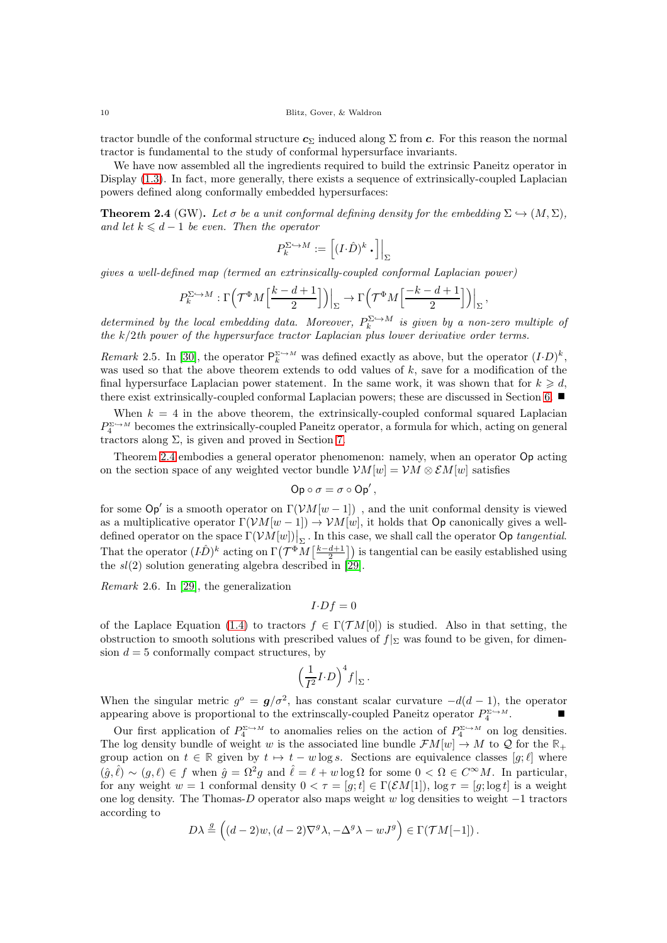tractor bundle of the conformal structure  $c_{\Sigma}$  induced along  $\Sigma$  from c. For this reason the normal tractor is fundamental to the study of conformal hypersurface invariants.

We have now assembled all the ingredients required to build the extrinsic Paneitz operator in Display  $(1.3)$ . In fact, more generally, there exists a sequence of extrinsically-coupled Laplacian powers defined along conformally embedded hypersurfaces:

<span id="page-9-0"></span>**Theorem 2.4** (GW). Let  $\sigma$  be a unit conformal defining density for the embedding  $\Sigma \hookrightarrow (M, \Sigma)$ , and let  $k \leq d-1$  be even. Then the operator

$$
P_k^{\Sigma \hookrightarrow M} := \left[ (I \cdot \hat{D})^k \cdot \right] \Big|_{\Sigma}
$$

gives a well-defined map (termed an extrinsically-coupled conformal Laplacian power)

$$
P_k^{\Sigma \hookrightarrow M} : \Gamma\left(\mathcal{T}^{\Phi}M\left[\frac{k-d+1}{2}\right]\right)\Big|_{\Sigma} \to \Gamma\left(\mathcal{T}^{\Phi}M\left[\frac{-k-d+1}{2}\right]\right)\Big|_{\Sigma},
$$

determined by the local embedding data. Moreover,  $P_k^{\Sigma \hookrightarrow M}$  is given by a non-zero multiple of the k/2th power of the hypersurface tractor Laplacian plus lower derivative order terms.

Remark 2.5. In [\[30\]](#page-33-14), the operator  $P_k^{\Sigma \hookrightarrow M}$  was defined exactly as above, but the operator  $(I \cdot D)^k$ , was used so that the above theorem extends to odd values of  $k$ , save for a modification of the final hypersurface Laplacian power statement. In the same work, it was shown that for  $k \geq d$ , there exist extrinsically-coupled conformal Laplacian powers; these are discussed in Section [6.](#page-17-0)

When  $k = 4$  in the above theorem, the extrinsically-coupled conformal squared Laplacian  $P_4^{\Sigma \to M}$  becomes the extrinsically-coupled Paneitz operator, a formula for which, acting on general tractors along  $\Sigma$ , is given and proved in Section [7.](#page-20-0)

Theorem [2.4](#page-9-0) embodies a general operator phenomenon: namely, when an operator Op acting on the section space of any weighted vector bundle  $\mathcal{V}M[w] = \mathcal{V}M \otimes \mathcal{E}M[w]$  satisfies

$$
\mathsf{Op}\circ\sigma=\sigma\circ\mathsf{Op}'\,,
$$

for some  $\mathsf{Op}'$  is a smooth operator on  $\Gamma(\mathcal{V}M[w-1])$ , and the unit conformal density is viewed as a multiplicative operator  $\Gamma(\mathcal{V}M[w-1]) \to \mathcal{V}M[w]$ , it holds that Op canonically gives a welldefined operator on the space  $\Gamma(\mathcal{V}M[w])|_{\Sigma}$ . In this case, we shall call the operator Op tangential. That the operator  $(I\hat{D})^k$  acting on  $\Gamma(\mathcal{T}^{\Phi}M\left[\frac{k-d+1}{2}\right])$  is tangential can be easily established using the  $sl(2)$  solution generating algebra described in [\[29\]](#page-33-15).

Remark 2.6. In [\[29\]](#page-33-15), the generalization

$$
I \cdot Df = 0
$$

of the Laplace Equation [\(1.4\)](#page-3-2) to tractors  $f \in \Gamma(\mathcal{T}M[0])$  is studied. Also in that setting, the obstruction to smooth solutions with prescribed values of  $f|_{\Sigma}$  was found to be given, for dimension  $d = 5$  conformally compact structures, by

$$
\Big(\frac{1}{I^2}I \!\cdot\! D\Big)^4f\big|_{\Sigma}\,.
$$

When the singular metric  $g^{\circ} = g/\sigma^2$ , has constant scalar curvature  $-d(d-1)$ , the operator appearing above is proportional to the extrinscally-coupled Paneitz operator  $P_4^{\Sigma \hookrightarrow M}$ .

Our first application of  $P_4^{\Sigma \hookrightarrow M}$  to anomalies relies on the action of  $P_4^{\Sigma \hookrightarrow M}$  on log densities. The log density bundle of weight w is the associated line bundle  $\mathcal{F}M[w] \to M$  to  $\mathcal Q$  for the  $\mathbb R_+$ group action on  $t \in \mathbb{R}$  given by  $t \mapsto t - w \log s$ . Sections are equivalence classes  $[g; \ell]$  where  $(\hat{g}, \hat{\ell}) \sim (g, \ell) \in f$  when  $\hat{g} = \Omega^2 g$  and  $\hat{\ell} = \ell + w \log \Omega$  for some  $0 < \Omega \in C^{\infty}M$ . In particular, for any weight  $w = 1$  conformal density  $0 < \tau = [q; t] \in \Gamma(\mathcal{E}M[1])$ ,  $\log \tau = [q; \log t]$  is a weight one log density. The Thomas-D operator also maps weight w log densities to weight −1 tractors according to

$$
D\lambda \stackrel{g}{=} ((d-2)w, (d-2)\nabla^g \lambda, -\Delta^g \lambda - wJ^g) \in \Gamma(\mathcal{T}M[-1])\,.
$$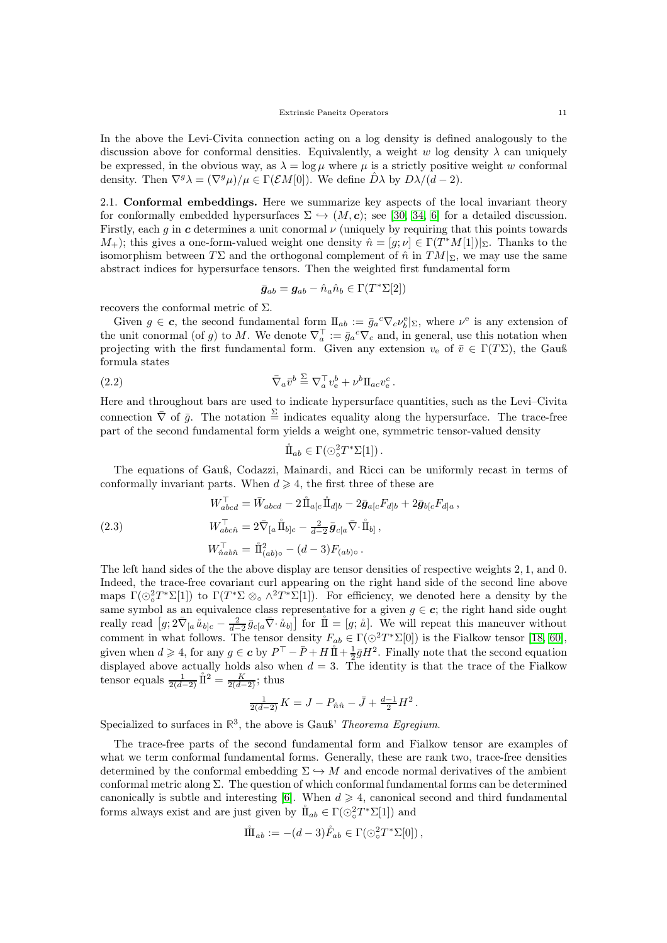In the above the Levi-Civita connection acting on a log density is defined analogously to the discussion above for conformal densities. Equivalently, a weight w log density  $\lambda$  can uniquely be expressed, in the obvious way, as  $\lambda = \log \mu$  where  $\mu$  is a strictly positive weight w conformal density. Then  $\nabla^g \lambda = (\nabla^g \mu)/\mu \in \Gamma(\mathcal{E}M[0])$ . We define  $\hat{D}\lambda$  by  $D\lambda/(d-2)$ .

<span id="page-10-0"></span>2.1. Conformal embeddings. Here we summarize key aspects of the local invariant theory for conformally embedded hypersurfaces  $\Sigma \hookrightarrow (M, c)$ ; see [\[30,](#page-33-14) [34,](#page-34-8) [6\]](#page-33-11) for a detailed discussion. Firstly, each q in c determines a unit conormal  $\nu$  (uniquely by requiring that this points towards  $(M_+)$ ; this gives a one-form-valued weight one density  $\hat{n} = [g; \nu] \in \Gamma(T^*M[1])|_{\Sigma}$ . Thanks to the isomorphism between  $T\Sigma$  and the orthogonal complement of  $\hat{n}$  in  $TM|_{\Sigma}$ , we may use the same abstract indices for hypersurface tensors. Then the weighted first fundamental form

$$
\bar{\bm{g}}_{ab} = \bm{g}_{ab} - \hat{n}_a \hat{n}_b \in \Gamma(T^*\Sigma[2])
$$

recovers the conformal metric of  $\Sigma$ .

Given  $g \in \mathbf{c}$ , the second fundamental form  $\Pi_{ab} := \bar{g}_a^c \nabla_c \nu_b^e|_{\Sigma}$ , where  $\nu^e$  is any extension of the unit conormal (of g) to M. We denote  $\nabla_a^{\top} := \bar{g}_a{}^c \nabla_c$  and, in general, use this notation when projecting with the first fundamental form. Given any extension  $v_e$  of  $\bar{v} \in \Gamma(T\Sigma)$ , the Gauß formula states

(2.2) 
$$
\overline{\nabla}_a \overline{v}^b \stackrel{\Sigma}{=} \nabla_a^{\top} v_{\rm e}^b + \nu^b \Pi_{ac} v_{\rm e}^c.
$$

Here and throughout bars are used to indicate hypersurface quantities, such as the Levi–Civita connection  $\overline{\nabla}$  of  $\overline{g}$ . The notation  $\frac{\Sigma}{g}$  indicates equality along the hypersurface. The trace-free part of the second fundamental form yields a weight one, symmetric tensor-valued density

<span id="page-10-2"></span>
$$
\mathring{\rm{ I\hspace{-.2mm} I}}{\hspace{.2mm}}_{ab}\in\Gamma(\odot^2_\circ T^*\Sigma[1])\,.
$$

The equations of Gauß, Codazzi, Mainardi, and Ricci can be uniformly recast in terms of conformally invariant parts. When  $d \geq 4$ , the first three of these are

<span id="page-10-1"></span>(2.3)  
\n
$$
W_{abcd}^{\top} = \bar{W}_{abcd} - 2\mathring{\Pi}_{a[c}\mathring{\Pi}_{d]b} - 2\bar{g}_{a[c}F_{d]b} + 2\bar{g}_{b[c}F_{d]a},
$$
\n
$$
W_{abc\hat{n}}^{\top} = 2\bar{\nabla}_{[a}\mathring{\Pi}_{b]c} - \frac{2}{d-2}\bar{g}_{c[a}\bar{\nabla}\cdot\mathring{\Pi}_{b]},
$$
\n
$$
W_{\hat{n}ab\hat{n}}^{\top} = \mathring{\Pi}_{(ab)\circ}^{2} - (d-3)F_{(ab)\circ}.
$$

The left hand sides of the the above display are tensor densities of respective weights 2, 1, and 0. Indeed, the trace-free covariant curl appearing on the right hand side of the second line above maps  $\Gamma(\bigcirc^2_{\circ}T^*\Sigma[1])$  to  $\Gamma(T^*\Sigma \otimes_{\circ} \wedge^2T^*\Sigma[1])$ . For efficiency, we denoted here a density by the same symbol as an equivalence class representative for a given  $g \in \mathbf{c}$ ; the right hand side ought really read  $[g; 2\bar{\nabla}_{[a} \mathring{u}_{b]c} - \frac{2}{d-2} \bar{g}_{c[a} \bar{\nabla} \cdot \mathring{u}_{b]}]$  for  $\mathring{\rm{I\!I}} = [g; \mathring{u}]$ . We will repeat this maneuver without comment in what follows. The tensor density  $F_{ab} \in \Gamma(\bigcirc^2 T^* \Sigma[0])$  is the Fialkow tensor [\[18,](#page-33-20) [60\]](#page-34-20), given when  $d \geqslant 4$ , for any  $g \in \mathbf{c}$  by  $P^{\top} - \bar{P} + H \mathring{\amalg} + \frac{1}{2} \bar{g} H^2$ . Finally note that the second equation displayed above actually holds also when  $d = 3$ . The identity is that the trace of the Fialkow tensor equals  $\frac{1}{2(d-2)}$   $\mathring{\rm{II}}^2 = \frac{K}{2(d-2)}$ ; thus

$$
\frac{1}{2(d-2)} K = J - P_{\hat{n}\hat{n}} - \bar{J} + \frac{d-1}{2} H^2.
$$

Specialized to surfaces in  $\mathbb{R}^3$ , the above is Gauß' *Theorema Egregium*.

The trace-free parts of the second fundamental form and Fialkow tensor are examples of what we term conformal fundamental forms. Generally, these are rank two, trace-free densities determined by the conformal embedding  $\Sigma \hookrightarrow M$  and encode normal derivatives of the ambient conformal metric along  $\Sigma$ . The question of which conformal fundamental forms can be determined canonically is subtle and interesting [\[6\]](#page-33-11). When  $d \geq 4$ , canonical second and third fundamental forms always exist and are just given by  $\mathring{\mathbf{I}}_{ab} \in \Gamma(\odot^2_o T^* \Sigma[1])$  and

$$
\mathring{\rm{ I\hspace{-.2mm} I}}{\hspace{.2mm}}_{ab} := -(d-3)\mathring{F}_{ab} \in \Gamma(\odot^2_\circ T^*\Sigma[0]),
$$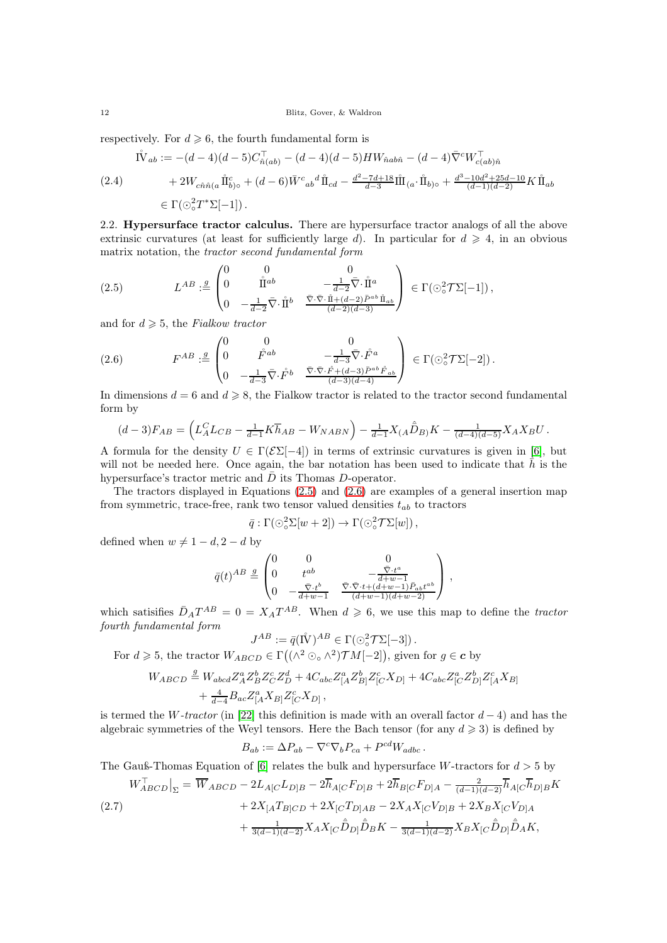respectively. For  $d \geqslant 6$ , the fourth fundamental form is

<span id="page-11-3"></span>
$$
\begin{split} \mathring{\mathbf{I}}(2.4) \qquad \qquad \mathring{\mathbf{I}}(\mathring{\mathbf{I}}_{ab}) &:= -(d-4)(d-5)C_{\hat{n}(ab)}^{\top} - (d-4)(d-5)HW_{\hat{n}ab\hat{n}} - (d-4)\bar{\nabla}^c W_{c(ab)\hat{n}}^{\top} \\ &+ 2W_{c\hat{n}\hat{n}(a}\,\mathring{\mathbf{I}}_{b)\circ}^c + (d-6)\bar{W}^c{}_{ab}{}^d \,\mathring{\mathbf{I}}_{cd} - \frac{d^2 - 7d + 18}{d-3}\mathring{\mathbf{I}}(\mathring{\mathbf{I}}_{(a}\cdot\mathring{\mathbf{I}}_{b)\circ} + \frac{d^3 - 10d^2 + 25d - 10}{(d-1)(d-2)}K\,\mathring{\mathbf{I}}_{ab} \\ &\in \Gamma(\odot_o^2 T^*\Sigma[-1]) \,. \end{split}
$$

<span id="page-11-0"></span>2.2. Hypersurface tractor calculus. There are hypersurface tractor analogs of all the above extrinsic curvatures (at least for sufficiently large d). In particular for  $d \geq 4$ , in an obvious matrix notation, the tractor second fundamental form

<span id="page-11-1"></span>(2.5) 
$$
L^{AB} := \begin{pmatrix} 0 & 0 & 0 \\ 0 & \mathring{\Pi}^{ab} & -\frac{1}{d-2}\bar{\nabla}\cdot\mathring{\Pi}^a \\ 0 & -\frac{1}{d-2}\bar{\nabla}\cdot\mathring{\Pi}^b & \frac{\bar{\nabla}\cdot\bar{\nabla}\cdot\mathring{\Pi} + (d-2)\bar{P}^{ab}\mathring{\Pi}_{ab}}{(d-2)(d-3)} \end{pmatrix} \in \Gamma(\odot^2_{\circ}\mathcal{T}\Sigma[-1]),
$$

and for  $d \geqslant 5$ , the Fialkow tractor

<span id="page-11-2"></span>
$$
(2.6) \tF^{AB} := \begin{pmatrix} 0 & 0 & 0 \\ 0 & \overset{\circ}{F}^{ab} & -\frac{1}{d-3}\bar{\nabla}\cdot\overset{\circ}{F}^{a} \\ 0 & -\frac{1}{d-3}\bar{\nabla}\cdot\overset{\circ}{F}^{b} & \frac{\bar{\nabla}\cdot\bar{\nabla}\cdot\overset{\circ}{F} + (d-3)\tilde{P}^{ab}\cdot\overset{\circ}{F}_{ab}}{(d-3)(d-4)} \end{pmatrix} \in \Gamma(\odot^{2}_{\circ}\mathcal{T}\Sigma[-2]).
$$

In dimensions  $d = 6$  and  $d \ge 8$ , the Fialkow tractor is related to the tractor second fundamental form by

$$
(d-3)F_{AB} = \left(L_A^C L_{CB} - \frac{1}{d-1} K \overline{h}_{AB} - W_{NABN}\right) - \frac{1}{d-1} X_{(A} \hat{\overline{D}}_{B)} K - \frac{1}{(d-4)(d-5)} X_A X_B U.
$$

A formula for the density  $U \in \Gamma(\mathcal{E}\Sigma[-4])$  in terms of extrinsic curvatures is given in [\[6\]](#page-33-11), but will not be needed here. Once again, the bar notation has been used to indicate that  $h$  is the hypersurface's tractor metric and  $\bar{D}$  its Thomas D-operator.

The tractors displayed in Equations [\(2.5\)](#page-11-1) and [\(2.6\)](#page-11-2) are examples of a general insertion map from symmetric, trace-free, rank two tensor valued densities  $t_{ab}$  to tractors

$$
\bar{q} : \Gamma(\odot^2_{\circ} \Sigma[w+2]) \to \Gamma(\odot^2_{\circ} \mathcal{T} \Sigma[w]),
$$

defined when  $w \neq 1 - d$ ,  $2 - d$  by

$$
\bar{q}(t)^{AB} \stackrel{g}{=} \begin{pmatrix} 0 & 0 & 0 \\ 0 & t^{ab} & -\frac{\bar{\nabla} \cdot t^a}{d+w-1} \\ 0 & -\frac{\bar{\nabla} \cdot t^b}{d+w-1} & \frac{\bar{\nabla} \cdot \bar{\nabla} \cdot t + (d+w-1)\bar{P}_{ab}t^{ab}}{(d+w-1)(d+w-2)} \end{pmatrix},
$$

which satisifies  $\bar{D}_A T^{AB} = 0 = X_A T^{AB}$ . When  $d \geq 6$ , we use this map to define the tractor fourth fundamental form

$$
J^{AB} := \bar{q}(\mathring{\rm I\!V})^{AB} \in \Gamma(\odot^2_{\circ} \mathcal{T} \Sigma[-3])\,.
$$

For  $d \geqslant 5$ , the tractor  $W_{ABCD} \in \Gamma((\wedge^2 \odot \wedge^2) \mathcal{T}M[-2])$ , given for  $g \in \mathbf{c}$  by

$$
\begin{split} W_{ABCD} &\stackrel{g}{=} W_{abcd} Z_A^a Z_B^b Z_C^c Z_D^d + 4 C_{abc} Z_{[A}^a Z_B^b Z_{[C}^c X_{D]} + 4 C_{abc} Z_{[C}^a Z_{D]}^b Z_{[A}^c X_{B]} \\ &\quad + \tfrac{4}{d-4} B_{ac} Z_{[A}^a X_{B]} Z_{[C}^c X_{D]}\,, \end{split}
$$

is termed the W-tractor (in [\[22\]](#page-33-21) this definition is made with an overall factor  $d-4$ ) and has the algebraic symmetries of the Weyl tensors. Here the Bach tensor (for any  $d \geqslant 3$ ) is defined by

$$
B_{ab} := \Delta P_{ab} - \nabla^c \nabla_b P_{ca} + P^{cd} W_{adbc}.
$$

The Gauß-Thomas Equation of [\[6\]](#page-33-11) relates the bulk and hypersurface W-tractors for  $d > 5$  by

$$
W_{ABCD}^{\top}\Big|_{\Sigma} = \overline{W}_{ABCD} - 2L_{A[C}L_{D]B} - 2\overline{h}_{A[C}F_{D]B} + 2\overline{h}_{B[C}F_{D]A} - \frac{2}{(d-1)(d-2)}\overline{h}_{A[C}\overline{h}_{D]B}K
$$
  
(2.7)  

$$
+ 2X_{[A}T_{B]CD} + 2X_{[C}T_{D]AB} - 2X_{A}X_{[C}V_{D]B} + 2X_{B}X_{[C}V_{D]A}
$$

$$
+ \frac{1}{3(d-1)(d-2)}X_{A}X_{[C}\hat{\overline{D}}_{D]}\hat{\overline{D}}_{B}K - \frac{1}{3(d-1)(d-2)}X_{B}X_{[C}\hat{\overline{D}}_{D]}\hat{\overline{D}}_{A}K,
$$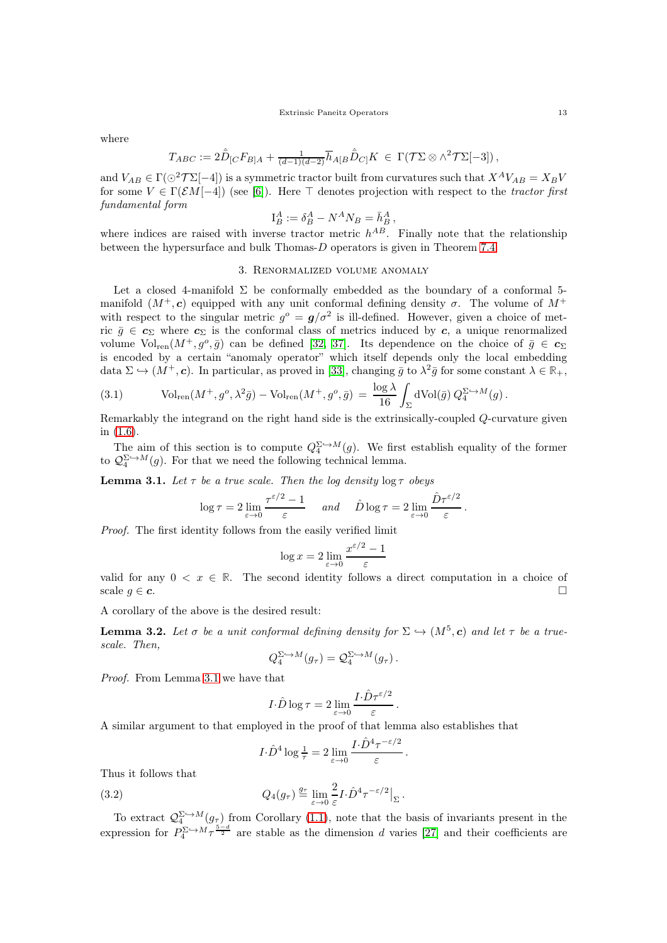where

$$
T_{ABC} := 2\hat{\overline{D}}_{[C}F_{B]A} + \frac{1}{(d-1)(d-2)}\overline{h}_{A[B}\hat{\overline{D}}_{C]}K \in \Gamma(\mathcal{T}\Sigma\otimes\wedge^2\mathcal{T}\Sigma[-3]),
$$

and  $V_{AB} \in \Gamma(\odot^2 \mathcal{T} \Sigma [-4])$  is a symmetric tractor built from curvatures such that  $X^A V_{AB} = X_B V$ for some  $V \in \Gamma(\mathcal{E}M[-4])$  (see [\[6\]](#page-33-11)). Here  $\top$  denotes projection with respect to the tractor first fundamental form

$$
\mathcal{I}_B^A := \delta_B^A - N^A N_B = \bar{h}_B^A,
$$

<span id="page-12-0"></span>where indices are raised with inverse tractor metric  $h^{AB}$ . Finally note that the relationship between the hypersurface and bulk Thomas-D operators is given in Theorem [7.4.](#page-21-0)

### 3. Renormalized volume anomaly

Let a closed 4-manifold  $\Sigma$  be conformally embedded as the boundary of a conformal 5manifold  $(M^+, \mathbf{c})$  equipped with any unit conformal defining density  $\sigma$ . The volume of  $M^+$ with respect to the singular metric  $g^{\circ} = g/\sigma^2$  is ill-defined. However, given a choice of metric  $\bar{g} \in c_{\Sigma}$  where  $c_{\Sigma}$  is the conformal class of metrics induced by c, a unique renormalized volume  $\text{Vol}_{\text{ren}}(M^+, g^o, \bar{g})$  can be defined [\[32,](#page-34-16) [37\]](#page-34-15). Its dependence on the choice of  $\bar{g} \in c_{\Sigma}$ is encoded by a certain "anomaly operator" which itself depends only the local embedding data  $\Sigma \hookrightarrow (M^+, \mathbf{c})$ . In particular, as proved in [\[33\]](#page-34-21), changing  $\bar{g}$  to  $\lambda^2 \bar{g}$  for some constant  $\lambda \in \mathbb{R}_+$ ,

<span id="page-12-2"></span>(3.1) 
$$
\text{Vol}_{\text{ren}}(M^+, g^o, \lambda^2 \bar{g}) - \text{Vol}_{\text{ren}}(M^+, g^o, \bar{g}) = \frac{\log \lambda}{16} \int_{\Sigma} d\text{Vol}(\bar{g}) Q_4^{\Sigma \hookrightarrow M}(g) .
$$

Remarkably the integrand on the right hand side is the extrinsically-coupled Q-curvature given in [\(1.6\)](#page-3-3).

The aim of this section is to compute  $Q_4^{\Sigma \hookrightarrow M}(g)$ . We first establish equality of the former to  $\mathcal{Q}_4^{\Sigma \hookrightarrow M}(g)$ . For that we need the following technical lemma.

<span id="page-12-3"></span>**Lemma 3.1.** Let  $\tau$  be a true scale. Then the log density  $\log \tau$  obeys

$$
\log \tau = 2 \lim_{\varepsilon \to 0} \frac{\tau^{\varepsilon/2} - 1}{\varepsilon} \quad \text{and} \quad \hat{D} \log \tau = 2 \lim_{\varepsilon \to 0} \frac{\hat{D} \tau^{\varepsilon/2}}{\varepsilon}.
$$

Proof. The first identity follows from the easily verified limit

$$
\log x = 2 \lim_{\varepsilon \to 0} \frac{x^{\varepsilon/2} - 1}{\varepsilon}
$$

valid for any  $0 \leq x \in \mathbb{R}$ . The second identity follows a direct computation in a choice of scale  $g \in \mathbf{c}$ .

A corollary of the above is the desired result:

<span id="page-12-1"></span>**Lemma 3.2.** Let  $\sigma$  be a unit conformal defining density for  $\Sigma \hookrightarrow (M^5, c)$  and let  $\tau$  be a truescale. Then,

$$
Q_4^{\Sigma \hookrightarrow M}(g_\tau) = \mathcal{Q}_4^{\Sigma \hookrightarrow M}(g_\tau).
$$

Proof. From Lemma [3.1](#page-12-3) we have that

$$
I \cdot \hat{D} \log \tau = 2 \lim_{\varepsilon \to 0} \frac{I \cdot \hat{D} \tau^{\varepsilon/2}}{\varepsilon}.
$$

A similar argument to that employed in the proof of that lemma also establishes that

$$
I \cdot \hat{D}^4 \log \frac{1}{\tau} = 2 \lim_{\varepsilon \to 0} \frac{I \cdot \hat{D}^4 \tau^{-\varepsilon/2}}{\varepsilon}.
$$

Thus it follows that

<span id="page-12-4"></span>(3.2) 
$$
Q_4(g_\tau) \stackrel{g_\tau}{=} \lim_{\varepsilon \to 0} \frac{2}{\varepsilon} I \cdot \hat{D}^4 \tau^{-\varepsilon/2} \big|_{\Sigma}.
$$

To extract  $\mathcal{Q}_4^{\Sigma \hookrightarrow M}(g_\tau)$  from Corollary [\(1.1\)](#page-3-0), note that the basis of invariants present in the expression for  $P_4^{\Sigma \hookrightarrow M} \tilde{\tau}^{\frac{5-d}{2}}$  are stable as the dimension d varies [\[27\]](#page-33-22) and their coefficients are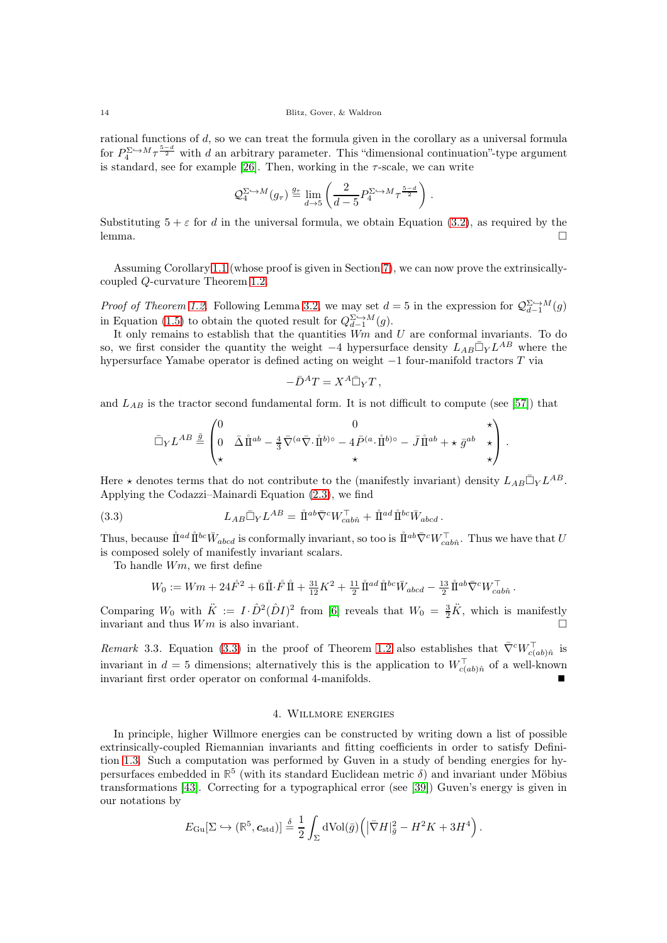rational functions of d, so we can treat the formula given in the corollary as a universal formula for  $P_4^{\Sigma \hookrightarrow M} \tau^{\frac{5-d}{2}}$  with d an arbitrary parameter. This "dimensional continuation"-type argument is standard, see for example [\[26\]](#page-33-23). Then, working in the  $\tau$ -scale, we can write

$$
\mathcal{Q}_4^{\Sigma \hookrightarrow M}(g_\tau) \stackrel{g_\tau}{=} \lim_{d \to 5} \left( \frac{2}{d-5} P_4^{\Sigma \hookrightarrow M} \tau^{\frac{5-d}{2}} \right) .
$$

Substituting  $5 + \varepsilon$  for d in the universal formula, we obtain Equation [\(3.2\)](#page-12-4), as required by the lemma.  $\Box$ 

Assuming Corollary [1.1](#page-3-0) (whose proof is given in Section [7\)](#page-20-0), we can now prove the extrinsicallycoupled Q-curvature Theorem [1.2.](#page-4-3)

*Proof of Theorem [1.2.](#page-4-3)* Following Lemma [3.2,](#page-12-1) we may set  $d = 5$  in the expression for  $\mathcal{Q}_{d-1}^{\Sigma \hookrightarrow M}(g)$ in Equation [\(1.5\)](#page-3-1) to obtain the quoted result for  $Q_{d-1}^{\sum \hookrightarrow M}(g)$ .

It only remains to establish that the quantities  $Wm$  and  $U$  are conformal invariants. To do so, we first consider the quantity the weight  $-4$  hypersurface density  $L_{AB} \bar{\Box}_Y L^{AB}$  where the hypersurface Yamabe operator is defined acting on weight −1 four-manifold tractors T via

$$
-\bar{D}^AT=X^A\bar{\Box}_YT\,,
$$

and  $L_{AB}$  is the tractor second fundamental form. It is not difficult to compute (see [\[57\]](#page-34-22)) that

$$
\bar{\Box}_Y L^{AB} \stackrel{\bar{g}}{=} \begin{pmatrix} 0 & 0 & \star \\ 0 & \bar{\Delta} \hspace{0.4mm} \mathring{\rm{ I\hspace{-.2mm} I}}{\hspace{.2mm}}^{ab} - \frac{4}{3} \bar{\nabla}^{(a} \bar{\nabla} \cdot \mathring{\rm{ I\hspace{-.2mm} I}}{\hspace{.2mm}}^{b)\circ} - 4 \bar{P}^{(a} \cdot \mathring{\rm{ I\hspace{-.2mm} I}}{\hspace{.2mm}}^{b)\circ} - \bar{J} \hspace{0.4mm} \mathring{\rm{ I\hspace{-.2mm} I}}{\hspace{.2mm}}^{ab} + \star \, \bar{g}^{ab} & \star \\ \star & \star & \star \end{pmatrix} \, .
$$

Here  $\star$  denotes terms that do not contribute to the (manifestly invariant) density  $L_{AB}\bar{\Box}_{Y}L^{AB}$ . Applying the Codazzi–Mainardi Equation [\(2.3\)](#page-10-1), we find

(3.3) 
$$
L_{AB} \bar{\Box}_Y L^{AB} = \mathring{\rm I}^{ab} \bar{\nabla}^c W_{cab\hat{n}}^{\top} + \mathring{\rm I}^{ad} \mathring{\rm I}^{bc} \bar{W}_{abcd}.
$$

Thus, because  $\mathring{\rm{I\!I}}^{ad} \mathring{\rm{I\!I}}^{bc} \bar{W}_{abcd}$  is conformally invariant, so too is  $\mathring{\rm{I\!I}}^{ab} \bar{\nabla}^c W_{cab\hat{n}}^{\top}$ . Thus we have that  $U$ is composed solely of manifestly invariant scalars.

To handle Wm, we first define

<span id="page-13-1"></span>
$$
W_0 := Wm + 24\mathring{F}^2 + 6\mathring{\rm{1}} \cdot \mathring{F} \mathring{\rm{1}} + \frac{31}{12}K^2 + \frac{11}{2}\mathring{\rm{1}}^{ad} \mathring{\rm{1}}^{bc} \bar{W}_{abcd} - \frac{13}{2} \mathring{\rm{1}}^{ab} \bar{\nabla}^c W_{cab\hat{n}}^{\top}.
$$

Comparing  $W_0$  with  $\ddot{K} := I \cdot \hat{D}^2(\hat{D}I)^2$  from [\[6\]](#page-33-11) reveals that  $W_0 = \frac{3}{2}\ddot{K}$ , which is manifestly invariant and thus Wm is also invariant.

Remark 3.3. Equation [\(3.3\)](#page-13-1) in the proof of Theorem [1.2](#page-4-3) also establishes that  $\bar{\nabla}^c W_{c(ab)\hat{n}}^{\dagger}$  is invariant in  $d = 5$  dimensions; alternatively this is the application to  $W_{c(ab)\hat{n}}^{\top}$  of a well-known invariant first order operator on conformal 4-manifolds.

#### 4. Willmore energies

<span id="page-13-0"></span>In principle, higher Willmore energies can be constructed by writing down a list of possible extrinsically-coupled Riemannian invariants and fitting coefficients in order to satisfy Definition [1.3.](#page-4-5) Such a computation was performed by Guven in a study of bending energies for hypersurfaces embedded in  $\mathbb{R}^5$  (with its standard Euclidean metric  $\delta$ ) and invariant under Möbius transformations [\[43\]](#page-34-23). Correcting for a typographical error (see [\[39\]](#page-34-24)) Guven's energy is given in our notations by

$$
E_{\mathrm{Gu}}[\Sigma \hookrightarrow (\mathbb{R}^5, \mathbf{c}_{\mathrm{std}})] \stackrel{\delta}{=} \frac{1}{2} \int_{\Sigma} d\mathrm{Vol}(\bar{g}) \Big( |\bar{\nabla} H|^2_{\bar{g}} - H^2 K + 3H^4 \Big) \, .
$$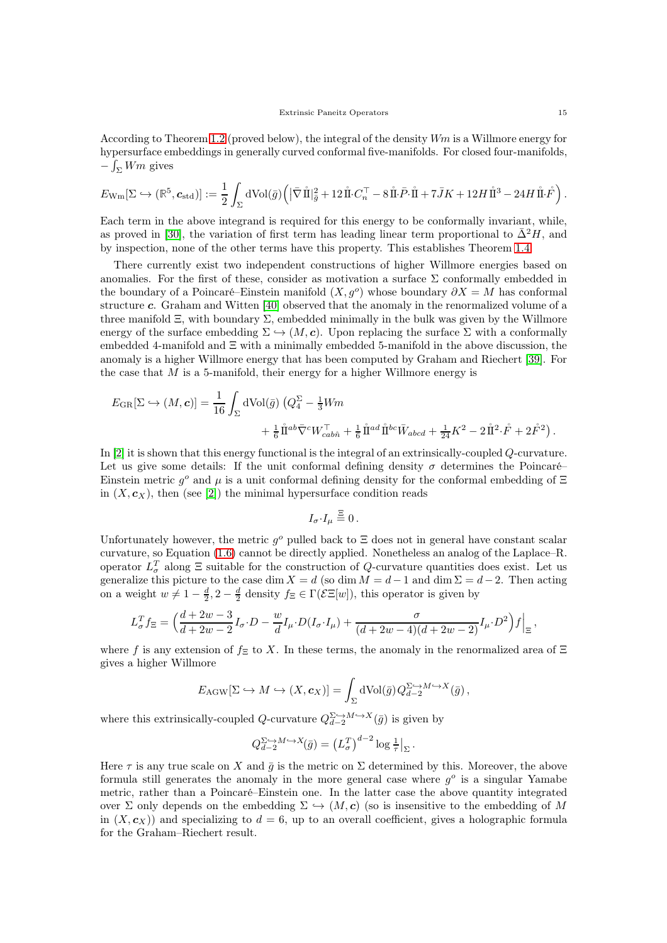According to Theorem [1.2](#page-4-3) (proved below), the integral of the density  $Wm$  is a Willmore energy for hypersurface embeddings in generally curved conformal five-manifolds. For closed four-manifolds,  $-\int_{\Sigma} Wm$  gives

$$
E_{\mathrm{Wm}}[\Sigma \hookrightarrow (\mathbb{R}^5, \mathbf{c}_{\mathrm{std}})] := \frac{1}{2} \int_{\Sigma} d\mathrm{Vol}(\bar{g}) \Big( \big| \bar{\nabla} \mathring{\rm{1}}|_{\bar{g}}^2 + 12 \mathring{\rm{1\hspace{-1.42ex}I}} \cdot C_n^\top - 8 \mathring{\rm{1\hspace{-1.42ex}I}} \cdot \bar{\mathbf{P}} \cdot \mathring{\rm{1\hspace{-1.42ex}I}} + 7 \bar{J} K + 12 H \mathring{\rm{1\hspace{-1.42ex}I}}^3 - 24 H \mathring{\rm{1\hspace{-1.42ex}I}} \cdot \mathring{\dot{F}} \Big) \, .
$$

Each term in the above integrand is required for this energy to be conformally invariant, while, as proved in [\[30\]](#page-33-14), the variation of first term has leading linear term proportional to  $\Delta^2 H$ , and by inspection, none of the other terms have this property. This establishes Theorem [1.4.](#page-5-1)

There currently exist two independent constructions of higher Willmore energies based on anomalies. For the first of these, consider as motivation a surface  $\Sigma$  conformally embedded in the boundary of a Poincaré–Einstein manifold  $(X, g^o)$  whose boundary  $\partial X = M$  has conformal structure c. Graham and Witten [\[40\]](#page-34-14) observed that the anomaly in the renormalized volume of a three manifold  $\Xi$ , with boundary  $\Sigma$ , embedded minimally in the bulk was given by the Willmore energy of the surface embedding  $\Sigma \hookrightarrow (M, c)$ . Upon replacing the surface  $\Sigma$  with a conformally embedded 4-manifold and  $\Xi$  with a minimally embedded 5-manifold in the above discussion, the anomaly is a higher Willmore energy that has been computed by Graham and Riechert [\[39\]](#page-34-24). For the case that  $M$  is a 5-manifold, their energy for a higher Willmore energy is

$$
E_{\text{GR}}[\Sigma \hookrightarrow (M, \mathbf{c})] = \frac{1}{16} \int_{\Sigma} d\text{Vol}(\bar{g}) \left( Q_4^{\Sigma} - \frac{1}{3} W m \right. \\ \left. + \frac{1}{6} \mathring{\Pi}^{ab} \bar{\nabla}^c W_{cab\hat{n}}^{\top} + \frac{1}{6} \mathring{\Pi}^{ad} \mathring{\Pi}^{bc} \bar{W}_{abcd} + \frac{1}{24} K^2 - 2 \mathring{\Pi}^2 \cdot \mathring{F} + 2 \mathring{F}^2 \right).
$$

In [\[2\]](#page-33-24) it is shown that this energy functional is the integral of an extrinsically-coupled Q-curvature. Let us give some details: If the unit conformal defining density  $\sigma$  determines the Poincaré– Einstein metric  $g^o$  and  $\mu$  is a unit conformal defining density for the conformal embedding of  $\Xi$ in  $(X, \mathbf{c}_X)$ , then (see [\[2\]](#page-33-24)) the minimal hypersurface condition reads

$$
I_{\sigma} \cdot I_{\mu} \stackrel{\Xi}{=} 0.
$$

Unfortunately however, the metric  $g^o$  pulled back to  $\Xi$  does not in general have constant scalar curvature, so Equation [\(1.6\)](#page-3-3) cannot be directly applied. Nonetheless an analog of the Laplace–R. operator  $L^T_{\sigma}$  along  $\Xi$  suitable for the construction of Q-curvature quantities does exist. Let us generalize this picture to the case dim  $X = d$  (so dim  $M = d-1$  and dim  $\Sigma = d-2$ . Then acting on a weight  $w \neq 1 - \frac{d}{2}$ ,  $2 - \frac{d}{2}$  density  $f_{\Xi} \in \Gamma(\mathcal{E}\Xi[w])$ , this operator is given by

$$
L_{\sigma}^T f_{\Xi} = \left( \frac{d+2w-3}{d+2w-2} I_{\sigma} \cdot D - \frac{w}{d} I_{\mu} \cdot D(I_{\sigma} \cdot I_{\mu}) + \frac{\sigma}{(d+2w-4)(d+2w-2)} I_{\mu} \cdot D^2 \right) f \Big|_{\Xi},
$$

where f is any extension of  $f\equiv$  to X. In these terms, the anomaly in the renormalized area of  $\Xi$ gives a higher Willmore

$$
E_{\text{AGW}}[\Sigma \hookrightarrow M \hookrightarrow (X, \mathbf{c}_X)] = \int_{\Sigma} d\text{Vol}(\bar{g}) Q_{d-2}^{\Sigma \hookrightarrow M \hookrightarrow X}(\bar{g}),
$$

where this extrinsically-coupled Q-curvature  $Q_{d-2}^{\Sigma \hookrightarrow M \hookrightarrow X}(\bar{g})$  is given by

$$
Q_{d-2}^{\Sigma\hookrightarrow M\hookrightarrow X}(\bar{g})=\left(L_{\sigma}^{T}\right)^{d-2}\log\textstyle\frac{1}{\tau}\big|_{\Sigma}
$$

.

Here  $\tau$  is any true scale on X and  $\bar{q}$  is the metric on  $\Sigma$  determined by this. Moreover, the above formula still generates the anomaly in the more general case where  $g^o$  is a singular Yamabe metric, rather than a Poincaré–Einstein one. In the latter case the above quantity integrated over  $\Sigma$  only depends on the embedding  $\Sigma \hookrightarrow (M, c)$  (so is insensitive to the embedding of M in  $(X, \mathbf{c}_X)$  and specializing to  $d = 6$ , up to an overall coefficient, gives a holographic formula for the Graham–Riechert result.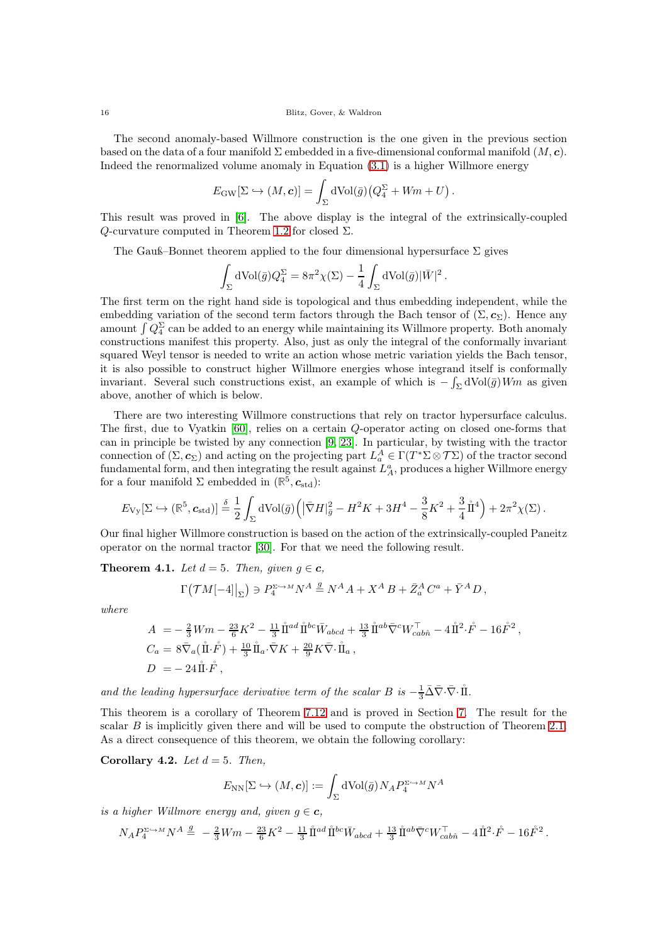The second anomaly-based Willmore construction is the one given in the previous section based on the data of a four manifold  $\Sigma$  embedded in a five-dimensional conformal manifold  $(M, c)$ . Indeed the renormalized volume anomaly in Equation [\(3.1\)](#page-12-2) is a higher Willmore energy

$$
E_{\rm GW}[\Sigma \hookrightarrow (M, \mathbf{c})] = \int_{\Sigma} d\text{Vol}(\bar{g}) \big(Q_4^{\Sigma} + Wm + U\big).
$$

This result was proved in [\[6\]](#page-33-11). The above display is the integral of the extrinsically-coupled Q-curvature computed in Theorem [1.2](#page-4-3) for closed  $\Sigma$ .

The Gauß–Bonnet theorem applied to the four dimensional hypersurface  $\Sigma$  gives

$$
\int_{\Sigma} d\text{Vol}(\bar{g}) Q_4^{\Sigma} = 8\pi^2 \chi(\Sigma) - \frac{1}{4} \int_{\Sigma} d\text{Vol}(\bar{g}) |\bar{W}|^2.
$$

The first term on the right hand side is topological and thus embedding independent, while the embedding variation of the second term factors through the Bach tensor of  $(\Sigma, c_{\Sigma})$ . Hence any amount  $\int Q_4^{\Sigma}$  can be added to an energy while maintaining its Willmore property. Both anomaly constructions manifest this property. Also, just as only the integral of the conformally invariant squared Weyl tensor is needed to write an action whose metric variation yields the Bach tensor, it is also possible to construct higher Willmore energies whose integrand itself is conformally invariant. Several such constructions exist, an example of which is  $-\int_{\Sigma} dVol(\bar{g}) Wm$  as given above, another of which is below.

There are two interesting Willmore constructions that rely on tractor hypersurface calculus. The first, due to Vyatkin [\[60\]](#page-34-20), relies on a certain Q-operator acting on closed one-forms that can in principle be twisted by any connection [\[9,](#page-33-25) [23\]](#page-33-26). In particular, by twisting with the tractor connection of  $(\Sigma, c_{\Sigma})$  and acting on the projecting part  $L_a^A \in \Gamma(T^* \Sigma \otimes \mathcal{T} \Sigma)$  of the tractor second fundamental form, and then integrating the result against  $L_A^a$ , produces a higher Willmore energy for a four manifold  $\Sigma$  embedded in  $(\mathbb{R}^5, c_{\text{std}})$ :

$$
E_{\rm Vy}[\Sigma\hookrightarrow (\mathbb{R}^5,\mathbf{c}_{\rm std})]\stackrel{\delta}{=}\frac{1}{2}\int_{\Sigma}{\rm dVol}(\bar{g})\Big(\big|\bar{\nabla}H|_{\bar{g}}^2-H^2K+3H^4-\frac{3}{8}K^2+\frac{3}{4}\mathring{\rm I\hspace{-.1em}I}^4\Big)+2\pi^2\chi(\Sigma)\,.
$$

Our final higher Willmore construction is based on the action of the extrinsically-coupled Paneitz operator on the normal tractor [\[30\]](#page-33-14). For that we need the following result.

<span id="page-15-0"></span>**Theorem 4.1.** Let  $d = 5$ . Then, given  $g \in \mathbf{c}$ ,

$$
\Gamma\big({\mathcal T} M[-4]\big|_\Sigma\big)\ni P_4^{\Sigma\hookrightarrow M}N^A\stackrel{g}{=}N^A A+X^A\,B+\bar{Z}^A_a\,C^a+\bar{Y}^A\,D\,,
$$

where

$$
A = -\frac{2}{3}Wm - \frac{23}{6}K^2 - \frac{11}{3}\mathring{\Pi}^{ad}\mathring{\Pi}^{bc}\bar{W}_{abcd} + \frac{13}{3}\mathring{\Pi}^{ab}\bar{\nabla}^cW_{cab\hat{n}}^{\top} - 4\mathring{\Pi}^2\cdot\mathring{F} - 16\mathring{F}^2,
$$
  
\n
$$
C_a = 8\bar{\nabla}_a(\mathring{\Pi}\cdot\mathring{F}) + \frac{10}{3}\mathring{\Pi}_a\cdot\bar{\nabla}K + \frac{20}{9}K\bar{\nabla}\cdot\mathring{\Pi}_a,
$$
  
\n
$$
D = -24\mathring{\Pi}\cdot\mathring{F},
$$

and the leading hypersurface derivative term of the scalar B is  $-\frac{1}{3}\bar{\Delta}\bar{\nabla}\cdot\bar{\nabla}\cdot\hat{\mathbb{I}}$ .

This theorem is a corollary of Theorem [7.12](#page-26-1) and is proved in Section [7.](#page-20-0) The result for the scalar  $B$  is implicitly given there and will be used to compute the obstruction of Theorem [2.1.](#page-6-1) As a direct consequence of this theorem, we obtain the following corollary:

Corollary 4.2. Let  $d = 5$ . Then,

$$
E_{\mathrm{NN}}[\Sigma \hookrightarrow (M,\mathbf{c})]:=\int_\Sigma \mathrm{dVol}(\bar{g}) N_A P_4^{\Sigma \hookrightarrow M} N^A
$$

is a higher Willmore energy and, given  $g \in \mathbf{c}$ ,

$$
N_A P_4^{\Sigma \to M} N^A \stackrel{g}{=} -\frac{2}{3} Wm - \frac{23}{6} K^2 - \frac{11}{3} \mathring{\rm I\hspace{-.1em}I}^{ad} \mathring{\rm I\hspace{-.1em}I}^{bc} \bar{W}_{abcd} + \frac{13}{3} \mathring{\rm I\hspace{-.1em}I}^{ab} \bar{\nabla}^c W_{cab\hat n}^\top - 4 \mathring{\rm I\hspace{-.1em}I}^2 \cdot \mathring{F} - 16 \mathring{F}^2 \, .
$$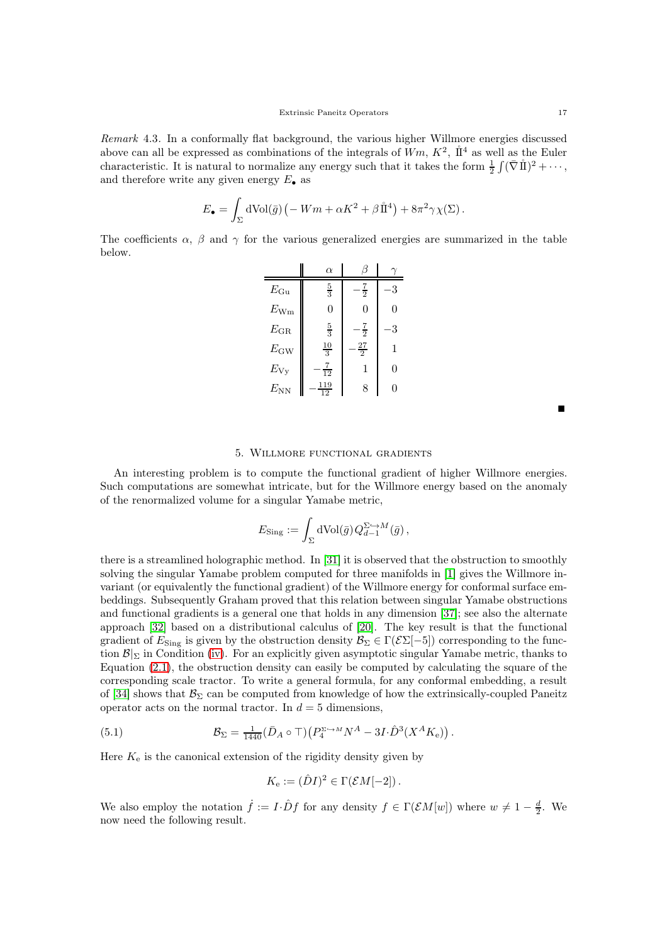Remark 4.3. In a conformally flat background, the various higher Willmore energies discussed above can all be expressed as combinations of the integrals of  $Wm$ ,  $K^2$ ,  $\mathring{\rm{I}}^4$  as well as the Euler characteristic. It is natural to normalize any energy such that it takes the form  $\frac{1}{2} \int (\bar{\nabla} \mathring{\mathbb{I}})^2 + \cdots$ , and therefore write any given energy  $E_{\bullet}$  as

$$
E_{\bullet} = \int_{\Sigma} d\text{Vol}(\bar{g}) \left( -Wm + \alpha K^2 + \beta \mathring{\rm{1}}^4 \right) + 8\pi^2 \gamma \chi(\Sigma).
$$

The coefficients  $\alpha$ ,  $\beta$  and  $\gamma$  for the various generalized energies are summarized in the table below.

|              | $\alpha$       |                |          |
|--------------|----------------|----------------|----------|
| $E_{\rm Gu}$ | $\frac{5}{3}$  | $rac{7}{2}$    | 3        |
| $E_{\rm Wm}$ | $\Omega$       | $\overline{0}$ | $\Omega$ |
| $E_{\rm GR}$ | $\frac{5}{3}$  | $rac{7}{2}$    | 3        |
| $E_{\rm GW}$ | $\frac{10}{3}$ | $\frac{27}{2}$ | 1        |
| $E_{\rm Vy}$ | $\frac{7}{12}$ | 1              | 0        |
| $E_{NN}$     | 119<br>12      | 8              | $\Omega$ |

Ξ

## 5. Willmore functional gradients

<span id="page-16-0"></span>An interesting problem is to compute the functional gradient of higher Willmore energies. Such computations are somewhat intricate, but for the Willmore energy based on the anomaly of the renormalized volume for a singular Yamabe metric,

$$
E_{\text{Sing}} := \int_{\Sigma} d \text{Vol}(\bar{g}) Q_{d-1}^{\Sigma \hookrightarrow M}(\bar{g}),
$$

there is a streamlined holographic method. In [\[31\]](#page-33-13) it is observed that the obstruction to smoothly solving the singular Yamabe problem computed for three manifolds in [\[1\]](#page-33-12) gives the Willmore invariant (or equivalently the functional gradient) of the Willmore energy for conformal surface embeddings. Subsequently Graham proved that this relation between singular Yamabe obstructions and functional gradients is a general one that holds in any dimension [\[37\]](#page-34-15); see also the alternate approach [\[32\]](#page-34-16) based on a distributional calculus of [\[20\]](#page-33-17). The key result is that the functional gradient of  $E_{\text{Sing}}$  is given by the obstruction density  $\mathcal{B}_{\Sigma} \in \Gamma(\mathcal{E} \Sigma[-5])$  corresponding to the function  $\mathcal{B}|_{\Sigma}$  in Condition [\(iv\)](#page-6-3). For an explicitly given asymptotic singular Yamabe metric, thanks to Equation [\(2.1\)](#page-8-1), the obstruction density can easily be computed by calculating the square of the corresponding scale tractor. To write a general formula, for any conformal embedding, a result of [\[34\]](#page-34-8) shows that  $\mathcal{B}_{\Sigma}$  can be computed from knowledge of how the extrinsically-coupled Paneitz operator acts on the normal tractor. In  $d = 5$  dimensions,

(5.1) 
$$
\mathcal{B}_{\Sigma} = \frac{1}{1440} (\bar{D}_A \circ \top) \left( P_4^{\Sigma \hookrightarrow M} N^A - 3I \cdot \hat{D}^3 (X^A K_e) \right).
$$

Here  $K_e$  is the canonical extension of the rigidity density given by

<span id="page-16-1"></span>
$$
K_{\rm e} := (\hat{D}I)^2 \in \Gamma(\mathcal{E}M[-2])\,.
$$

We also employ the notation  $\dot{f} := I \cdot \hat{D} f$  for any density  $f \in \Gamma(\mathcal{E}M[w])$  where  $w \neq 1 - \frac{d}{2}$ . We now need the following result.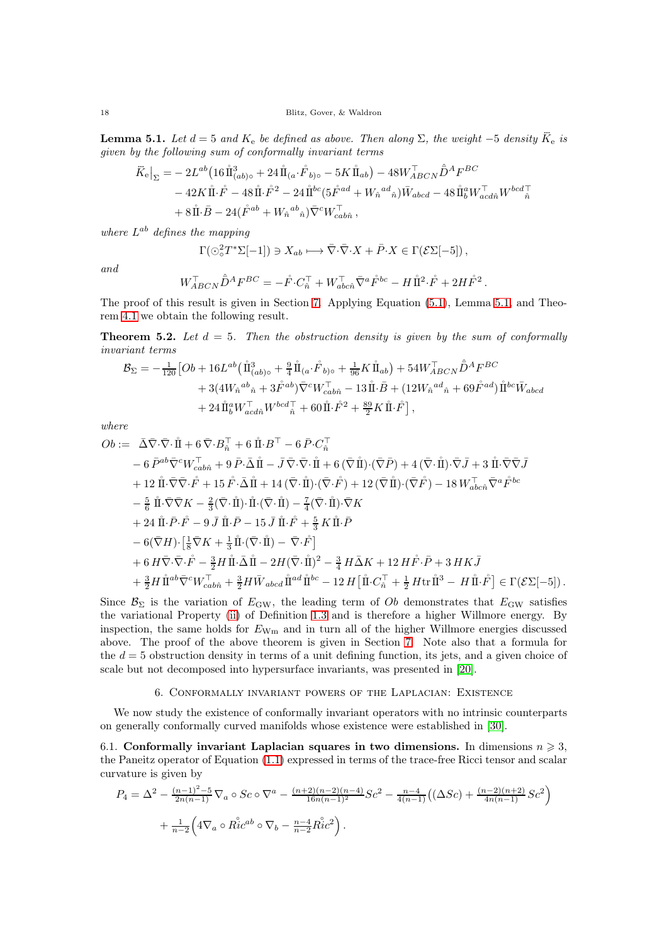<span id="page-17-2"></span>**Lemma 5.1.** Let  $d = 5$  and  $K_e$  be defined as above. Then along  $\Sigma$ , the weight -5 density  $\ddot{K}_e$  is given by the following sum of conformally invariant terms

$$
\ddot{K}_{\mathbf{e}}\big|_{\Sigma} = -2L^{ab} \left(16\,\mathring{\rm{II}}_{(ab)\circ}^{3} + 24\,\mathring{\rm{II}}_{(a}\cdot\mathring{F}_{b)\circ} - 5K\,\mathring{\rm{II}}_{ab}\right) - 48W_{ABCN}^{\top}\hat{D}^{A}F^{BC} \n- 42K\,\mathring{\rm{II}}\cdot\mathring{F} - 48\,\mathring{\rm{II}}\cdot\mathring{F}^{2} - 24\,\mathring{\rm{II}}^{bc}(5\mathring{F}^{ad} + W_{\hat{n}}^{ad}\hat{n})\bar{W}_{abcd} - 48\,\mathring{\rm{II}}_{b}^{a}W_{acd\hat{n}}^{\top}W^{bcd\top}_{\hat{n}} \n+ 8\,\mathring{\rm{II}}\cdot\bar{B} - 24(\mathring{F}^{ab} + W_{\hat{n}}^{ab}\hat{n})\bar{\nabla}^{c}W_{cab\hat{n}}^{\top},
$$

where  $L^{ab}$  defines the mapping

$$
\Gamma(\odot^2_{\circ} T^* \Sigma [-1]) \ni X_{ab} \longmapsto \overline{\nabla} \cdot \overline{\nabla} \cdot X + \overline{P} \cdot X \in \Gamma(\mathcal{E} \Sigma [-5]),
$$

and

$$
W_{ABCN}^\top \hat{\bar{D}}^A F^{BC} = -\mathring{F} \cdot C_{\hat{n}}^\top + W_{abc\hat{n}}^\top \bar{\nabla}^a \mathring{F}^{bc} - H \mathring{\mathrm{I}}^2 \cdot \mathring{F} + 2H \mathring{F}^2
$$

.

The proof of this result is given in Section [7.](#page-20-0) Applying Equation [\(5.1\)](#page-16-1), Lemma [5.1,](#page-17-2) and Theorem [4.1](#page-15-0) we obtain the following result.

<span id="page-17-3"></span>**Theorem 5.2.** Let  $d = 5$ . Then the obstruction density is given by the sum of conformally invariant terms

$$
\begin{split} \mathcal{B}_{\Sigma} = -\tfrac{1}{120} & \big[Ob + 16L^{ab} \big( \hspace{0.4mm}\mathring{\rm{ I\hspace{-.2mm} I}}{\hspace{.0mm}}_{(ab)\circ}^3 + \tfrac{9}{4} \hspace{0.4mm}\mathring{\rm{ I\hspace{-.2mm} I}}{\hspace{.0mm}}_{(a} \cdot \hspace{0.4mm} \mathring{\!{ F}}_{b)\circ} + \tfrac{1}{96} K \hspace{0.4mm}\mathring{\rm{ I\hspace{-.2mm} I}}{\hspace{.0mm}}_{ab} \big) + 54 W_{ABCN}^\top \hspace{0.4mm} \mathring{\bar{D}}^A F^{BC} \\ & + 3 \big( 4 W_{\hat n}{}^{ab}{}_{\hat n} + 3 \hspace{0.4mm} \mathring{\!{ F}}^{ab} \big) \bar \nabla^c W_{cab\hat n}^\top - 13 \hspace{0.4mm} \mathring{\rm{ I\hspace{-.2mm} I}}{\hspace{.0mm}} \mathring{\rm{ I\hspace{-.2mm} I}}{\hspace{.0mm}} + \big( 12 W_{\hat n}{}^{ad}{}_{\hat n} + 69 \hspace{0.4mm} \mathring{\!{ F}}^{ad} \big) \hspace{0.4mm} \mathring{\rm{ I\hspace{-.2mm} I}}{\hspace{.0mm}}^{bc} \bar W_{abcd} \\ & + 24 \hspace{0.4mm} \mathring{\rm{ I\hspace{-.2mm} I}}{\hspace{.0mm}}_{b} W_{acd\hat n}^\top + 60 \hspace{0.4mm} \mathring{\rm{ I\hspace{-.2mm} I}}{\hspace{.0mm}} \mathring{\!{ F}}^2 + \tfrac{89}{2} K \hspace{0.4mm} \mathring{\rm{ I\hspace{-.2mm} I}}{\hspace{.0mm}} \mathring{\!{ F}}^{\hat r} \big], \end{split}
$$

where

$$
Ob := \overline{\Delta}\overline{\nabla}\cdot\overline{\nabla}\cdot\overline{\mathbf{H}} + 6\overline{\nabla}\cdot B_{\hat{n}}^{\top} + 6\overline{\nabla}\cdot B_{\hat{n}}^{\top} - 6\overline{P}\cdot C_{\hat{n}}^{\top} - 6\overline{P}^{ab}\overline{\nabla}^{c}W_{cab\hat{n}}^{\top} + 9\overline{P}\cdot\overline{\Delta}\mathbf{H} - \overline{J}\overline{\nabla}\cdot\overline{\nabla}\cdot\overline{\mathbf{H}} + 6(\overline{\nabla}\mathbf{H})\cdot(\overline{\nabla}\overline{P}) + 4(\overline{\nabla}\cdot\mathbf{H})\cdot\overline{\nabla}\overline{J} + 3\overline{\nabla}\cdot\overline{\nabla}\cdot\overline{F} + 12\overline{\nabla}\cdot\overline{\nabla}\cdot\overline{F} + 15\overline{F}\cdot\overline{\Delta}\mathbf{H} + 14(\overline{\nabla}\cdot\overline{\mathbf{H}})\cdot(\overline{\nabla}\cdot\overline{F}) + 12(\overline{\nabla}\mathbf{H})\cdot(\overline{\nabla}\overline{F}) - 18\overline{W}_{abc\hat{n}}^{\top}\overline{\nabla}^{a}\overline{F}^{bc} - \frac{5}{6}\overline{\nabla}\cdot\overline{\nabla}\overline{K} - \frac{2}{3}(\overline{\nabla}\cdot\overline{\mathbf{H}})\cdot\overline{\mathbf{H}}\cdot(\overline{\nabla}\cdot\overline{\mathbf{H}}) - \frac{7}{4}(\overline{\nabla}\cdot\overline{\mathbf{H}})\cdot\overline{\nabla}K + 24\overline{\nabla}\cdot\overline{F} - 9\overline{J}\overline{\nabla}\cdot\overline{\mathbf{H}} - 15\overline{J}\overline{\nabla}\cdot\overline{\mathbf{F}} + \frac{5}{3}\overline{K}\overline{\nabla}\cdot\overline{\mathbf{H}} - \overline{V}\cdot\overline{F}
$$
\n
$$
- 6(\overline{\nabla}H)\cdot\left[\frac{1}{8}\overline{\nabla}K + \frac{1}{3}\overline{\nabla}\cdot(\overline{\nabla}\cdot\overline{\mathbf{H}}) - \overline
$$

Since  $\mathcal{B}_{\Sigma}$  is the variation of  $E_{\rm GW}$ , the leading term of Ob demonstrates that  $E_{\rm GW}$  satisfies the variational Property [\(ii\)](#page-4-2) of Definition [1.3](#page-4-5) and is therefore a higher Willmore energy. By inspection, the same holds for  $E_{\text{Wm}}$  and in turn all of the higher Willmore energies discussed above. The proof of the above theorem is given in Section [7.](#page-20-0) Note also that a formula for the  $d = 5$  obstruction density in terms of a unit defining function, its jets, and a given choice of scale but not decomposed into hypersurface invariants, was presented in [\[20\]](#page-33-17).

# 6. Conformally invariant powers of the Laplacian: Existence

<span id="page-17-0"></span>We now study the existence of conformally invariant operators with no intrinsic counterparts on generally conformally curved manifolds whose existence were established in [\[30\]](#page-33-14).

<span id="page-17-1"></span>6.1. Conformally invariant Laplacian squares in two dimensions. In dimensions  $n \geq 3$ , the Paneitz operator of Equation [\(1.1\)](#page-1-1) expressed in terms of the trace-free Ricci tensor and scalar curvature is given by

$$
P_4 = \Delta^2 - \frac{(n-1)^2 - 5}{2n(n-1)} \nabla_a \circ Sc \circ \nabla^a - \frac{(n+2)(n-2)(n-4)}{16n(n-1)^2} Sc^2 - \frac{n-4}{4(n-1)} \left( (\Delta Sc) + \frac{(n-2)(n+2)}{4n(n-1)} Sc^2 \right) + \frac{1}{n-2} \left( 4 \nabla_a \circ Ric^{ab} \circ \nabla_b - \frac{n-4}{n-2} Ric^2 \right).
$$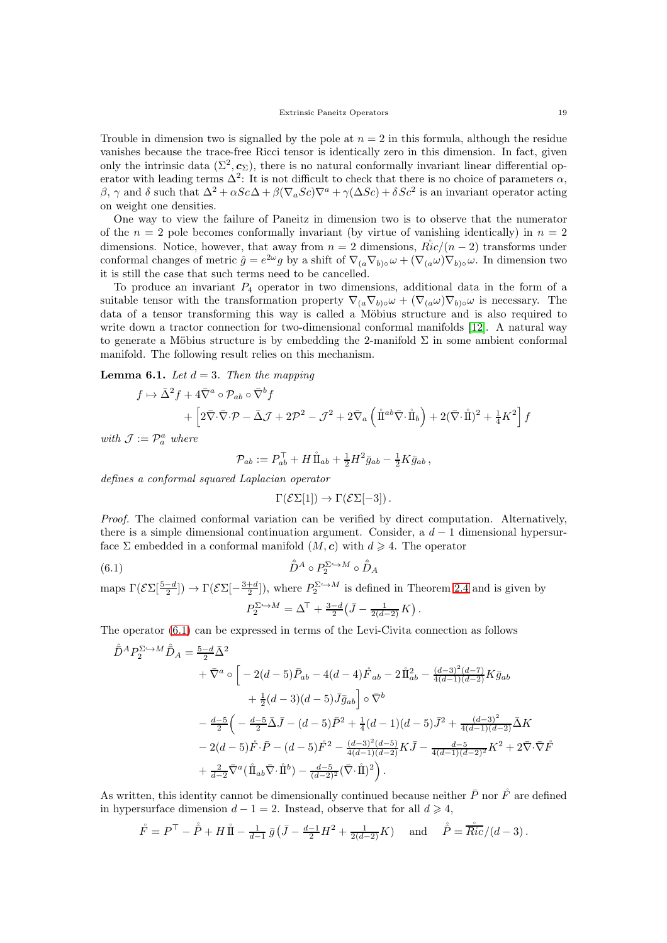Trouble in dimension two is signalled by the pole at  $n = 2$  in this formula, although the residue vanishes because the trace-free Ricci tensor is identically zero in this dimension. In fact, given only the intrinsic data  $(\Sigma^2, c_{\Sigma})$ , there is no natural conformally invariant linear differential operator with leading terms  $\Delta^2$ : It is not difficult to check that there is no choice of parameters  $\alpha$ , β, γ and δ such that  $\Delta^2 + \alpha Sc\Delta + \beta(\nabla_a Sc)\nabla^a + \gamma(\Delta Sc) + \delta Sc^2$  is an invariant operator acting on weight one densities.

One way to view the failure of Paneitz in dimension two is to observe that the numerator of the  $n = 2$  pole becomes conformally invariant (by virtue of vanishing identically) in  $n = 2$ dimensions. Notice, however, that away from  $n = 2$  dimensions,  $Ric/(n-2)$  transforms under conformal changes of metric  $\hat{g} = e^{2\omega}g$  by a shift of  $\nabla_{(a}\nabla_{b)\circ}\omega + (\nabla_{(a}\omega)\nabla_{b)\circ}\omega$ . In dimension two it is still the case that such terms need to be cancelled.

To produce an invariant  $P_4$  operator in two dimensions, additional data in the form of a suitable tensor with the transformation property  $\nabla_{(a}\nabla_{b)\circ}\omega + (\nabla_{(a}\omega)\nabla_{b)\circ}\omega$  is necessary. The data of a tensor transforming this way is called a Möbius structure and is also required to write down a tractor connection for two-dimensional conformal manifolds [\[12\]](#page-33-27). A natural way to generate a Möbius structure is by embedding the 2-manifold  $\Sigma$  in some ambient conformal manifold. The following result relies on this mechanism.

## <span id="page-18-0"></span>**Lemma 6.1.** Let  $d = 3$ . Then the mapping

$$
f \mapsto \bar{\Delta}^2 f + 4 \bar{\nabla}^a \circ \mathcal{P}_{ab} \circ \bar{\nabla}^b f
$$
  
+ 
$$
\left[ 2 \bar{\nabla} \cdot \bar{\nabla} \cdot \mathcal{P} - \bar{\Delta} \mathcal{J} + 2 \mathcal{P}^2 - \mathcal{J}^2 + 2 \bar{\nabla}_a \left( \hat{\mathbb{I}}^{ab} \bar{\nabla} \cdot \hat{\mathbb{I}}_b \right) + 2 (\bar{\nabla} \cdot \hat{\mathbb{I}})^2 + \frac{1}{4} K^2 \right] f
$$

with  $\mathcal{J} := \mathcal{P}_a^a$  where

$$
\mathcal{P}_{ab} := P_{ab}^{\top} + H \mathring{\mathbb{1}}_{ab} + \frac{1}{2} H^2 \bar{g}_{ab} - \frac{1}{2} K \bar{g}_{ab} ,
$$

defines a conformal squared Laplacian operator

<span id="page-18-1"></span>
$$
\Gamma(\mathcal{E}\Sigma[1]) \to \Gamma(\mathcal{E}\Sigma[-3])\,.
$$

Proof. The claimed conformal variation can be verified by direct computation. Alternatively, there is a simple dimensional continuation argument. Consider, a  $d-1$  dimensional hypersurface  $\Sigma$  embedded in a conformal manifold  $(M, c)$  with  $d \geq 4$ . The operator

(6.1) 
$$
\hat{\bar{D}}^A \circ P_2^{\Sigma \hookrightarrow M} \circ \hat{\bar{D}}_A
$$

maps  $\Gamma(\mathcal{E}\Sigma[\frac{5-d}{2}]) \to \Gamma(\mathcal{E}\Sigma[-\frac{3+d}{2}])$ , where  $P_2^{\Sigma\hookrightarrow M}$  is defined in Theorem [2.4](#page-9-0) and is given by  $P_2^{\Sigma \hookrightarrow M} = \Delta^{\top} + \frac{3-d}{2} \left( \bar{J} - \frac{1}{2(d-2)} K \right).$ 

The operator [\(6.1\)](#page-18-1) can be expressed in terms of the Levi-Civita connection as follows

$$
\hat{D}^{A}P_{2}^{\Sigma\to M}\hat{D}_{A} = \frac{5-d}{2}\bar{\Delta}^{2}
$$
\n
$$
+\bar{\nabla}^{a}\circ\left[-2(d-5)\bar{P}_{ab} - 4(d-4)\mathring{F}_{ab} - 2\mathring{\rm{1}}^{2}_{ab} - \frac{(d-3)^{2}(d-7)}{4(d-1)(d-2)}K\bar{g}_{ab}\right]
$$
\n
$$
+\frac{1}{2}(d-3)(d-5)\bar{J}\bar{g}_{ab}\right]\circ\bar{\nabla}^{b}
$$
\n
$$
-\frac{d-5}{2}\left(-\frac{d-5}{2}\bar{\Delta}\bar{J} - (d-5)\bar{P}^{2} + \frac{1}{4}(d-1)(d-5)\bar{J}^{2} + \frac{(d-3)^{2}}{4(d-1)(d-2)}\bar{\Delta}K\right]
$$
\n
$$
-2(d-5)\mathring{F}\cdot\bar{P} - (d-5)\mathring{F}^{2} - \frac{(d-3)^{2}(d-5)}{4(d-1)(d-2)}K\bar{J} - \frac{d-5}{4(d-1)(d-2)^{2}}K^{2} + 2\bar{\nabla}\cdot\bar{\nabla}\mathring{F}
$$
\n
$$
+\frac{2}{d-2}\bar{\nabla}^{a}(\mathring{\rm{1}}_{ab}\bar{\nabla}\cdot\mathring{\rm{1}}^{b}) - \frac{d-5}{(d-2)^{2}}(\bar{\nabla}\cdot\mathring{\rm{1}}^{b})^{2}.
$$

As written, this identity cannot be dimensionally continued because neither  $\bar{P}$  nor  $\tilde{F}$  are defined in hypersurface dimension  $d-1=2$ . Instead, observe that for all  $d \geq 4$ ,

$$
\mathring{F} = P^{\top} - \mathring{P} + H \mathring{\amalg} - \frac{1}{d-1} \bar{g} \left( \bar{J} - \frac{d-1}{2} H^2 + \frac{1}{2(d-2)} K \right)
$$
 and  $\mathring{P} = \frac{\mathring{F} \cdot \mathring{F}}{\mathring{R}ic} / (d-3)$ .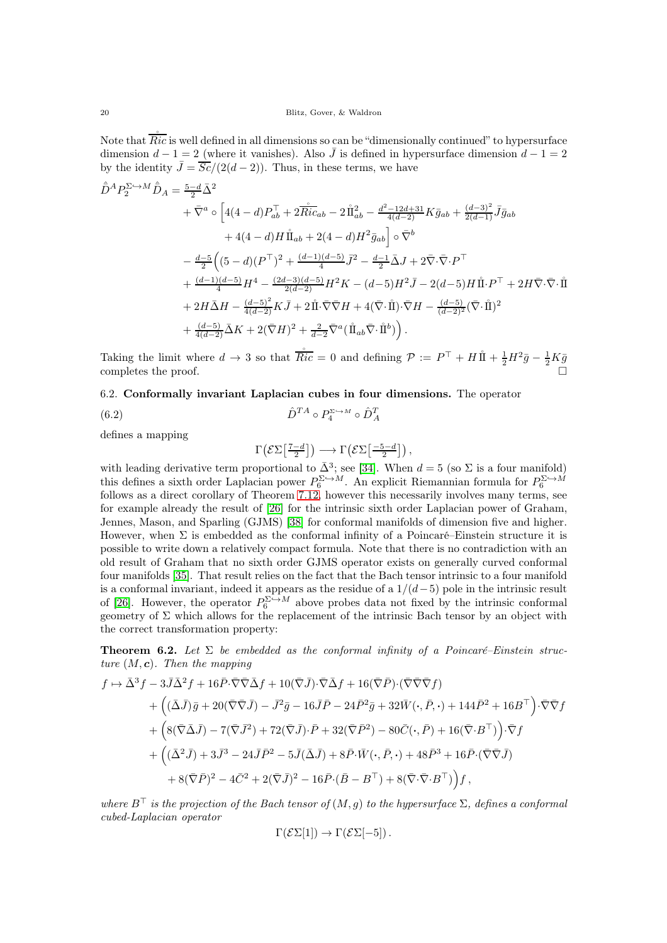Note that  $\overline{Ric}$  is well defined in all dimensions so can be "dimensionally continued" to hypersurface dimension  $d-1=2$  (where it vanishes). Also  $\overline{J}$  is defined in hypersurface dimension  $d-1=2$ by the identity  $\bar{J} = \frac{\bar{Sc}}{(2(d-2))}$ . Thus, in these terms, we have

$$
\hat{D}^{A}P_{2}^{\Sigma\to M}\hat{D}_{A} = \frac{5-d}{2}\bar{\Delta}^{2}
$$
\n
$$
+\bar{\nabla}^{a}\circ\left[4(4-d)P_{ab}^{\top} + 2\bar{Ric}_{ab} - 2\mathring{\Pi}_{ab}^{2} - \frac{d^{2}-12d+31}{4(d-2)}K\bar{g}_{ab} + \frac{(d-3)^{2}}{2(d-1)}\bar{J}\bar{g}_{ab}\right]
$$
\n
$$
+ 4(4-d)H\mathring{\Pi}_{ab} + 2(4-d)H^{2}\bar{g}_{ab}\right]\circ\bar{\nabla}^{b}
$$
\n
$$
-\frac{d-5}{2}\left((5-d)(P^{\top})^{2} + \frac{(d-1)(d-5)}{4}\bar{J}^{2} - \frac{d-1}{2}\bar{\Delta}J + 2\bar{\nabla}\cdot\bar{\nabla}\cdot P^{\top}\right)
$$
\n
$$
+\frac{(d-1)(d-5)}{4}H^{4} - \frac{(2d-3)(d-5)}{2(d-2)}H^{2}K - (d-5)H^{2}\bar{J} - 2(d-5)H\mathring{\Pi}\cdot P^{\top} + 2H\bar{\nabla}\cdot\bar{\nabla}\cdot\mathring{\Pi}
$$
\n
$$
+ 2H\bar{\Delta}H - \frac{(d-5)^{2}}{4(d-2)}K\bar{J} + 2\mathring{\Pi}\cdot\bar{\nabla}\bar{\nabla}H + 4(\bar{\nabla}\cdot\mathring{\Pi})\cdot\bar{\nabla}H - \frac{(d-5)}{(d-2)^{2}}(\bar{\nabla}\cdot\mathring{\Pi})^{2}
$$
\n
$$
+\frac{(d-5)}{4(d-2)}\bar{\Delta}K + 2(\bar{\nabla}H)^{2} + \frac{2}{d-2}\bar{\nabla}^{a}(\mathring{\Pi}_{ab}\bar{\nabla}\cdot\mathring{\Pi}^{b})\right).
$$

Taking the limit where  $d \to 3$  so that  $\frac{s}{Ric} = 0$  and defining  $\mathcal{P} := P^{\top} + H \mathring{\perp} + \frac{1}{2} H^2 \bar{g} - \frac{1}{2} K \bar{g}$ completes the proof.  $\Box$ 

<span id="page-19-0"></span>6.2. Conformally invariant Laplacian cubes in four dimensions. The operator

$$
(6.2) \qquad \qquad \hat{D}^{TA} \circ P_4^{\Sigma \hookrightarrow M} \circ \hat{D}_A^T
$$

defines a mapping

<span id="page-19-2"></span>
$$
\Gamma\big(\mathcal{E}\Sigma\big[\tfrac{7-d}{2}\big]\big) \longrightarrow \Gamma\big(\mathcal{E}\Sigma\big[\tfrac{-5-d}{2}\big]\big)\,,
$$

with leading derivative term proportional to  $\bar{\Delta}^3$ ; see [\[34\]](#page-34-8). When  $d = 5$  (so  $\Sigma$  is a four manifold) this defines a sixth order Laplacian power  $P_6^{\Sigma \to M}$ . An explicit Riemannian formula for  $P_6^{\Sigma \to M}$ follows as a direct corollary of Theorem [7.12,](#page-26-1) however this necessarily involves many terms, see for example already the result of [\[26\]](#page-33-23) for the intrinsic sixth order Laplacian power of Graham, Jennes, Mason, and Sparling (GJMS) [\[38\]](#page-34-3) for conformal manifolds of dimension five and higher. However, when Σ is embedded as the conformal infinity of a Poincaré–Einstein structure it is possible to write down a relatively compact formula. Note that there is no contradiction with an old result of Graham that no sixth order GJMS operator exists on generally curved conformal four manifolds [\[35\]](#page-34-10). That result relies on the fact that the Bach tensor intrinsic to a four manifold is a conformal invariant, indeed it appears as the residue of a  $1/(d-5)$  pole in the intrinsic result of [\[26\]](#page-33-23). However, the operator  $P_6^{\Sigma \to M}$  above probes data not fixed by the intrinsic conformal geometry of  $\Sigma$  which allows for the replacement of the intrinsic Bach tensor by an object with the correct transformation property:

<span id="page-19-1"></span>**Theorem 6.2.** Let  $\Sigma$  be embedded as the conformal infinity of a Poincaré–Einstein structure  $(M, c)$ . Then the mapping

$$
f \mapsto \bar{\Delta}^3 f - 3\bar{J}\bar{\Delta}^2 f + 16\bar{P}\cdot\bar{\nabla}\bar{\nabla}\bar{\Delta}f + 10(\bar{\nabla}\bar{J})\cdot\bar{\nabla}\bar{\Delta}f + 16(\bar{\nabla}\bar{P})\cdot(\bar{\nabla}\bar{\nabla}\bar{\nabla}f)
$$
  
+ 
$$
\left((\bar{\Delta}\bar{J})\bar{g} + 20(\bar{\nabla}\bar{\nabla}\bar{J}) - \bar{J}^2\bar{g} - 16\bar{J}\bar{P} - 24\bar{P}^2\bar{g} + 32\bar{W}(\cdot,\bar{P},\cdot) + 144\bar{P}^2 + 16B^\top\right)\cdot\bar{\nabla}\bar{\nabla}f
$$
  
+ 
$$
\left(8(\bar{\nabla}\bar{\Delta}\bar{J}) - 7(\bar{\nabla}\bar{J}^2) + 72(\bar{\nabla}\bar{J})\cdot\bar{P} + 32(\bar{\nabla}\bar{P}^2) - 80\bar{C}(\cdot,\bar{P}) + 16(\bar{\nabla}\cdot B^\top)\right)\cdot\bar{\nabla}f
$$
  
+ 
$$
\left((\bar{\Delta}^2\bar{J}) + 3\bar{J}^3 - 24\bar{J}\bar{P}^2 - 5\bar{J}(\bar{\Delta}\bar{J}) + 8\bar{P}\cdot\bar{W}(\cdot,\bar{P},\cdot) + 48\bar{P}^3 + 16\bar{P}\cdot(\bar{\nabla}\bar{\nabla}\bar{J})\right)
$$
  
+ 
$$
8(\bar{\nabla}\bar{P})^2 - 4\bar{C}^2 + 2(\bar{\nabla}\bar{J})^2 - 16\bar{P}\cdot(\bar{B} - B^\top) + 8(\bar{\nabla}\cdot\bar{\nabla}\cdot B^\top)\right)f,
$$

where  $B^{\top}$  is the projection of the Bach tensor of  $(M, q)$  to the hypersurface  $\Sigma$ , defines a conformal cubed-Laplacian operator

$$
\Gamma(\mathcal{E}\Sigma[1]) \to \Gamma(\mathcal{E}\Sigma[-5])\,.
$$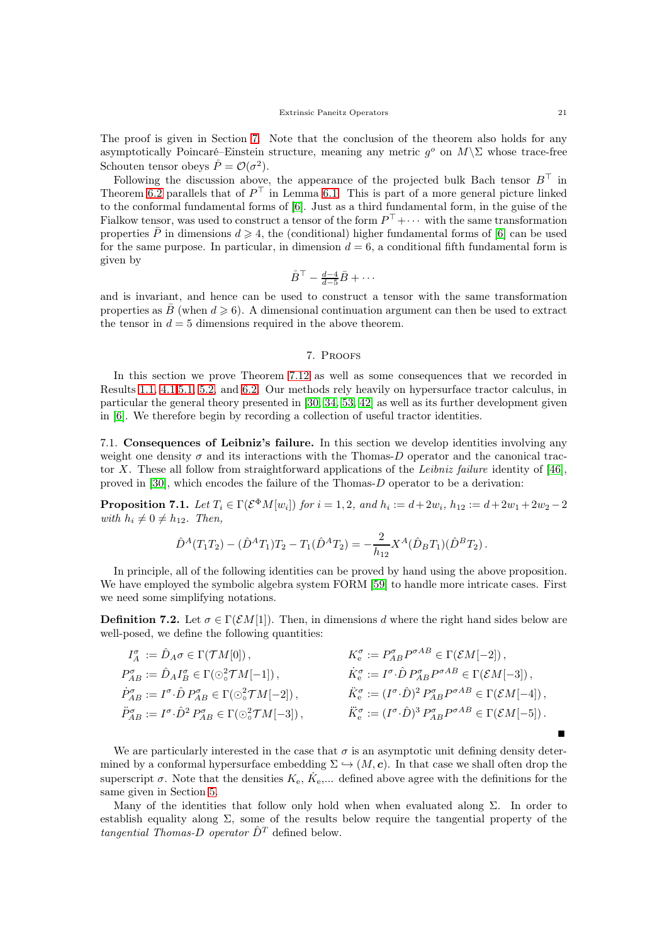The proof is given in Section [7.](#page-20-0) Note that the conclusion of the theorem also holds for any asymptotically Poincaré–Einstein structure, meaning any metric  $g^o$  on  $M\backslash\Sigma$  whose trace-free Schouten tensor obeys  $\mathring{P} = \mathcal{O}(\sigma^2)$ .

Following the discussion above, the appearance of the projected bulk Bach tensor  $B^{\top}$  in Theorem [6.2](#page-19-1) parallels that of  $P^{\top}$  in Lemma [6.1.](#page-18-0) This is part of a more general picture linked to the conformal fundamental forms of [\[6\]](#page-33-11). Just as a third fundamental form, in the guise of the Fialkow tensor, was used to construct a tensor of the form  $P^{\top} + \cdots$  with the same transformation properties  $\overline{P}$  in dimensions  $d \geq 4$ , the (conditional) higher fundamental forms of [\[6\]](#page-33-11) can be used for the same purpose. In particular, in dimension  $d = 6$ , a conditional fifth fundamental form is given by

$$
\mathring{B}^\top - \tfrac{d-4}{d-5}\bar{B} + \cdots
$$

and is invariant, and hence can be used to construct a tensor with the same transformation properties as B (when  $d \geq 6$ ). A dimensional continuation argument can then be used to extract the tensor in  $d = 5$  dimensions required in the above theorem.

#### 7. Proofs

<span id="page-20-0"></span>In this section we prove Theorem [7.12](#page-26-1) as well as some consequences that we recorded in Results [1.1,](#page-3-0) [4.1](#page-15-0)[,5.1,](#page-17-2) [5.2,](#page-17-3) and [6.2.](#page-19-1) Our methods rely heavily on hypersurface tractor calculus, in particular the general theory presented in [\[30,](#page-33-14) [34,](#page-34-8) [53,](#page-34-25) [42\]](#page-34-26) as well as its further development given in [\[6\]](#page-33-11). We therefore begin by recording a collection of useful tractor identities.

<span id="page-20-1"></span>7.1. Consequences of Leibniz's failure. In this section we develop identities involving any weight one density  $\sigma$  and its interactions with the Thomas-D operator and the canonical trac-tor X. These all follow from straightforward applications of the Leibniz failure identity of [\[46\]](#page-34-27), proved in [\[30\]](#page-33-14), which encodes the failure of the Thomas-D operator to be a derivation:

<span id="page-20-3"></span>**Proposition 7.1.** Let  $T_i \in \Gamma(\mathcal{E}^{\Phi}M[w_i])$  for  $i = 1, 2$ , and  $h_i := d + 2w_i$ ,  $h_{12} := d + 2w_1 + 2w_2 - 2$ with  $h_i \neq 0 \neq h_{12}$ . Then,

$$
\hat{D}^A(T_1T_2) - (\hat{D}^AT_1)T_2 - T_1(\hat{D}^AT_2) = -\frac{2}{h_{12}}X^A(\hat{D}_BT_1)(\hat{D}^BT_2).
$$

In principle, all of the following identities can be proved by hand using the above proposition. We have employed the symbolic algebra system FORM [\[59\]](#page-34-28) to handle more intricate cases. First we need some simplifying notations.

<span id="page-20-2"></span>**Definition 7.2.** Let  $\sigma \in \Gamma(\mathcal{E}M[1])$ . Then, in dimensions d where the right hand sides below are well-posed, we define the following quantities:

$$
I_A^{\sigma} := \hat{D}_A \sigma \in \Gamma(\mathcal{T}M[0]), \qquad K_e^{\sigma} := P_{AB}^{\sigma} P^{\sigma AB} \in \Gamma(\mathcal{E}M[-2]),
$$
  
\n
$$
P_{AB}^{\sigma} := \hat{D}_A I_B^{\sigma} \in \Gamma(\odot^2_{\circ} \mathcal{T}M[-1]), \qquad \dot{K}_e^{\sigma} := I^{\sigma} \cdot \hat{D} P_{AB}^{\sigma} P^{\sigma AB} \in \Gamma(\mathcal{E}M[-3]),
$$
  
\n
$$
\dot{P}_{AB}^{\sigma} := I^{\sigma} \cdot \hat{D} P_{AB}^{\sigma} \in \Gamma(\odot^2_{\circ} \mathcal{T}M[-2]), \qquad \dot{K}_e^{\sigma} := (I^{\sigma} \cdot \hat{D})^2 P_{AB}^{\sigma} P^{\sigma AB} \in \Gamma(\mathcal{E}M[-4]),
$$
  
\n
$$
\ddot{P}_{AB}^{\sigma} := I^{\sigma} \cdot \hat{D}^2 P_{AB}^{\sigma} \in \Gamma(\odot^2_{\circ} \mathcal{T}M[-3]), \qquad \ddot{K}_e^{\sigma} := (I^{\sigma} \cdot \hat{D})^3 P_{AB}^{\sigma} P^{\sigma AB} \in \Gamma(\mathcal{E}M[-5]).
$$

We are particularly interested in the case that  $\sigma$  is an asymptotic unit defining density determined by a conformal hypersurface embedding  $\Sigma \hookrightarrow (M, c)$ . In that case we shall often drop the superscript  $\sigma$ . Note that the densities  $K_{e}$ ,  $\dot{K}_{e}$ ,... defined above agree with the definitions for the same given in Section [5.](#page-16-0)

Many of the identities that follow only hold when when evaluated along  $\Sigma$ . In order to establish equality along  $\Sigma$ , some of the results below require the tangential property of the tangential Thomas-D operator  $\hat{D}^T$  defined below.

Ξ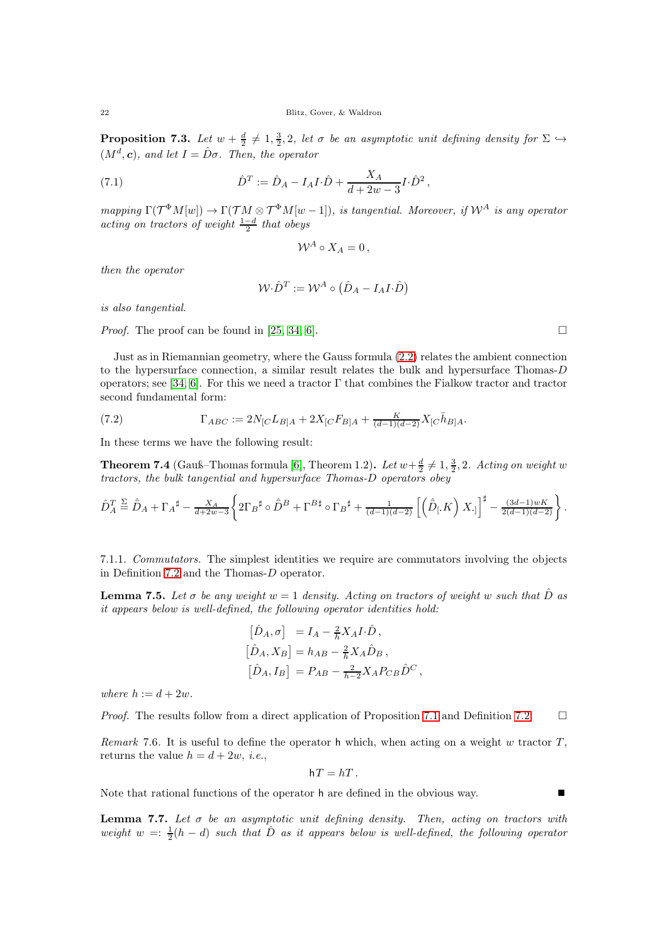<span id="page-21-4"></span>**Proposition 7.3.** Let  $w + \frac{d}{2} \neq 1, \frac{3}{2}, 2$ , let  $\sigma$  be an asymptotic unit defining density for  $\Sigma \hookrightarrow$  $(M^d, c)$ , and let  $I = \hat{D}\sigma$ . Then, the operator

<span id="page-21-3"></span>(7.1) 
$$
\hat{D}^T := \hat{D}_A - I_A I \cdot \hat{D} + \frac{X_A}{d + 2w - 3} I \cdot \hat{D}^2,
$$

mapping  $\Gamma(\mathcal{T}^{\Phi}M[w]) \to \Gamma(\mathcal{T}M \otimes \mathcal{T}^{\Phi}M[w-1]),$  is tangential. Moreover, if  $\mathcal{W}^A$  is any operator acting on tractors of weight  $\frac{1-d}{2}$  that obeys

$$
\mathcal{W}^A \circ X_A = 0 \,,
$$

then the operator

$$
\mathcal{W} \cdot \hat{D}^T := \mathcal{W}^A \circ \left( \hat{D}_A - I_A I \cdot \hat{D} \right)
$$

is also tangential.

*Proof.* The proof can be found in [\[25,](#page-33-28) [34,](#page-34-8) [6\]](#page-33-11).

Just as in Riemannian geometry, where the Gauss formula [\(2.2\)](#page-10-2) relates the ambient connection to the hypersurface connection, a similar result relates the bulk and hypersurface Thomas-D operators; see [\[34,](#page-34-8) [6\]](#page-33-11). For this we need a tractor  $\Gamma$  that combines the Fialkow tractor and tractor second fundamental form:

(7.2) 
$$
\Gamma_{ABC} := 2N_{[C}L_{B]A} + 2X_{[C}F_{B]A} + \frac{K}{(d-1)(d-2)}X_{[C}\bar{h}_{B]A}.
$$

In these terms we have the following result:

<span id="page-21-0"></span>**Theorem 7.4** (Gauß–Thomas formula [\[6\]](#page-33-11), Theorem 1.2). Let  $w + \frac{d}{2} \neq 1, \frac{3}{2}$ , 2. Acting on weight w tractors, the bulk tangential and hypersurface Thomas-D operators obey

$$
\hat{D}_A^T \stackrel{\Sigma}{=} \hat{\bar{D}}_A + \Gamma_A^{\sharp} - \frac{X_A}{d+2w-3} \left\{ 2\Gamma_B^{\sharp} \circ \hat{D}^B + \Gamma^{B\sharp} \circ \Gamma_B^{\sharp} + \frac{1}{(d-1)(d-2)} \left[ \left( \hat{\bar{D}}_{\mathfrak{l}} K \right) X_{\cdot \mathfrak{l}} \right]^{\sharp} - \frac{(3d-1)wK}{2(d-1)(d-2)} \right\}.
$$

7.1.1. Commutators. The simplest identities we require are commutators involving the objects in Definition [7.2](#page-20-2) and the Thomas-D operator.

<span id="page-21-1"></span>**Lemma 7.5.** Let  $\sigma$  be any weight  $w = 1$  density. Acting on tractors of weight w such that  $\hat{D}$  as it appears below is well-defined, the following operator identities hold:

$$
\begin{aligned}\n\left[\hat{D}_A, \sigma\right] &= I_A - \frac{2}{h} X_A I \cdot \hat{D}, \\
\left[\hat{D}_A, X_B\right] &= h_{AB} - \frac{2}{h} X_A \hat{D}_B, \\
\left[\hat{D}_A, I_B\right] &= P_{AB} - \frac{2}{h-2} X_A P_{CB} \hat{D}^C,\n\end{aligned}
$$

where  $h := d + 2w$ .

*Proof.* The results follow from a direct application of Proposition [7.1](#page-20-3) and Definition [7.2.](#page-20-2)  $\Box$ 

Remark 7.6. It is useful to define the operator h which, when acting on a weight w tractor  $T$ . returns the value  $h = d + 2w$ , *i.e.*,

$$
hT = hT.
$$

Note that rational functions of the operator h are defined in the obvious way.

<span id="page-21-2"></span>**Lemma 7.7.** Let  $\sigma$  be an asymptotic unit defining density. Then, acting on tractors with weight  $w = \frac{1}{2}(h - d)$  such that  $\hat{D}$  as it appears below is well-defined, the following operator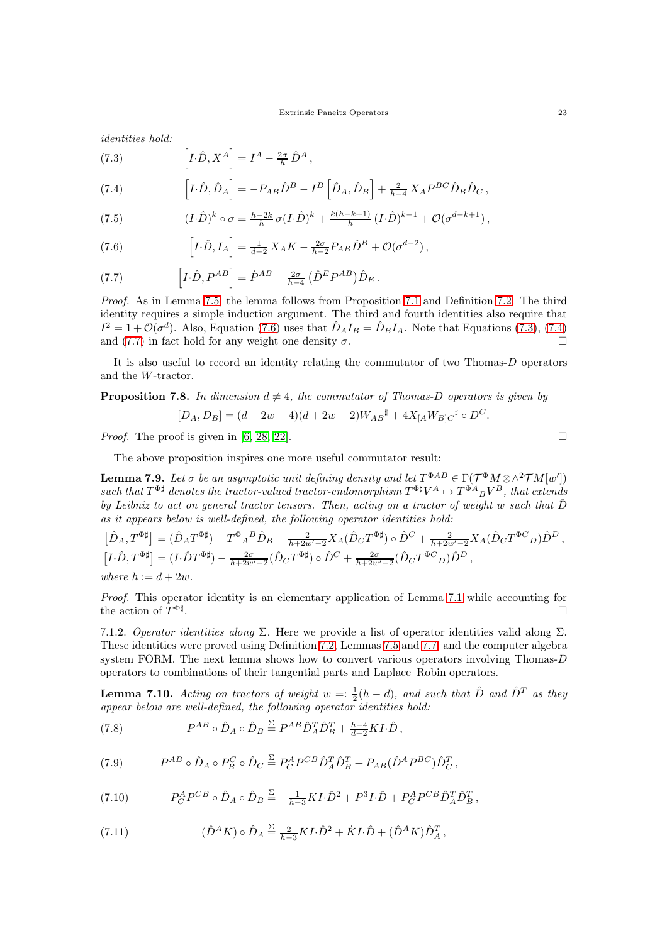identities hold:

<span id="page-22-1"></span>(7.3) 
$$
\left[I \cdot \hat{D}, X^A\right] = I^A - \frac{2\sigma}{h} \hat{D}^A,
$$

<span id="page-22-2"></span>(7.4) 
$$
\left[I\cdot\hat{D},\hat{D}_A\right] = -P_{AB}\hat{D}^B - I^B\left[\hat{D}_A,\hat{D}_B\right] + \frac{2}{h-4}X_A P^{BC}\hat{D}_B\hat{D}_C,
$$

(7.5) 
$$
(I \cdot \hat{D})^k \circ \sigma = \frac{h - 2k}{h} \sigma (I \cdot \hat{D})^k + \frac{k(h - k + 1)}{h} (I \cdot \hat{D})^{k-1} + \mathcal{O}(\sigma^{d-k+1}),
$$

<span id="page-22-0"></span>(7.6) 
$$
\[I \cdot \hat{D}, I_A\] = \frac{1}{d-2} X_A K - \frac{2\sigma}{h-2} P_{AB} \hat{D}^B + \mathcal{O}(\sigma^{d-2}),
$$

<span id="page-22-3"></span>(7.7) 
$$
\left[I \cdot \hat{D}, P^{AB}\right] = \dot{P}^{AB} - \frac{2\sigma}{h-4} \left(\hat{D}^E P^{AB}\right) \hat{D}_E.
$$

Proof. As in Lemma [7.5,](#page-21-1) the lemma follows from Proposition [7.1](#page-20-3) and Definition [7.2.](#page-20-2) The third identity requires a simple induction argument. The third and fourth identities also require that  $I^2 = 1 + \mathcal{O}(\sigma^d)$ . Also, Equation [\(7.6\)](#page-22-0) uses that  $\hat{D}_A I_B = \hat{D}_B I_A$ . Note that Equations [\(7.3\)](#page-22-1), [\(7.4\)](#page-22-2) and [\(7.7\)](#page-22-3) in fact hold for any weight one density  $\sigma$ .

It is also useful to record an identity relating the commutator of two Thomas-D operators and the W-tractor.

# <span id="page-22-5"></span>**Proposition 7.8.** In dimension  $d \neq 4$ , the commutator of Thomas-D operators is given by  $[D_A, D_B] = (d + 2w - 4)(d + 2w - 2)W_{AB}^{\sharp} + 4X_{[A}W_{B]C}^{\sharp} \circ D^C.$

*Proof.* The proof is given in [\[6,](#page-33-11) [28,](#page-33-29) [22\]](#page-33-21).

The above proposition inspires one more useful commutator result:

<span id="page-22-6"></span>**Lemma 7.9.** Let  $\sigma$  be an asymptotic unit defining density and let  $T^{\Phi AB} \in \Gamma(\mathcal{T}^{\Phi}M \otimes \wedge^2 \mathcal{T}M[w'])$ such that  $T^{\Phi \sharp}$  denotes the tractor-valued tractor-endomorphism  $T^{\Phi \sharp} V^A \mapsto T^{\Phi A}{}_B V^B$ , that extends by Leibniz to act on general tractor tensors. Then, acting on a tractor of weight w such that  $\hat{D}$ as it appears below is well-defined, the following operator identities hold:

$$
\begin{aligned}\n\left[\hat{D}_A, T^{\Phi \sharp}\right] &= (\hat{D}_A T^{\Phi \sharp}) - T^{\Phi}{}_A{}^B \hat{D}_B - \frac{2}{h + 2w' - 2} X_A (\hat{D}_C T^{\Phi \sharp}) \circ \hat{D}^C + \frac{2}{h + 2w' - 2} X_A (\hat{D}_C T^{\Phi C}{}_D) \hat{D}^D, \\
\left[I \cdot \hat{D}, T^{\Phi \sharp}\right] &= (I \cdot \hat{D} T^{\Phi \sharp}) - \frac{2\sigma}{h + 2w' - 2} (\hat{D}_C T^{\Phi \sharp}) \circ \hat{D}^C + \frac{2\sigma}{h + 2w' - 2} (\hat{D}_C T^{\Phi C}{}_D) \hat{D}^D, \\
where \quad h &:= d + 2w.\n\end{aligned}
$$

Proof. This operator identity is an elementary application of Lemma [7.1](#page-20-3) while accounting for the action of  $T^{\Phi \sharp}$ .

7.1.2. Operator identities along  $\Sigma$ . Here we provide a list of operator identities valid along  $\Sigma$ . These identities were proved using Definition [7.2,](#page-20-2) Lemmas [7.5](#page-21-1) and [7.7,](#page-21-2) and the computer algebra system FORM. The next lemma shows how to convert various operators involving Thomas-D operators to combinations of their tangential parts and Laplace–Robin operators.

<span id="page-22-4"></span>**Lemma 7.10.** Acting on tractors of weight  $w = \frac{1}{2}(h - d)$ , and such that  $\hat{D}$  and  $\hat{D}^T$  as they appear below are well-defined, the following operator identities hold:

(7.8) 
$$
P^{AB} \circ \hat{D}_A \circ \hat{D}_B \stackrel{\Sigma}{=} P^{AB} \hat{D}_A^T \hat{D}_B^T + \frac{h-4}{d-2} K I \cdot \hat{D},
$$

(7.9) 
$$
P^{AB} \circ \hat{D}_A \circ P_B^C \circ \hat{D}_C \stackrel{\Sigma}{=} P_C^A P^{CB} \hat{D}_A^T \hat{D}_B^T + P_{AB} (\hat{D}^A P^{BC}) \hat{D}_C^T,
$$

(7.10) 
$$
P_C^A P^{CB} \circ \hat{D}_A \circ \hat{D}_B \stackrel{\Sigma}{=} -\frac{1}{h-3} K I \cdot \hat{D}^2 + P^3 I \cdot \hat{D} + P_C^A P^{CB} \hat{D}_A^T \hat{D}_B^T,
$$

(7.11) 
$$
(\hat{D}^{A} K) \circ \hat{D}_{A} \stackrel{\Sigma}{=} \frac{2}{h-3} K I \cdot \hat{D}^{2} + \dot{K} I \cdot \hat{D} + (\hat{D}^{A} K) \hat{D}_{A}^{T},
$$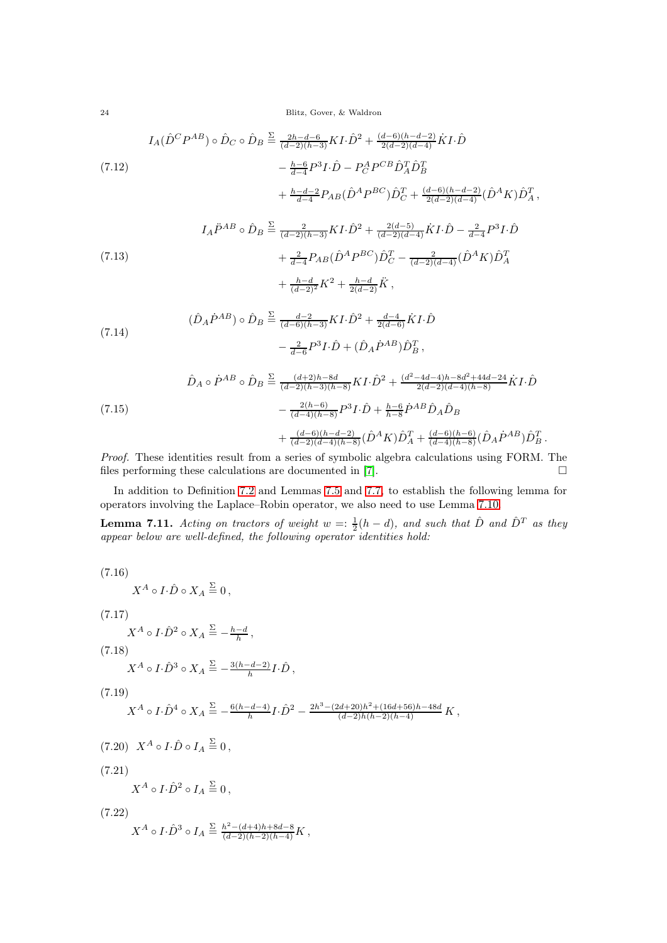24 Blitz, Gover, & Waldron

$$
I_A(\hat{D}^C P^{AB}) \circ \hat{D}_C \circ \hat{D}_B \stackrel{\Sigma}{=} \frac{2h - d - 6}{(d - 2)(h - 3)} K I \cdot \hat{D}^2 + \frac{(d - 6)(h - d - 2)}{2(d - 2)(d - 4)} \dot{K} I \cdot \hat{D}
$$
  
(7.12)  

$$
- \frac{h - 6}{d - 4} P^3 I \cdot \hat{D} - P_C^A P^{CB} \hat{D}_A^T \hat{D}_B^T + \frac{h - d - 2}{d - 4} P_{AB} (\hat{D}^A P^{BC}) \hat{D}_C^T + \frac{(d - 6)(h - d - 2)}{2(d - 2)(d - 4)} (\hat{D}^A K) \hat{D}_A^T,
$$

(7.13)  
\n
$$
I_A \ddot{P}^{AB} \circ \hat{D}_B \stackrel{\Sigma}{=} \frac{2}{(d-2)(h-3)} K I \cdot \hat{D}^2 + \frac{2(d-5)}{(d-2)(d-4)} \dot{K} I \cdot \hat{D} - \frac{2}{d-4} P^3 I \cdot \hat{D}
$$
\n
$$
+ \frac{2}{d-4} P_{AB} (\hat{D}^A P^{BC}) \hat{D}_C^T - \frac{2}{(d-2)(d-4)} (\hat{D}^A K) \hat{D}_A^T + \frac{h-d}{(d-2)^2} K^2 + \frac{h-d}{2(d-2)} \ddot{K},
$$

(7.14) 
$$
(\hat{D}_A \dot{P}^{AB}) \circ \hat{D}_B \stackrel{\Sigma}{=} \frac{d-2}{(d-6)(h-3)} K I \cdot \hat{D}^2 + \frac{d-4}{2(d-6)} \dot{K} I \cdot \hat{D} - \frac{2}{d-6} P^3 I \cdot \hat{D} + (\hat{D}_A \dot{P}^{AB}) \hat{D}_B^T,
$$

$$
\hat{D}_A \circ \hat{P}^{AB} \circ \hat{D}_B \stackrel{\Sigma}{=} \frac{(d+2)h - 8d}{(d-2)(h-3)(h-8)} K I \cdot \hat{D}^2 + \frac{(d^2 - 4d - 4)h - 8d^2 + 44d - 24}{2(d-2)(d-4)(h-8)} \hat{K} I \cdot \hat{D}
$$
\n
$$
- \frac{2(h-6)}{(d-4)(h-8)} P^3 I \cdot \hat{D} + \frac{h-6}{h-8} \hat{P}^{AB} \hat{D}_A \hat{D}_B + \frac{(d-6)(h-d-2)}{(d-2)(d-4)(h-8)} (\hat{D}^A K) \hat{D}_A^T + \frac{(d-6)(h-6)}{(d-4)(h-8)} (\hat{D}_A \hat{P}^{AB}) \hat{D}_B^T.
$$

Proof. These identities result from a series of symbolic algebra calculations using FORM. The files performing these calculations are documented in [\[7\]](#page-33-30).  $\Box$ 

In addition to Definition [7.2](#page-20-2) and Lemmas [7.5](#page-21-1) and [7.7,](#page-21-2) to establish the following lemma for operators involving the Laplace–Robin operator, we also need to use Lemma [7.10.](#page-22-4)

<span id="page-23-0"></span>**Lemma 7.11.** Acting on tractors of weight  $w = \frac{1}{2}(h - d)$ , and such that  $\hat{D}$  and  $\hat{D}^T$  as they appear below are well-defined, the following operator identities hold:

(7.16)  
\n
$$
X^A \circ I \cdot \hat{D} \circ X_A \stackrel{\Sigma}{=} 0,
$$
  
\n(7.17)  
\n $X^A \circ I \cdot \hat{D}^2 \circ X_A \stackrel{\Sigma}{=} -\frac{h-d}{h},$   
\n(7.18)  
\n $X^A \circ I \cdot \hat{D}^3 \circ X_A \stackrel{\Sigma}{=} -\frac{3(h-d-2)}{h}I \cdot \hat{D},$   
\n(7.19)  
\n $X^A \circ I \cdot \hat{D}^4 \circ X_A \stackrel{\Sigma}{=} -\frac{6(h-d-4)}{h}I \cdot \hat{D}^2 - \frac{2h^3 - (2d+20)h^2 + (16d+56)h - 48d}{(d-2)h(h-2)(h-4)}K,$   
\n(7.20)  
\n $X^A \circ I \cdot \hat{D} \circ I_A \stackrel{\Sigma}{=} 0,$   
\n(7.21)  
\n $X^A \circ I \cdot \hat{D}^2 \circ I_A \stackrel{\Sigma}{=} 0,$   
\n(7.22)  
\n $X^A \circ I \cdot \hat{D}^3 \circ I_A \stackrel{\Sigma}{=} \frac{h^2 - (d+4)h + 8d - 8}{(d-2)(h-2)(h-4)}K,$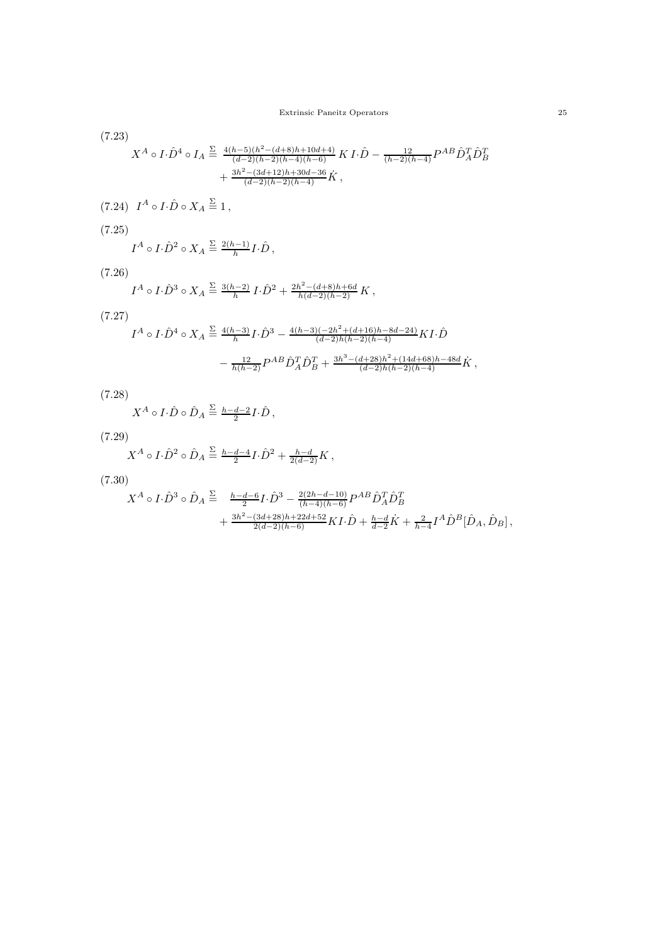(7.23)

$$
X^{A} \circ I \cdot \hat{D}^{4} \circ I_{A} \stackrel{\Sigma}{=} \frac{4(h-5)(h^{2}-(d+8)h+10d+4)}{(d-2)(h-2)(h-4)(h-6)} K I \cdot \hat{D} - \frac{12}{(h-2)(h-4)} P^{AB} \hat{D}_{A}^{T} \hat{D}_{B}^{T}
$$

$$
+ \frac{3h^{2}-(3d+12)h+30d-36}{(d-2)(h-2)(h-4)} \dot{K} ,
$$
  
(7.24)  $I^{A} \circ I \cdot \hat{D} \circ X_{A} \stackrel{\Sigma}{=} 1 ,$   
(7.25)

$$
I^A \circ I \cdot \hat{D}^2 \circ X_A \stackrel{\Sigma}{=} \frac{2(h-1)}{h} I \cdot \hat{D},
$$

(7.26)

$$
I^A \circ I \cdot \hat{D}^3 \circ X_A \stackrel{\Sigma}{=} \frac{3(h-2)}{h} I \cdot \hat{D}^2 + \frac{2h^2 - (d+8)h + 6d}{h(d-2)(h-2)} K,
$$

(7.27)

$$
I^A \circ I \cdot \hat{D}^4 \circ X_A \stackrel{\Sigma}{=} \frac{4(h-3)}{h} I \cdot \hat{D}^3 - \frac{4(h-3)(-2h^2 + (d+16)h - 8d - 24)}{(d-2)h(h-2)(h-4)} K I \cdot \hat{D}
$$

$$
- \frac{12}{h(h-2)} P^{AB} \hat{D}_A^T \hat{D}_B^T + \frac{3h^3 - (d+28)h^2 + (14d + 68)h - 48d}{(d-2)h(h-2)(h-4)} \hat{K} \ ,
$$

 $(7.28)$ 

$$
X^A \circ I \cdot \hat{D} \circ \hat{D}_A \stackrel{\Sigma}{=} \frac{h - d - 2}{2} I \cdot \hat{D},
$$

(7.29)

$$
X^A\circ I\!\cdot\!\hat{D}^2\circ\hat{D}_A\overset{\Sigma}{=}\tfrac{h-d-4}{2}I\!\cdot\!\hat{D}^2+\tfrac{h-d}{2(d-2)}K\,,
$$

(7.30)

$$
\begin{split} X^A\circ I\cdot \hat{D}^3\circ \hat{D}_A &\stackrel{\Sigma}{=}\quad \tfrac{h-d-6}{2}I\cdot \hat{D}^3 -\tfrac{2(2h-d-10)}{(h-4)(h-6)}P^{AB}\hat{D}_A^T\hat{D}_B^T \\ &+\tfrac{3h^2-(3d+28)h+22d+52}{2(d-2)(h-6)}KI\cdot \hat{D} +\tfrac{h-d}{d-2}\dot{K} +\tfrac{2}{h-4}I^A\hat{D}^B[\hat{D}_A,\hat{D}_B]\,, \end{split}
$$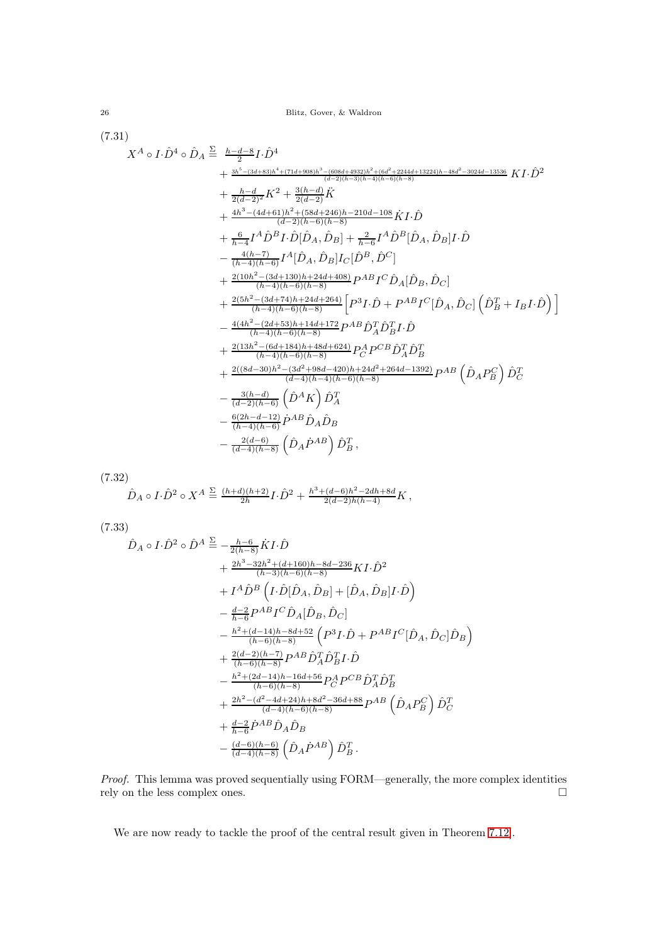26 Blitz, Gover, & Waldron

(7.31)

$$
X^{A} \circ I \cdot \hat{D}^{4} \circ \hat{D}_{A} \stackrel{\Sigma}{=} \frac{h - d - 8}{2} I \cdot \hat{D}^{4}
$$
  
+ 
$$
\frac{4h^{5} - (3d + 83)h^{4} + (71d + 908)h^{3} - (608d + 4932)h^{2} + (6d^{2} + 2244d + 13224)h - 48d^{2} - 3024d - 13536}{(d - 2)(h - 2)} \hat{K}
$$
  
+ 
$$
\frac{h - d}{2(d - 2)} \hat{K}^{2} + \frac{3(h - d)}{2(d - 2)} \hat{K}
$$
  
+ 
$$
\frac{4h^{3} - (4d + 61)h^{2} + (58d + 246)h - 210d - 108}{(d - 2)(h - 6)(h - 8)} \hat{K}I \cdot \hat{D}
$$
  
+ 
$$
\frac{6}{h - 4} I^{A} \hat{D}^{B} I \cdot \hat{D} [\hat{D}_{A}, \hat{D}_{B}] + \frac{2}{h - 6} I^{A} \hat{D}^{B} [\hat{D}_{A}, \hat{D}_{B}] I \cdot \hat{D}
$$
  
- 
$$
\frac{4(h - 7)}{(h - 4)(h - 6)} I^{A} [\hat{D}_{A}, \hat{D}_{B}] I_{C} [\hat{D}^{B}, \hat{D}^{C}]
$$
  
+ 
$$
\frac{2(10h^{2} - (3d + 130)h + 24d + 408)}{(h - 4)(h - 6)(h - 8)} P^{AB} I^{C} \hat{D}_{A} [\hat{D}_{B}, \hat{D}_{C}]
$$
  
+ 
$$
\frac{2(5h^{2} - (3d + 74)h + 24d + 264)}{(h - 4)(h - 6)(h - 8)} \left[ P^{3} I \cdot \hat{D} + P^{AB} I^{C} [\hat{D}_{A}, \hat{D}_{C}] \left( \hat{D}_{B}^{T} + I_{B} I \cdot \hat{D} \right) \right]
$$
  
- 
$$
\frac{4(4h^{2} - (2d + 53)h + 14d + 172}{(h - 4)(h - 6)(h - 8)} P^{A}_{A} \hat{
$$

(7.32)

$$
\hat{D}_A \circ I \cdot \hat{D}^2 \circ X^A \stackrel{\Sigma}{=} \tfrac{(h+d)(h+2)}{2h} I \cdot \hat{D}^2 + \tfrac{h^3 + (d-6)h^2 - 2dh + 8d}{2(d-2)h(h-4)} K \,,
$$

<span id="page-25-0"></span>(7.33)

$$
\hat{D}_A \circ I \cdot \hat{D}^2 \circ \hat{D}^A \stackrel{\Sigma}{=} -\frac{h-6}{2(h-8)} \dot{K} I \cdot \hat{D} \n+ \frac{2h^3 - 32h^2 + (d+160)h - 8d - 236}{(h-3)(h-6)(h-8)} K I \cdot \hat{D}^2 \n+ I^A \hat{D}^B \left( I \cdot \hat{D} [\hat{D}_A, \hat{D}_B] + [\hat{D}_A, \hat{D}_B] I \cdot \hat{D} \right) \n- \frac{d-2}{h-6} P^{AB} I^C \hat{D}_A [\hat{D}_B, \hat{D}_C] \n- \frac{h^2 + (d-14)h - 8d + 52}{(h-6)(h-8)} \left( P^3 I \cdot \hat{D} + P^{AB} I^C [\hat{D}_A, \hat{D}_C] \hat{D}_B \right) \n+ \frac{2(d-2)(h-7)}{(h-6)(h-8)} P^{AB} \hat{D}_A^T \hat{D}_B^T I \cdot \hat{D} \n- \frac{h^2 + (2d-14)h - 16d + 56}{(h-6)(h-8)} P_C^A P^{CB} \hat{D}_A^T \hat{D}_B^T \n+ \frac{2h^2 - (d^2 - 4d + 24)h + 8d^2 - 36d + 88}{(d-4)(h-6)(h-8)} P^{AB} \left( \hat{D}_A P_B^C \right) \hat{D}_C^T \n+ \frac{d-2}{h-6} \hat{P}^{AB} \hat{D}_A \hat{D}_B \n- \frac{(d-6)(h-6)}{(d-4)(h-8)} \left( \hat{D}_A \hat{P}^A \right) \hat{D}_B^T.
$$

Proof. This lemma was proved sequentially using FORM—generally, the more complex identities rely on the less complex ones.  $\square$ 

We are now ready to tackle the proof of the central result given in Theorem [7.12\]](#page-26-1).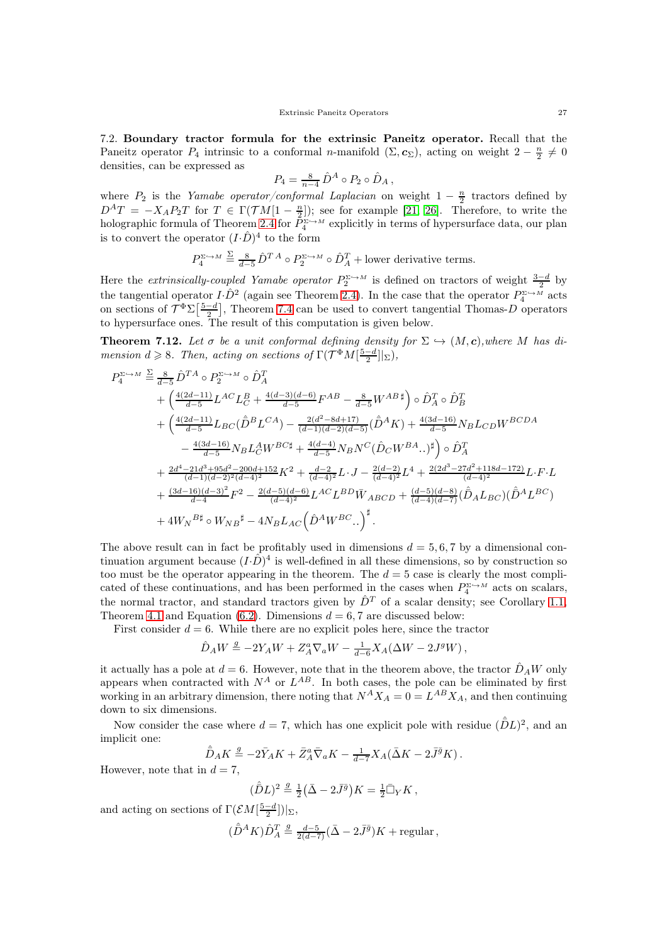<span id="page-26-0"></span>7.2. Boundary tractor formula for the extrinsic Paneitz operator. Recall that the Paneitz operator  $P_4$  intrinsic to a conformal n-manifold  $(\Sigma, c_{\Sigma})$ , acting on weight  $2 - \frac{n}{2} \neq 0$ densities, can be expressed as

$$
P_4 = \frac{8}{n-4} \hat{D}^A \circ P_2 \circ \hat{D}_A,
$$

where  $P_2$  is the Yamabe operator/conformal Laplacian on weight  $1 - \frac{n}{2}$  tractors defined by  $D^AT = -X_A P_2 T$  for  $T \in \Gamma(\mathcal{T}M[1-\frac{n}{2}])$ ; see for example [\[21,](#page-33-31) [26\]](#page-33-23). Therefore, to write the holographic formula of Theorem [2.4](#page-9-0) for  $P_4^{\Sigma \hookrightarrow M}$  explicitly in terms of hypersurface data, our plan is to convert the operator  $(I.\hat{D})^4$  to the form

$$
P_4^{\Sigma \hookrightarrow M} \stackrel{\Sigma}{=} \frac{8}{d-5} \hat{D}^{T A} \circ P_2^{\Sigma \hookrightarrow M} \circ \hat{D}_A^T + \text{lower derivative terms.}
$$

Here the *extrinsically-coupled Yamabe operator*  $P_2^{\Sigma \hookrightarrow M}$  is defined on tractors of weight  $\frac{3-d}{2}$  by the tangential operator  $I \cdot \hat{D}^2$  (again see Theorem [2.4\)](#page-9-0). In the case that the operator  $P_4^{\Sigma \hookrightarrow M}$  acts on sections of  $\mathcal{T}^{\Phi} \Sigma \left[ \frac{5-d}{2} \right]$ , Theorem [7.4](#page-21-0) can be used to convert tangential Thomas-D operators to hypersurface ones. The result of this computation is given below.

<span id="page-26-1"></span>**Theorem 7.12.** Let  $\sigma$  be a unit conformal defining density for  $\Sigma \hookrightarrow (M, c)$ , where M has dimension  $d \geq 8$ . Then, acting on sections of  $\Gamma(\mathcal{T}^{\Phi} M[\frac{5-d}{2}]\vert_{\Sigma})$ ,

$$
P_4^{\Sigma \to M} \stackrel{\Sigma}{=} \frac{8}{d-5} \hat{D}^{TA} \circ P_2^{\Sigma \to M} \circ \hat{D}_A^T
$$
  
+  $\left(\frac{4(2d-11)}{d-5} L^{AC} L_C^B + \frac{4(d-3)(d-6)}{d-5} F^{AB} - \frac{8}{d-5} W^{AB}{}^{\sharp}\right) \circ \hat{D}_A^T \circ \hat{D}_B^T$   
+  $\left(\frac{4(2d-11)}{d-5} L_{BC} (\hat{D}^B L^{CA}) - \frac{2(d^2-8d+17)}{(d-1)(d-2)(d-5)} (\hat{D}^A K) + \frac{4(3d-16)}{d-5} N_B L_{CD} W^{BCDA} - \frac{4(3d-16)}{d-5} N_B L_C^A W^{BC}{}^{\sharp} + \frac{4(d-4)}{d-5} N_B N^C (\hat{D}_C W^{BA} ..)^{\sharp}\right) \circ \hat{D}_A^T$   
+  $\frac{2d^4-21d^3+95d^2-200d+152}{(d-1)(d-2)^2(d-4)^2} K^2 + \frac{d-2}{(d-4)^2} L \cdot J - \frac{2(d-2)}{(d-4)^2} L^4 + \frac{2(2d^3-27d^2+118d-172)}{(d-4)^2} L \cdot F \cdot L$   
+  $\frac{(3d-16)(d-3)^2}{d-4} F^2 - \frac{2(d-5)(d-6)}{(d-4)^2} L^{AC} L^{BD} \bar{W}_{ABCD} + \frac{(d-5)(d-8)}{(d-4)(d-7)} (\hat{D}_A L_{BC}) (\hat{D}^A L^{BC})$   
+  $4W_N^{B}{}^{\sharp} \circ W_{NB}{}^{\sharp} - 4N_B L_{AC} (\hat{D}^A W^{BC} ..)^{\sharp}.$ 

The above result can in fact be profitably used in dimensions  $d = 5, 6, 7$  by a dimensional continuation argument because  $(I \cdot \hat{D})^4$  is well-defined in all these dimensions, so by construction so too must be the operator appearing in the theorem. The  $d = 5$  case is clearly the most complicated of these continuations, and has been performed in the cases when  $P_4^{\Sigma \hookrightarrow M}$  acts on scalars, the normal tractor, and standard tractors given by  $\hat{D}^T$  of a scalar density; see Corollary [1.1,](#page-3-0) Theorem [4.1](#page-15-0) and Equation [\(6.2\)](#page-19-2). Dimensions  $d = 6, 7$  are discussed below:

First consider  $d = 6$ . While there are no explicit poles here, since the tractor

$$
\hat{D}_AW\stackrel{g}{=}-2Y_AW+Z_A^a\nabla_aW-\tfrac{1}{d-6}X_A(\Delta W-2J^gW)\,,
$$

it actually has a pole at  $d = 6$ . However, note that in the theorem above, the tractor  $\hat{D}_A W$  only appears when contracted with  $N^A$  or  $L^{AB}$ . In both cases, the pole can be eliminated by first working in an arbitrary dimension, there noting that  $N^A X_A = 0 = L^{AB} X_A$ , and then continuing down to six dimensions.

Now consider the case where  $d = 7$ , which has one explicit pole with residue  $(\hat{\bar{D}}L)^2$ , and an implicit one:

$$
\hat{\bar{D}}_A K \stackrel{g}{=} -2 \bar{Y}_A K + \bar{Z}_A^a \bar{\nabla}_a K - \tfrac{1}{d-7} X_A (\bar{\Delta} K - 2 \bar{J}^{\bar{g}} K) \,.
$$

However, note that in  $d = 7$ ,

$$
(\hat{\bar{D}}L)^2 \stackrel{g}{=} \frac{1}{2} \left(\bar{\Delta} - 2 \bar{J}^{\bar{g}}\right)K = \frac{1}{2} \bar{\Box}_Y K \,,
$$

and acting on sections of  $\Gamma(\mathcal{E} M[\frac{5-d}{2}])|_{\Sigma}$ ,

$$
(\hat{\bar{D}}^A K)\hat{D}_A^T \stackrel{g}{=} \frac{d-5}{2(d-7)}(\bar{\Delta} - 2\bar{J}^{\bar{g}})K + \text{regular},
$$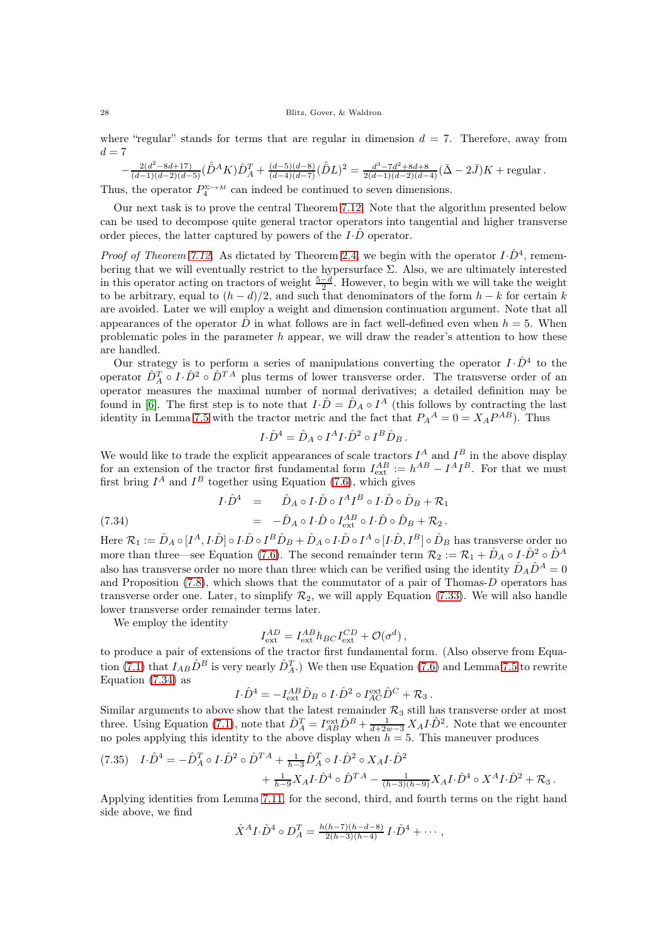where "regular" stands for terms that are regular in dimension  $d = 7$ . Therefore, away from  $d = 7$ 

$$
-\frac{2(d^2-8d+17)}{(d-1)(d-2)(d-5)}(\hat{\bar{D}}^AK)\hat{D}_A^T+\frac{(d-5)(d-8)}{(d-4)(d-7)}(\hat{\bar{D}}L)^2=\frac{d^3-7d^2+8d+8}{2(d-1)(d-2)(d-4)}(\bar{\Delta}-2\bar{J})K+\text{regular}\,.
$$

Thus, the operator  $P_4^{\Sigma \hookrightarrow M}$  can indeed be continued to seven dimensions.

Our next task is to prove the central Theorem [7.12.](#page-26-1) Note that the algorithm presented below can be used to decompose quite general tractor operators into tangential and higher transverse order pieces, the latter captured by powers of the  $I\cdot\overline{D}$  operator.

*Proof of Theorem [7.12.](#page-26-1)* As dictated by Theorem [2.4,](#page-9-0) we begin with the operator  $I \cdot \hat{D}^4$ , remembering that we will eventually restrict to the hypersurface  $\Sigma$ . Also, we are ultimately interested in this operator acting on tractors of weight  $\frac{5-d}{2}$ . However, to begin with we will take the weight to be arbitrary, equal to  $(h - d)/2$ , and such that denominators of the form  $h - k$  for certain k are avoided. Later we will employ a weight and dimension continuation argument. Note that all appearances of the operator  $\hat{D}$  in what follows are in fact well-defined even when  $h = 5$ . When problematic poles in the parameter h appear, we will draw the reader's attention to how these are handled.

Our strategy is to perform a series of manipulations converting the operator  $I \cdot \hat{D}^4$  to the operator  $\hat{D}_A^T \circ I \cdot \hat{D}^2 \circ \hat{D}^{T A}$  plus terms of lower transverse order. The transverse order of an operator measures the maximal number of normal derivatives; a detailed definition may be found in [\[6\]](#page-33-11). The first step is to note that  $I \cdot \hat{D} = \hat{D}_A \circ I^A$  (this follows by contracting the last identity in Lemma [7.5](#page-21-1) with the tractor metric and the fact that  $P_A{}^A = 0 = X_A P^{AB}$ ). Thus

$$
I \cdot \hat{D}^4 = \hat{D}_A \circ I^A I \cdot \hat{D}^2 \circ I^B \hat{D}_B.
$$

We would like to trade the explicit appearances of scale tractors  $I^A$  and  $I^B$  in the above display for an extension of the tractor first fundamental form  $I_{\text{ext}}^{AB} := h^{AB} - I^A I^B$ . For that we must first bring  $I^A$  and  $I^B$  together using Equation [\(7.6\)](#page-22-0), which gives

<span id="page-27-0"></span>
$$
I \cdot \hat{D}^4 \quad = \qquad \hat{D}_A \circ I \cdot \hat{D} \circ I^A I^B \circ I \cdot \hat{D} \circ \hat{D}_B + \mathcal{R}_1
$$

(7.34) 
$$
= -\hat{D}_A \circ I \cdot \hat{D} \circ I_{\text{ext}}^{AB} \circ I \cdot \hat{D} \circ \hat{D}_B + \mathcal{R}_2.
$$

Here  $\mathcal{R}_1:=\hat D_A\circ [I^A,I\cdot\hat D]\circ I\cdot\hat D\circ I^B\hat D_B+\hat D_A\circ I\cdot\hat D\circ I^A\circ [I\cdot\hat D,I^B]\circ\hat D_B$  has transverse order no more than three—see Equation [\(7.6\)](#page-22-0). The second remainder term  $\mathcal{R}_2 := \mathcal{R}_1 + \hat{D}_A \circ I \cdot \hat{D}^2 \circ \hat{D}^A$ also has transverse order no more than three which can be verified using the identity  $\hat{D}_A\hat{D}^A=0$ and Proposition [\(7.8\)](#page-22-5), which shows that the commutator of a pair of Thomas-D operators has transverse order one. Later, to simplify  $\mathcal{R}_2$ , we will apply Equation [\(7.33\)](#page-25-0). We will also handle lower transverse order remainder terms later.

We employ the identity

$$
I_{\rm ext}^{AD}=I_{\rm ext}^{AB}h_{BC}I_{\rm ext}^{CD}+\mathcal{O}(\sigma^d)\,,
$$

to produce a pair of extensions of the tractor first fundamental form. (Also observe from Equa-tion [\(7.1\)](#page-21-3) that  $I_{AB}\hat{D}^B$  is very nearly  $\hat{D}_A^T$ .) We then use Equation [\(7.6\)](#page-22-0) and Lemma [7.5](#page-21-1) to rewrite Equation [\(7.34\)](#page-27-0) as

$$
I\cdot \hat{D}^4 = -I_{\text{ext}}^{AB} \hat{D}_B \circ I\cdot \hat{D}^2 \circ I_{AC}^{\text{ext}} \hat{D}^C + \mathcal{R}_3.
$$

Similar arguments to above show that the latest remainder  $\mathcal{R}_3$  still has transverse order at most three. Using Equation [\(7.1\)](#page-21-3), note that  $\hat{D}_A^T = I_{AB}^{\text{ext}} \hat{D}^B + \frac{1}{d+2w-3} X_A I \cdot \hat{D}^2$ . Note that we encounter no poles applying this identity to the above display when  $h = 5$ . This maneuver produces

<span id="page-27-1"></span>
$$
(7.35) \quad I \cdot \hat{D}^4 = -\hat{D}_A^T \circ I \cdot \hat{D}^2 \circ \hat{D}^{T A} + \frac{1}{h-3} \hat{D}_A^T \circ I \cdot \hat{D}^2 \circ X_A I \cdot \hat{D}^2 + \frac{1}{h-9} X_A I \cdot \hat{D}^4 \circ \hat{D}^{T A} - \frac{1}{(h-3)(h-9)} X_A I \cdot \hat{D}^4 \circ X^A I \cdot \hat{D}^2 + \mathcal{R}_3 \, .
$$

Applying identities from Lemma [7.11,](#page-23-0) for the second, third, and fourth terms on the right hand side above, we find

$$
\hat{X}^{A}I \cdot \hat{D}^{4} \circ D_{A}^{T} = \frac{h(h-7)(h-d-8)}{2(h-3)(h-4)} I \cdot \hat{D}^{4} + \cdots,
$$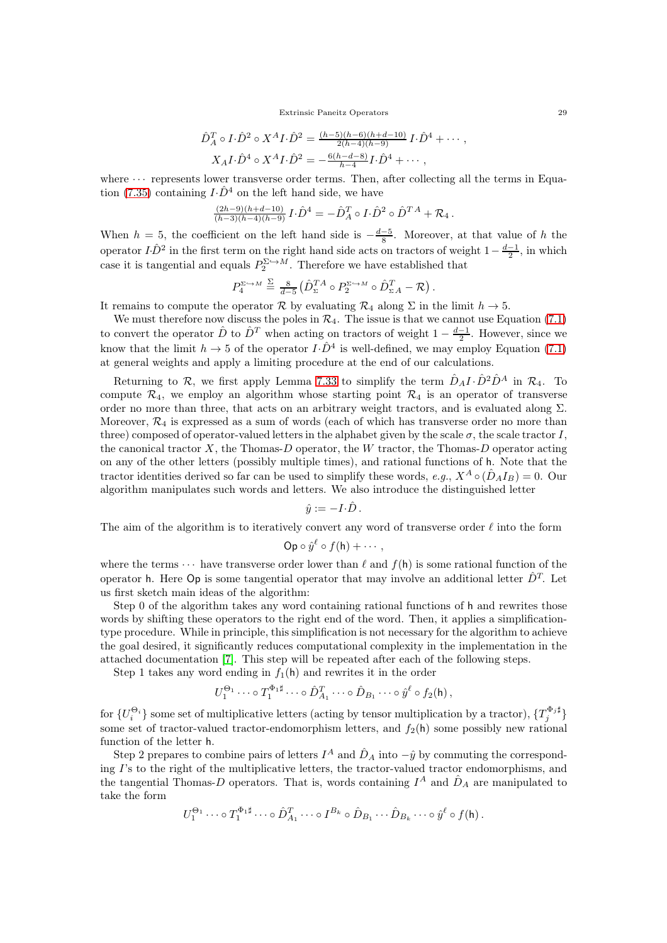Extrinsic Paneitz Operators 29

$$
\hat{D}_A^T \circ I \cdot \hat{D}^2 \circ X^A I \cdot \hat{D}^2 = \frac{(h-5)(h-6)(h+d-10)}{2(h-4)(h-9)} I \cdot \hat{D}^4 + \cdots ,
$$
  

$$
X_A I \cdot \hat{D}^4 \circ X^A I \cdot \hat{D}^2 = -\frac{6(h-d-8)}{h-4} I \cdot \hat{D}^4 + \cdots ,
$$

where  $\cdots$  represents lower transverse order terms. Then, after collecting all the terms in Equa-tion [\(7.35\)](#page-27-1) containing  $I \cdot \hat{D}^4$  on the left hand side, we have

$$
\tfrac{(2h-9)(h+d-10)}{(h-3)(h-4)(h-9)}\,I\!\cdot\!\hat{D}^4 = -\hat{D}^T_A\circ I\!\cdot\!\hat{D}^2\circ\hat{D}^{T\,A} + {\mathcal R}_4\,.
$$

When  $h = 5$ , the coefficient on the left hand side is  $-\frac{d-5}{8}$ . Moreover, at that value of h the operator  $I \cdot \hat{D}^2$  in the first term on the right hand side acts on tractors of weight  $1-\frac{d-1}{2}$ , in which case it is tangential and equals  $P_2^{\Sigma \hookrightarrow M}$ . Therefore we have established that

$$
P_4^{\Sigma \hookrightarrow M} \stackrel{\Sigma}{=} \frac{8}{d-5} \left( \hat{D}_{\Sigma}^{TA} \circ P_2^{\Sigma \hookrightarrow M} \circ \hat{D}_{\Sigma A}^T - \mathcal{R} \right).
$$

It remains to compute the operator R by evaluating  $\mathcal{R}_4$  along  $\Sigma$  in the limit  $h \to 5$ .

We must therefore now discuss the poles in  $\mathcal{R}_4$ . The issue is that we cannot use Equation [\(7.1\)](#page-21-3) to convert the operator  $\hat{D}$  to  $\hat{D}^T$  when acting on tractors of weight  $1 - \frac{d-1}{2}$ . However, since we know that the limit  $h \to 5$  of the operator  $I \cdot \hat{D}^4$  is well-defined, we may employ Equation [\(7.1\)](#page-21-3) at general weights and apply a limiting procedure at the end of our calculations.

Returning to  $\mathcal{R}$ , we first apply Lemma [7.33](#page-25-0) to simplify the term  $\hat{D}_A I \cdot \hat{D}^2 \hat{D}^A$  in  $\mathcal{R}_4$ . To compute  $\mathcal{R}_4$ , we employ an algorithm whose starting point  $\mathcal{R}_4$  is an operator of transverse order no more than three, that acts on an arbitrary weight tractors, and is evaluated along  $\Sigma$ . Moreover,  $\mathcal{R}_4$  is expressed as a sum of words (each of which has transverse order no more than three) composed of operator-valued letters in the alphabet given by the scale  $\sigma$ , the scale tractor I, the canonical tractor  $X$ , the Thomas- $D$  operator, the W tractor, the Thomas- $D$  operator acting on any of the other letters (possibly multiple times), and rational functions of h. Note that the tractor identities derived so far can be used to simplify these words, e.g.,  $X^A \circ (\hat{D}_A I_B) = 0$ . Our algorithm manipulates such words and letters. We also introduce the distinguished letter

 $\hat{y} := -I \cdot \hat{D}$ .

The aim of the algorithm is to iteratively convert any word of transverse order  $\ell$  into the form

$$
\mathsf{Op} \circ \hat{y}^{\ell} \circ f(\mathsf{h}) + \cdots,
$$

where the terms  $\cdots$  have transverse order lower than  $\ell$  and  $f(h)$  is some rational function of the operator h. Here  $\mathsf{Op}$  is some tangential operator that may involve an additional letter  $\hat{D}^T$ . Let us first sketch main ideas of the algorithm:

Step 0 of the algorithm takes any word containing rational functions of h and rewrites those words by shifting these operators to the right end of the word. Then, it applies a simplificationtype procedure. While in principle, this simplification is not necessary for the algorithm to achieve the goal desired, it significantly reduces computational complexity in the implementation in the attached documentation [\[7\]](#page-33-30). This step will be repeated after each of the following steps.

Step 1 takes any word ending in  $f_1(h)$  and rewrites it in the order

$$
U_1^{\Theta_1} \cdots \circ T_1^{\Phi_1 \sharp} \cdots \circ \hat{D}_{A_1}^T \cdots \circ \hat{D}_{B_1} \cdots \circ \hat{y}^{\ell} \circ f_2(\mathsf{h})\,,
$$

 $\{U_i^{\Theta_i}\}\$  some set of multiplicative letters (acting by tensor multiplication by a tractor),  $\{T_j^{\Phi_j \sharp}\}\$ some set of tractor-valued tractor-endomorphism letters, and  $f_2(h)$  some possibly new rational function of the letter h.

Step 2 prepares to combine pairs of letters  $I^A$  and  $\hat{D}_A$  into  $-\hat{y}$  by commuting the corresponding I's to the right of the multiplicative letters, the tractor-valued tractor endomorphisms, and the tangential Thomas-D operators. That is, words containing  $I^A$  and  $\hat{D}_A$  are manipulated to take the form

$$
U_1^{\Theta_1} \cdots \circ T_1^{\Phi_1 \sharp} \cdots \circ \hat{D}_{A_1}^T \cdots \circ I^{B_k} \circ \hat{D}_{B_1} \cdots \hat{D}_{B_k} \cdots \circ \hat{y}^{\ell} \circ f(\mathsf{h}).
$$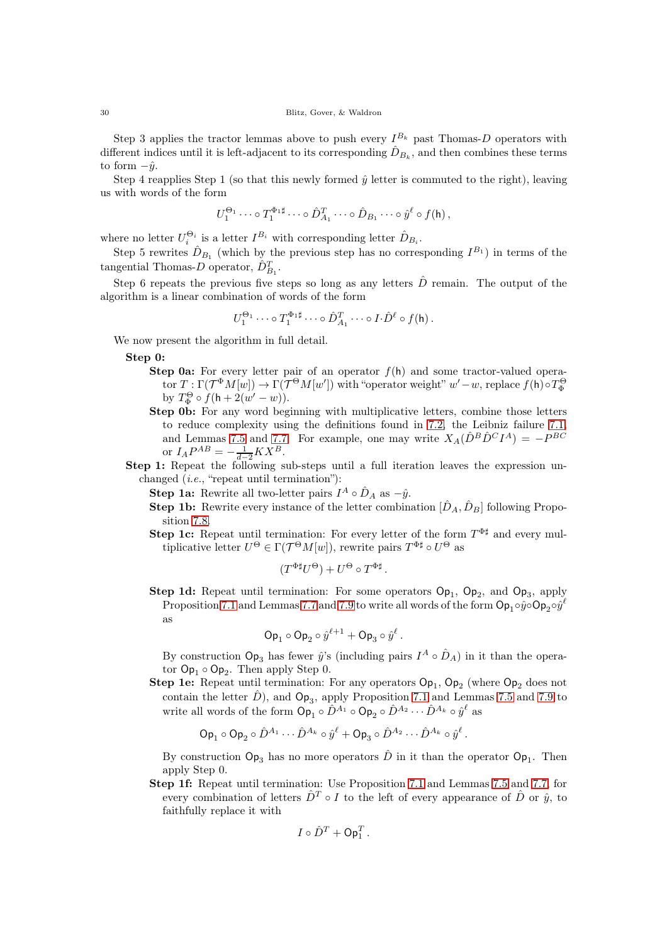Step 3 applies the tractor lemmas above to push every  $I^{B_k}$  past Thomas-D operators with different indices until it is left-adjacent to its corresponding  $\hat{D}_{B_k}$ , and then combines these terms to form  $-\hat{y}$ .

Step 4 reapplies Step 1 (so that this newly formed  $\hat{y}$  letter is commuted to the right), leaving us with words of the form

$$
U_1^{\Theta_1} \cdots \circ T_1^{\Phi_1 \sharp} \cdots \circ \hat{D}_{A_1}^T \cdots \circ \hat{D}_{B_1} \cdots \circ \hat{y}^{\ell} \circ f(\mathsf{h})\,,
$$

where no letter  $U_i^{\Theta_i}$  is a letter  $I^{B_i}$  with corresponding letter  $\hat{D}_{B_i}$ .

Step 5 rewrites  $\hat{D}_{B_1}$  (which by the previous step has no corresponding  $I^{B_1}$ ) in terms of the tangential Thomas-D operator,  $\hat{D}_{B_1}^T$ .

Step 6 repeats the previous five steps so long as any letters  $\hat{D}$  remain. The output of the algorithm is a linear combination of words of the form

$$
U_1^{\Theta_1} \cdots \circ T_1^{\Phi_1 \sharp} \cdots \circ \hat{D}_{A_1}^T \cdots \circ I \cdot \hat{D}^{\ell} \circ f(\mathsf{h})\,.
$$

We now present the algorithm in full detail.

Step 0:

- **Step 0a:** For every letter pair of an operator  $f(h)$  and some tractor-valued opera- $\text{tor } T: \Gamma(\mathcal{T}^\Phi M[w]) \to \Gamma(\mathcal{T}^\Theta M[w']) \text{ with "operator weight" } w'-w \text{, replace } f(\mathsf{h}) \circ T^\Theta_\Phi$ by  $T^{\Theta}_{\Phi} \circ f(\mathsf{h} + 2(w' - w)).$
- Step 0b: For any word beginning with multiplicative letters, combine those letters to reduce complexity using the definitions found in [7.2,](#page-20-2) the Leibniz failure [7.1,](#page-20-3) and Lemmas [7.5](#page-21-1) and [7.7.](#page-21-2) For example, one may write  $X_A(\hat{D}^B \hat{D}^C I^A) = -P^{BC}$ or  $I_A P^{AB} = -\frac{1}{d-2} K X^B$ .
- Step 1: Repeat the following sub-steps until a full iteration leaves the expression unchanged (i.e., "repeat until termination"):

**Step 1a:** Rewrite all two-letter pairs  $I^A \circ \hat{D}_A$  as  $-\hat{y}$ .

- **Step 1b:** Rewrite every instance of the letter combination  $[\hat{D}_A, \hat{D}_B]$  following Proposition [7.8.](#page-22-5)
- **Step 1c:** Repeat until termination: For every letter of the form  $T^{\Phi \sharp}$  and every multiplicative letter  $U^{\Theta} \in \Gamma(\mathcal{T}^{\Theta}M[w])$ , rewrite pairs  $T^{\Phi\sharp} \circ U^{\Theta}$  as

$$
(T^{\Phi\sharp}U^{\Theta}) + U^{\Theta} \circ T^{\Phi\sharp}.
$$

**Step 1d:** Repeat until termination: For some operators  $Op_1$ ,  $Op_2$ , and  $Op_3$ , apply Proposition [7.1](#page-20-3) and Lemmas [7.7](#page-21-2) and [7.9](#page-22-6) to write all words of the form  $\mathsf{Op}_1 \circ \hat{y} \circ \mathsf{Op}_2 \circ \hat{y}^\ell$ as

$$
\mathsf{Op}_1 \circ \mathsf{Op}_2 \circ \hat{y}^{\ell+1} + \mathsf{Op}_3 \circ \hat{y}^{\ell}.
$$

By construction  $\mathsf{Op}_3$  has fewer  $\hat{y}$ 's (including pairs  $I^A \circ \hat{D}_A$ ) in it than the operator  $\mathsf{Op}_1 \circ \mathsf{Op}_2$ . Then apply Step 0.

**Step 1e:** Repeat until termination: For any operators  $Op_1$ ,  $Op_2$  (where  $Op_2$  does not contain the letter  $\hat{D}$ ), and  $\mathsf{Op}_3$ , apply Proposition [7.1](#page-20-3) and Lemmas [7.5](#page-21-1) and [7.9](#page-22-6) to write all words of the form  $\mathsf{Op}_1 \circ \hat{D}^{A_1} \circ \mathsf{Op}_2 \circ \hat{D}^{A_2} \cdots \hat{D}^{A_k} \circ \hat{y}^\ell$  as

$$
\mathsf{Op}_1 \circ \mathsf{Op}_2 \circ \hat{D}^{A_1} \cdots \hat{D}^{A_k} \circ \hat{y}^{\ell} + \mathsf{Op}_3 \circ \hat{D}^{A_2} \cdots \hat{D}^{A_k} \circ \hat{y}^{\ell}.
$$

By construction  $\mathsf{Op}_3$  has no more operators  $\hat{D}$  in it than the operator  $\mathsf{Op}_1$ . Then apply Step 0.

Step 1f: Repeat until termination: Use Proposition [7.1](#page-20-3) and Lemmas [7.5](#page-21-1) and [7.7,](#page-21-2) for every combination of letters  $\hat{D}^T \circ I$  to the left of every appearance of  $\hat{D}$  or  $\hat{y}$ , to faithfully replace it with

$$
I \circ \hat{D}^T + \mathsf{Op}_1^T.
$$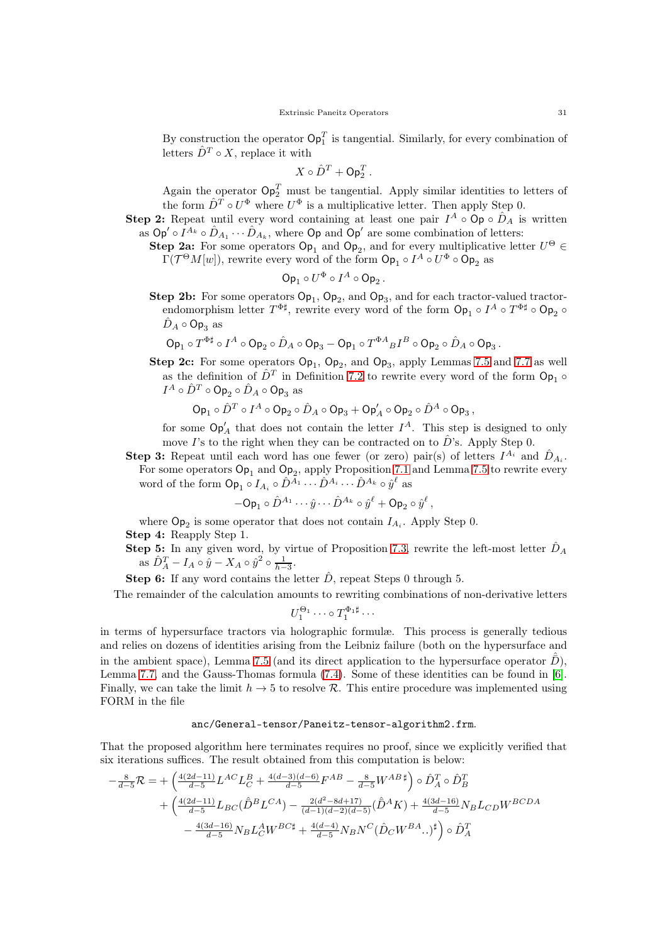By construction the operator  $\mathsf{Op}_1^T$  is tangential. Similarly, for every combination of letters  $\hat{D}^T \circ X$ , replace it with

$$
X\circ \hat{D}^T + \mathsf{Op}_2^T.
$$

Again the operator  $\mathsf{Op}_2^T$  must be tangential. Apply similar identities to letters of the form  $\hat{D}^T \circ U^{\Phi}$  where  $U^{\Phi}$  is a multiplicative letter. Then apply Step 0.

**Step 2:** Repeat until every word containing at least one pair  $I^A \circ \mathsf{Op} \circ \hat{D}_A$  is written as  $\mathsf{Op}' \circ I^{A_k} \circ \hat{D}_{A_1} \cdots \hat{D}_{A_k}$ , where  $\mathsf{Op}$  and  $\mathsf{Op}'$  are some combination of letters:

**Step 2a:** For some operators  $\mathsf{Op}_1$  and  $\mathsf{Op}_2$ , and for every multiplicative letter  $U^{\Theta} \in$  $\Gamma(\mathcal{T}^{\Theta} M[w])$ , rewrite every word of the form  $\mathsf{Op}_1 \circ I^A \circ U^{\Phi} \circ \mathsf{Op}_2$  as

$$
\mathsf{Op}_1 \circ U^{\Phi} \circ I^A \circ \mathsf{Op}_2.
$$

Step 2b: For some operators  $Op_1$ ,  $Op_2$ , and  $Op_3$ , and for each tractor-valued tractorendomorphism letter  $T^{\Phi \sharp}$ , rewrite every word of the form  $\mathsf{Op}_1 \circ I^A \circ T^{\Phi \sharp} \circ \mathsf{Op}_2 \circ$  $\hat{D}_A \circ \mathsf{Op}_3$  as

$$
\operatorname{Op}_1\circ T^{\Phi\sharp}\circ I^A\circ \operatorname{Op}_2\circ \hat D_A\circ \operatorname{Op}_3-\operatorname{Op}_1\circ T^{\Phi A}{}_{B}I^B\circ \operatorname{Op}_2\circ \hat D_A\circ \operatorname{Op}_3.
$$

**Step 2c:** For some operators  $Op_1$ ,  $Op_2$ , and  $Op_3$ , apply Lemmas [7.5](#page-21-1) and [7.7](#page-21-2) as well as the definition of  $\hat{D}^T$  in Definition [7.2](#page-20-2) to rewrite every word of the form  $\mathsf{Op}_1 \circ$  $I^A\circ \hat{D}^T\circ {\sf Op}_2\circ \hat{D}_A\circ {\sf Op}_3$  as

$$
\mathrm{Op}_1\circ \hat{D}^T\circ I^A\circ \mathrm{Op}_2\circ \hat{D}_A\circ \mathrm{Op}_3 + \mathrm{Op}_A'\circ \mathrm{Op}_2\circ \hat{D}^A\circ \mathrm{Op}_3\,,
$$

for some  $\mathsf{Op}'_A$  that does not contain the letter  $I^A$ . This step is designed to only move I's to the right when they can be contracted on to  $\hat{D}$ 's. Apply Step 0.

**Step 3:** Repeat until each word has one fewer (or zero) pair(s) of letters  $I^{A_i}$  and  $\hat{D}_{A_i}$ . For some operators  $\mathsf{Op}_1$  and  $\mathsf{Op}_2$ , apply Proposition [7.1](#page-20-3) and Lemma [7.5](#page-21-1) to rewrite every word of the form  $\mathsf{Op}_1 \circ I_{A_i} \circ \hat{D}^{A_1} \cdots \hat{D}^{A_i} \cdots \hat{D}^{A_k} \circ \hat{y}^{\ell}$  as

$$
-{\sf Op}_1\circ\hat{D}^{A_1}\cdots\hat{y}\cdots\hat{D}^{A_k}\circ\hat{y}^\ell+{\sf Op}_2\circ\hat{y}^\ell\,,
$$

where  $\mathsf{Op}_2$  is some operator that does not contain  $I_{A_i}$ . Apply Step 0. Step 4: Reapply Step 1.

**Step 5:** In any given word, by virtue of Proposition [7.3,](#page-21-4) rewrite the left-most letter  $\hat{D}_A$ as  $\hat{D}_A^T - I_A \circ \hat{y} - X_A \circ \hat{y}^2 \circ \frac{1}{h-3}$ .

**Step 6:** If any word contains the letter  $\hat{D}$ , repeat Steps 0 through 5.

The remainder of the calculation amounts to rewriting combinations of non-derivative letters

$$
U_1^{\Theta_1} \cdots \circ T_1^{\Phi_1 \sharp} \cdots
$$

in terms of hypersurface tractors via holographic formulæ. This process is generally tedious and relies on dozens of identities arising from the Leibniz failure (both on the hypersurface and in the ambient space), Lemma [7.5](#page-21-1) (and its direct application to the hypersurface operator  $\bar{D}$ ), Lemma [7.7,](#page-21-2) and the Gauss-Thomas formula [\(7.4\)](#page-21-0). Some of these identities can be found in [\[6\]](#page-33-11). Finally, we can take the limit  $h \to 5$  to resolve R. This entire procedure was implemented using FORM in the file

## anc/General-tensor/Paneitz-tensor-algorithm2.frm.

That the proposed algorithm here terminates requires no proof, since we explicitly verified that six iterations suffices. The result obtained from this computation is below:

$$
-\frac{8}{d-5}\mathcal{R} = +\left(\frac{4(2d-11)}{d-5}L^{AC}L_{C}^{B} + \frac{4(d-3)(d-6)}{d-5}F^{AB} - \frac{8}{d-5}W^{AB}^{\dagger}\right) \circ \hat{D}_{A}^{T} \circ \hat{D}_{B}^{T} + \left(\frac{4(2d-11)}{d-5}L_{BC}(\hat{D}^{B}L^{CA}) - \frac{2(d^{2}-8d+17)}{(d-1)(d-2)(d-5)}(\hat{D}^{A}K) + \frac{4(3d-16)}{d-5}N_{B}L_{CD}W^{BCDA} \right) - \frac{4(3d-16)}{d-5}N_{B}L_{C}^{A}W^{BC\sharp} + \frac{4(d-4)}{d-5}N_{B}N^{C}(\hat{D}_{C}W^{BA}.)^{\sharp}\right) \circ \hat{D}_{A}^{T}
$$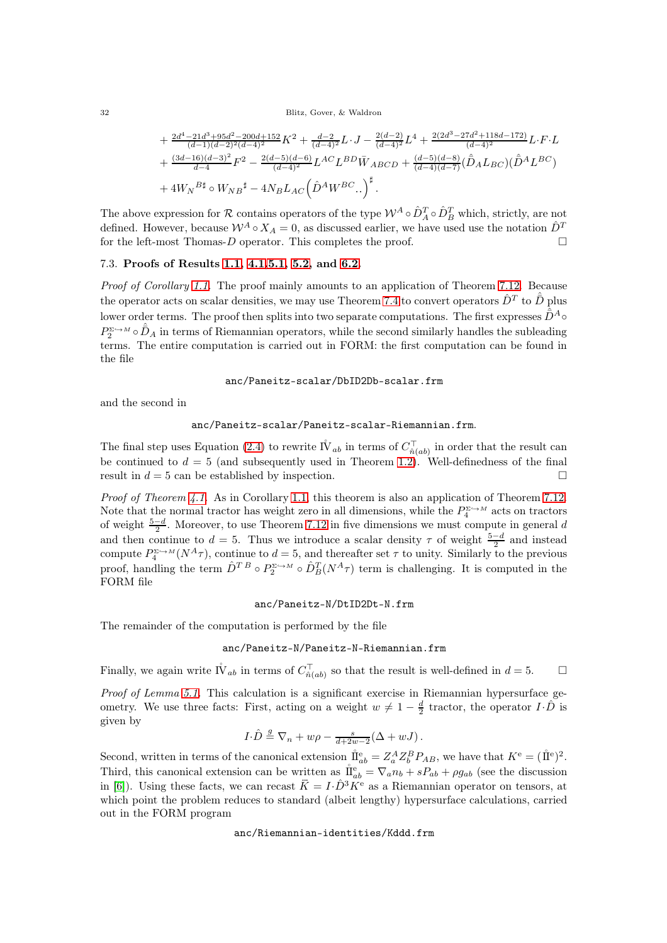32 Blitz, Gover, & Waldron

$$
+\frac{2d^4-21d^3+95d^2-200d+152}{(d-1)(d-2)^2(d-4)^2}K^2+\frac{d-2}{(d-4)^2}L\cdot J-\frac{2(d-2)}{(d-4)^2}L^4+\frac{2(2d^3-27d^2+118d-172)}{(d-4)^2}L\cdot F\cdot L\\+\frac{(3d-16)(d-3)^2}{d-4}F^2-\frac{2(d-5)(d-6)}{(d-4)^2}L^{AC}L^{BD}\bar{W}_{ABCD}+\frac{(d-5)(d-8)}{(d-4)(d-7)}(\hat{D}_AL_{BC})(\hat{D}^AL_{BC})\\+4W_N^{B\sharp}\circ W_{NB}{}^{\sharp}-4N_BL_{AC}\left(\hat{D}^AW^{BC}..\right)^{\sharp}.
$$

The above expression for R contains operators of the type  $W^A \circ \hat{D}_A^T \circ \hat{D}_B^T$  which, strictly, are not defined. However, because  $\mathcal{W}^A \circ X_A = 0$ , as discussed earlier, we have used use the notation  $\hat{D}^T$ for the left-most Thomas-D operator. This completes the proof.

# <span id="page-31-0"></span>7.3. Proofs of Results [1.1,](#page-3-0) [4.1](#page-15-0)[,5.1,](#page-17-2) [5.2,](#page-17-3) and [6.2.](#page-19-1)

Proof of Corollary [1.1.](#page-3-0) The proof mainly amounts to an application of Theorem [7.12.](#page-26-1) Because the operator acts on scalar densities, we may use Theorem [7.4](#page-21-0) to convert operators  $\hat{D}^T$  to  $\hat{\bar{D}}$  plus lower order terms. The proof then splits into two separate computations. The first expresses  $\hat{\bar{D}}^A \circ$  $P_2^{\Sigma \hookrightarrow M} \circ \hat{D}_A$  in terms of Riemannian operators, while the second similarly handles the subleading terms. The entire computation is carried out in FORM: the first computation can be found in the file

## anc/Paneitz-scalar/DbID2Db-scalar.frm

and the second in

# anc/Paneitz-scalar/Paneitz-scalar-Riemannian.frm.

The final step uses Equation [\(2.4\)](#page-11-3) to rewrite  $\mathring{IV}_{ab}$  in terms of  $C^{\top}_{\hat{n}(ab)}$  in order that the result can be continued to  $d = 5$  (and subsequently used in Theorem [1.2\)](#page-4-3). Well-definedness of the final result in  $d = 5$  can be established by inspection.

Proof of Theorem [4.1.](#page-15-0) As in Corollary [1.1,](#page-3-0) this theorem is also an application of Theorem [7.12.](#page-26-1) Note that the normal tractor has weight zero in all dimensions, while the  $P_4^{\Sigma \hookrightarrow M}$  acts on tractors of weight  $\frac{5-d}{2}$ . Moreover, to use Theorem [7.12](#page-26-1) in five dimensions we must compute in general d and then continue to  $d = 5$ . Thus we introduce a scalar density  $\tau$  of weight  $\frac{5-d}{2}$  and instead compute  $P_4^{\Sigma \hookrightarrow M}(N^A \tau)$ , continue to  $d=5$ , and thereafter set  $\tau$  to unity. Similarly to the previous proof, handling the term  $\hat{D}^{T}{}^B \circ P_2^{\Sigma \to M} \circ \hat{D}_B^T(N^A \tau)$  term is challenging. It is computed in the FORM file

## anc/Paneitz-N/DtID2Dt-N.frm

The remainder of the computation is performed by the file

anc/Paneitz-N/Paneitz-N-Riemannian.frm

Finally, we again write  $\mathring{IV}_{ab}$  in terms of  $C_{\hat{n}(ab)}^{\top}$  so that the result is well-defined in  $d=5$ .  $\Box$ 

Proof of Lemma [5.1.](#page-17-2) This calculation is a significant exercise in Riemannian hypersurface geometry. We use three facts: First, acting on a weight  $w \neq 1 - \frac{d}{2}$  tractor, the operator  $I \cdot \hat{D}$  is given by

$$
I \cdot \hat{D} \stackrel{g}{=} \nabla_n + w\rho - \frac{s}{d+2w-2}(\Delta + wJ).
$$

Second, written in terms of the canonical extension  $\mathring{\rm{I}}_{ab}^{\text{e}} = Z_a^A Z_b^B P_{AB}$ , we have that  $K^{\text{e}} = (\mathring{\rm{I}}^{\text{e}})^2$ . Third, this canonical extension can be written as  $\mathring{\rm H}_{ab}^{\rm e} = \nabla_a n_b + sP_{ab} + \rho g_{ab}$  (see the discussion in [\[6\]](#page-33-11)). Using these facts, we can recast  $\ddot{K} = I \cdot \hat{D}^3 K^e$  as a Riemannian operator on tensors, at which point the problem reduces to standard (albeit lengthy) hypersurface calculations, carried out in the FORM program

## anc/Riemannian-identities/Kddd.frm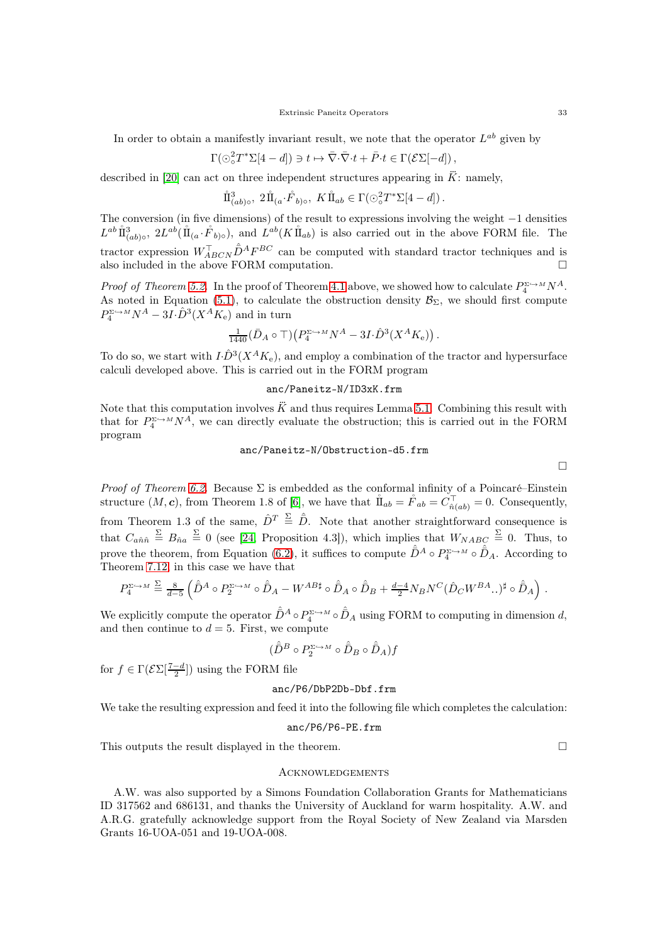In order to obtain a manifestly invariant result, we note that the operator  $L^{ab}$  given by

$$
\Gamma(\odot^2_\circ T^*\Sigma[4-d])\ni t\mapsto \bar\nabla\cdot\bar\nabla\cdot t+\bar P\cdot t\in\Gamma(\mathcal{E}\Sigma[-d])\,,
$$

described in [\[20\]](#page-33-17) can act on three independent structures appearing in  $\ddot{K}$ : namely,

$$
\mathring{\rm{1}}_{(ab)\circ}^3, 2\mathring{\rm{1}}_{(a}\cdot \mathring{F}_{b)\circ}, K\mathring{\rm{1}}_{ab} \in \Gamma(\odot_o^2 T^*\Sigma[4-d]).
$$

The conversion (in five dimensions) of the result to expressions involving the weight −1 densities  $L^{ab} \mathring{\rm II}^3_{(ab)\circ}$ ,  $2L^{ab}(\mathring{\rm II}_{(a}\cdot\mathring{F}_{b)\circ})$ , and  $L^{ab}(K\mathring{\rm II}_{ab})$  is also carried out in the above FORM file. The tractor expression  $W_{ABCN}^{\top} \hat{D}^{A} F^{BC}$  can be computed with standard tractor techniques and is also included in the above FORM computation.

*Proof of Theorem [5.2.](#page-17-3)* In the proof of Theorem [4.1](#page-15-0) above, we showed how to calculate  $P_4^{\Sigma \to M} N^A$ . As noted in Equation [\(5.1\)](#page-16-1), to calculate the obstruction density  $\mathcal{B}_{\Sigma}$ , we should first compute  $P_4^{\Sigma \hookrightarrow M} N^A - 3I \cdot \hat{D}^3(X^A K_e)$  and in turn

$$
\tfrac{1}{1440}(\bar{D}_A\circ \top)\big(P_4^{\Sigma\hookrightarrow M}N^A-3I\cdot \hat{D}^3(X^AK_{\mathrm{e}})\big)\,.
$$

To do so, we start with  $I \cdot \hat{D}^3(X^A K_e)$ , and employ a combination of the tractor and hypersurface calculi developed above. This is carried out in the FORM program

## anc/Paneitz-N/ID3xK.frm

Note that this computation involves  $\ddot{K}$  and thus requires Lemma [5.1.](#page-17-2) Combining this result with that for  $P_4^{\Sigma \hookrightarrow M} N^A$ , we can directly evaluate the obstruction; this is carried out in the FORM program

# anc/Paneitz-N/Obstruction-d5.frm

 $\Box$ 

*Proof of Theorem [6.2.](#page-19-1)* Because  $\Sigma$  is embedded as the conformal infinity of a Poincaré–Einstein structure  $(M, c)$ , from Theorem 1.8 of [\[6\]](#page-33-11), we have that  $\mathring{\rm{II}}_{ab} = \mathring{F}_{ab} = C_{\hat{n}(ab)}^{\top} = 0$ . Consequently, from Theorem 1.3 of the same,  $\hat{D}^T \stackrel{\Sigma}{=} \hat{D}$ . Note that another straightforward consequence is that  $C_{a\hat{n}\hat{n}} \stackrel{\Sigma}{=} B_{\hat{n}a} \stackrel{\Sigma}{=} 0$  (see [\[24,](#page-33-10) Proposition 4.3]), which implies that  $W_{NABC} \stackrel{\Sigma}{=} 0$ . Thus, to prove the theorem, from Equation [\(6.2\)](#page-19-2), it suffices to compute  $\hat{\bar{D}}^A \circ P_4^{\Sigma \hookrightarrow M} \circ \hat{D}_A$ . According to Theorem [7.12,](#page-26-1) in this case we have that

$$
P_4^{\Sigma \hookrightarrow M} \stackrel{\Sigma}{=} \frac{8}{d-5} \left( \hat{\bar{D}}^A \circ P_2^{\Sigma \hookrightarrow M} \circ \hat{\bar{D}}_A - W^{AB\sharp} \circ \hat{\bar{D}}_A \circ \hat{\bar{D}}_B + \frac{d-4}{2} N_B N^C (\hat{D}_C W^{BA} \dots )^{\sharp} \circ \hat{\bar{D}}_A \right).
$$

We explicitly compute the operator  $\hat{\bar{D}}^A \circ P_4^{\Sigma \hookrightarrow M} \circ \hat{D}_A$  using FORM to computing in dimension d, and then continue to  $d = 5$ . First, we compute

$$
(\hat{\bar{D}}^B \circ P_2^{\Sigma \hookrightarrow M} \circ \hat{\bar{D}}_B \circ \hat{\bar{D}}_A)f
$$

for  $f \in \Gamma(\mathcal{E} \Sigma[\frac{7-d}{2}])$  using the FORM file

# anc/P6/DbP2Db-Dbf.frm

We take the resulting expression and feed it into the following file which completes the calculation:

anc/P6/P6-PE.frm

This outputs the result displayed in the theorem.  $\Box$ 

#### <span id="page-32-0"></span>**ACKNOWLEDGEMENTS**

A.W. was also supported by a Simons Foundation Collaboration Grants for Mathematicians ID 317562 and 686131, and thanks the University of Auckland for warm hospitality. A.W. and A.R.G. gratefully acknowledge support from the Royal Society of New Zealand via Marsden Grants 16-UOA-051 and 19-UOA-008.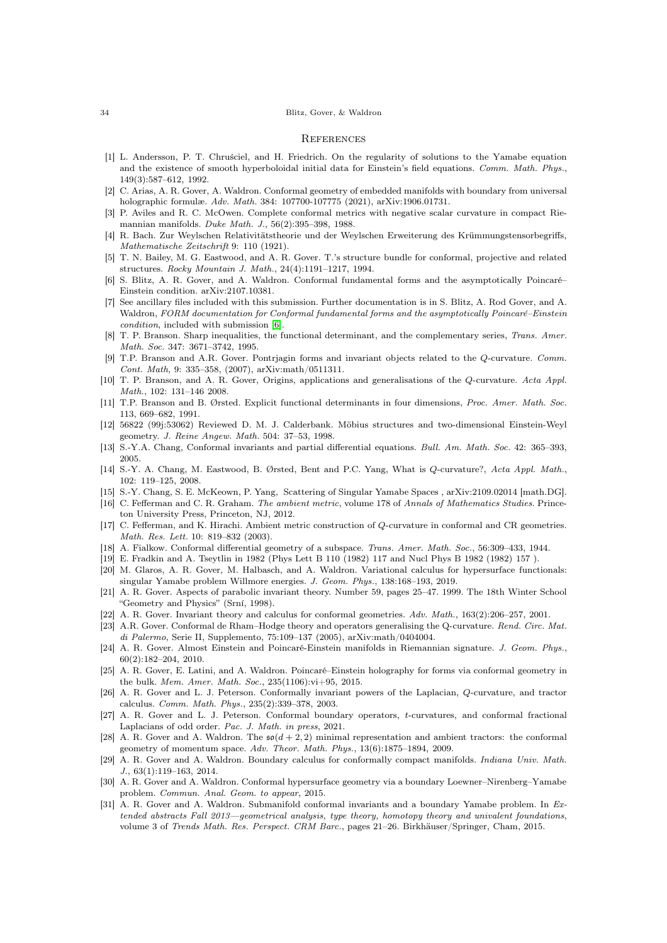#### 34 Blitz, Gover, & Waldron

### <span id="page-33-0"></span>**REFERENCES**

- <span id="page-33-12"></span>[1] L. Andersson, P. T. Chruściel, and H. Friedrich. On the regularity of solutions to the Yamabe equation and the existence of smooth hyperboloidal initial data for Einstein's field equations. Comm. Math. Phys., 149(3):587–612, 1992.
- <span id="page-33-24"></span>[2] C. Arias, A. R. Gover, A. Waldron. Conformal geometry of embedded manifolds with boundary from universal holographic formulæ. Adv. Math. 384: 107700-107775 (2021), arXiv:1906.01731.
- <span id="page-33-19"></span>[3] P. Aviles and R. C. McOwen. Complete conformal metrics with negative scalar curvature in compact Riemannian manifolds. Duke Math. J., 56(2):395–398, 1988.
- <span id="page-33-8"></span>[4] R. Bach. Zur Weylschen Relativitätstheorie und der Weylschen Erweiterung des Krümmungstensorbegriffs, Mathematische Zeitschrift 9: 110 (1921).
- <span id="page-33-16"></span>[5] T. N. Bailey, M. G. Eastwood, and A. R. Gover. T.'s structure bundle for conformal, projective and related structures. Rocky Mountain J. Math., 24(4):1191–1217, 1994.
- <span id="page-33-30"></span><span id="page-33-11"></span>[6] S. Blitz, A. R. Gover, and A. Waldron. Conformal fundamental forms and the asymptotically Poincaré– Einstein condition. arXiv:2107.10381.
- [7] See ancillary files included with this submission. Further documentation is in S. Blitz, A. Rod Gover, and A. Waldron, FORM documentation for Conformal fundamental forms and the asymptotically Poincaré–Einstein condition, included with submission [\[6\]](#page-33-11).
- <span id="page-33-7"></span>[8] T. P. Branson. Sharp inequalities, the functional determinant, and the complementary series, Trans. Amer. Math. Soc. 347: 3671–3742, 1995.
- <span id="page-33-25"></span>[9] T.P. Branson and A.R. Gover. Pontrjagin forms and invariant objects related to the Q-curvature. Comm. Cont. Math, 9: 335–358, (2007), arXiv:math/0511311.
- <span id="page-33-4"></span>[10] T. P. Branson, and A. R. Gover, Origins, applications and generalisations of the Q-curvature. Acta Appl. Math., 102: 131–146 2008.
- <span id="page-33-2"></span>[11] T.P. Branson and B. Ørsted. Explicit functional determinants in four dimensions, Proc. Amer. Math. Soc. 113, 669–682, 1991.
- <span id="page-33-27"></span>[12] 56822 (99j:53062) Reviewed D. M. J. Calderbank. Möbius structures and two-dimensional Einstein-Weyl geometry. J. Reine Angew. Math. 504: 37–53, 1998.
- <span id="page-33-6"></span><span id="page-33-5"></span>[13] S.-Y.A. Chang, Conformal invariants and partial differential equations. Bull. Am. Math. Soc. 42: 365–393, 2005.
- [14] S.-Y. A. Chang, M. Eastwood, B. Ørsted, Bent and P.C. Yang, What is Q-curvature?, Acta Appl. Math., 102: 119–125, 2008.
- <span id="page-33-9"></span><span id="page-33-3"></span>[15] S.-Y. Chang, S. E. McKeown, P. Yang, Scattering of Singular Yamabe Spaces , arXiv:2109.02014 [math.DG].
- [16] C. Fefferman and C. R. Graham. The ambient metric, volume 178 of Annals of Mathematics Studies. Princeton University Press, Princeton, NJ, 2012.
- <span id="page-33-18"></span>[17] C. Fefferman, and K. Hirachi. Ambient metric construction of Q-curvature in conformal and CR geometries. Math. Res. Lett. 10: 819–832 (2003).
- <span id="page-33-20"></span><span id="page-33-1"></span>[18] A. Fialkow. Conformal differential geometry of a subspace. Trans. Amer. Math. Soc., 56:309–433, 1944.
- <span id="page-33-17"></span>[19] E. Fradkin and A. Tseytlin in 1982 (Phys Lett B 110 (1982) 117 and Nucl Phys B 1982 (1982) 157 ).
- [20] M. Glaros, A. R. Gover, M. Halbasch, and A. Waldron. Variational calculus for hypersurface functionals: singular Yamabe problem Willmore energies. J. Geom. Phys., 138:168–193, 2019.
- <span id="page-33-31"></span>[21] A. R. Gover. Aspects of parabolic invariant theory. Number 59, pages 25–47. 1999. The 18th Winter School "Geometry and Physics" (Srní, 1998).
- <span id="page-33-26"></span><span id="page-33-21"></span>[22] A. R. Gover. Invariant theory and calculus for conformal geometries. Adv. Math., 163(2):206–257, 2001.
- [23] A.R. Gover. Conformal de Rham–Hodge theory and operators generalising the Q-curvature. Rend. Circ. Mat. di Palermo, Serie II, Supplemento, 75:109–137 (2005), arXiv:math/0404004.
- <span id="page-33-10"></span>[24] A. R. Gover. Almost Einstein and Poincaré-Einstein manifolds in Riemannian signature. J. Geom. Phys., 60(2):182–204, 2010.
- <span id="page-33-28"></span>[25] A. R. Gover, E. Latini, and A. Waldron. Poincaré–Einstein holography for forms via conformal geometry in the bulk. Mem. Amer. Math. Soc., 235(1106):vi+95, 2015.
- <span id="page-33-23"></span>[26] A. R. Gover and L. J. Peterson. Conformally invariant powers of the Laplacian, Q-curvature, and tractor calculus. Comm. Math. Phys., 235(2):339–378, 2003.
- <span id="page-33-22"></span>[27] A. R. Gover and L. J. Peterson. Conformal boundary operators, t-curvatures, and conformal fractional Laplacians of odd order. Pac. J. Math. in press, 2021.
- <span id="page-33-29"></span>[28] A. R. Gover and A. Waldron. The  $\mathfrak{so}(d+2,2)$  minimal representation and ambient tractors: the conformal geometry of momentum space. Adv. Theor. Math. Phys., 13(6):1875-1894, 2009.
- <span id="page-33-15"></span>[29] A. R. Gover and A. Waldron. Boundary calculus for conformally compact manifolds. Indiana Univ. Math. J., 63(1):119–163, 2014.
- <span id="page-33-14"></span>[30] A. R. Gover and A. Waldron. Conformal hypersurface geometry via a boundary Loewner–Nirenberg–Yamabe problem. Commun. Anal. Geom. to appear, 2015.
- <span id="page-33-13"></span>[31] A. R. Gover and A. Waldron. Submanifold conformal invariants and a boundary Yamabe problem. In Extended abstracts Fall 2013—geometrical analysis, type theory, homotopy theory and univalent foundations, volume 3 of Trends Math. Res. Perspect. CRM Barc., pages 21-26. Birkhäuser/Springer, Cham, 2015.